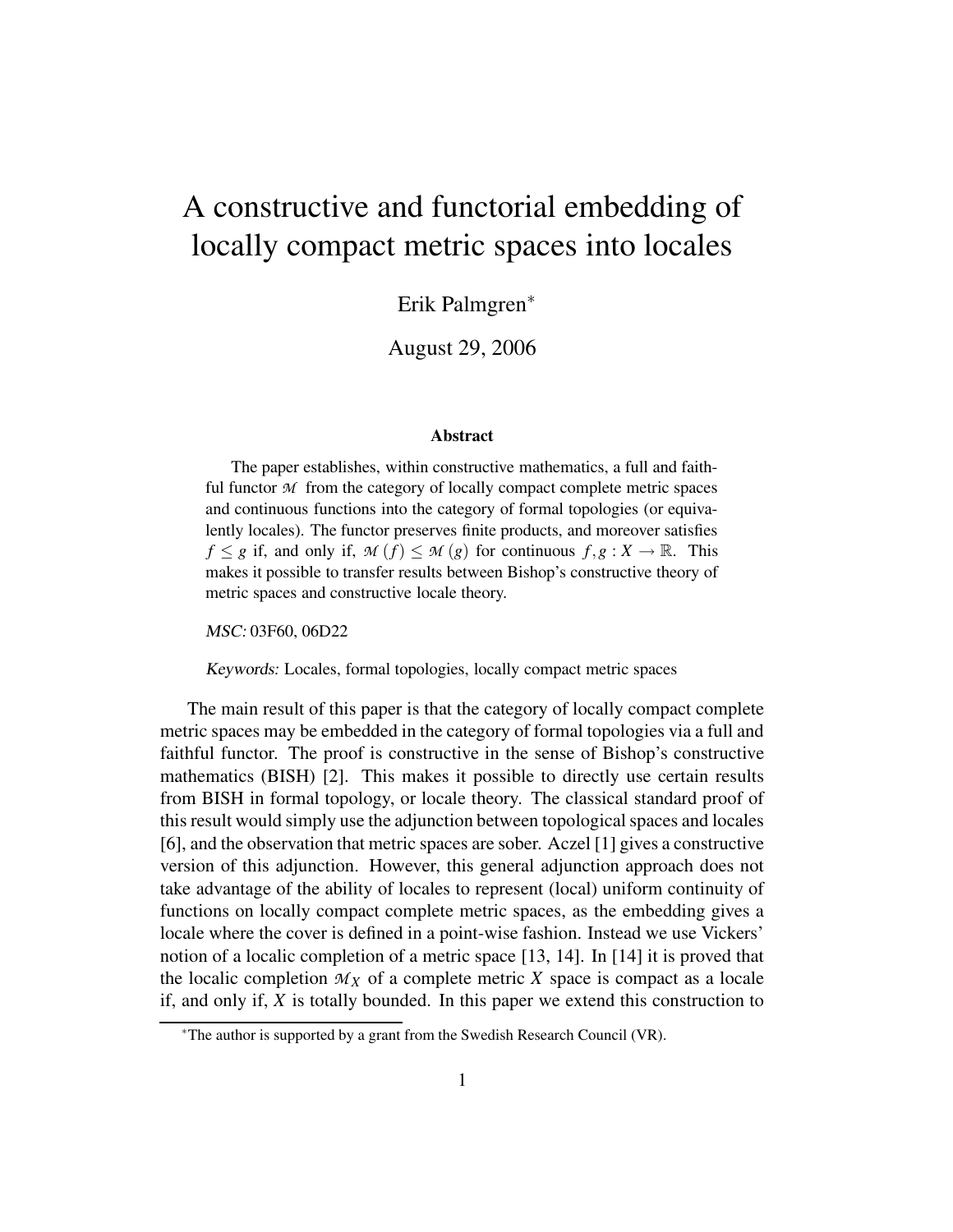# A constructive and functorial embedding of locally compact metric spaces into locales

Erik Palmgren<sup>∗</sup>

August 29, 2006

#### **Abstract**

The paper establishes, within constructive mathematics, a full and faithful functor  $M$  from the category of locally compact complete metric spaces and continuous functions into the category of formal topologies (or equivalently locales). The functor preserves finite products, and moreover satisfies *f*  $\leq$  *g* if, and only if, *M* (*f*)  $\leq$  *M* (*g*) for continuous *f*,*g* : *X*  $\rightarrow$  R. This makes it possible to transfer results between Bishop's constructive theory of metric spaces and constructive locale theory.

MSC: 03F60, 06D22

Keywords: Locales, formal topologies, locally compact metric spaces

The main result of this paper is that the category of locally compact complete metric spaces may be embedded in the category of formal topologies via a full and faithful functor. The proof is constructive in the sense of Bishop's constructive mathematics (BISH) [2]. This makes it possible to directly use certain results from BISH in formal topology, or locale theory. The classical standard proof of this result would simply use the adjunction between topological spaces and locales [6], and the observation that metric spaces are sober. Aczel [1] gives a constructive version of this adjunction. However, this general adjunction approach does not take advantage of the ability of locales to represent (local) uniform continuity of functions on locally compact complete metric spaces, as the embedding gives a locale where the cover is defined in a point-wise fashion. Instead we use Vickers' notion of a localic completion of a metric space [13, 14]. In [14] it is proved that the localic completion  $M_X$  of a complete metric X space is compact as a locale if, and only if, *X* is totally bounded. In this paper we extend this construction to

<sup>∗</sup>The author is supported by a grant from the Swedish Research Council (VR).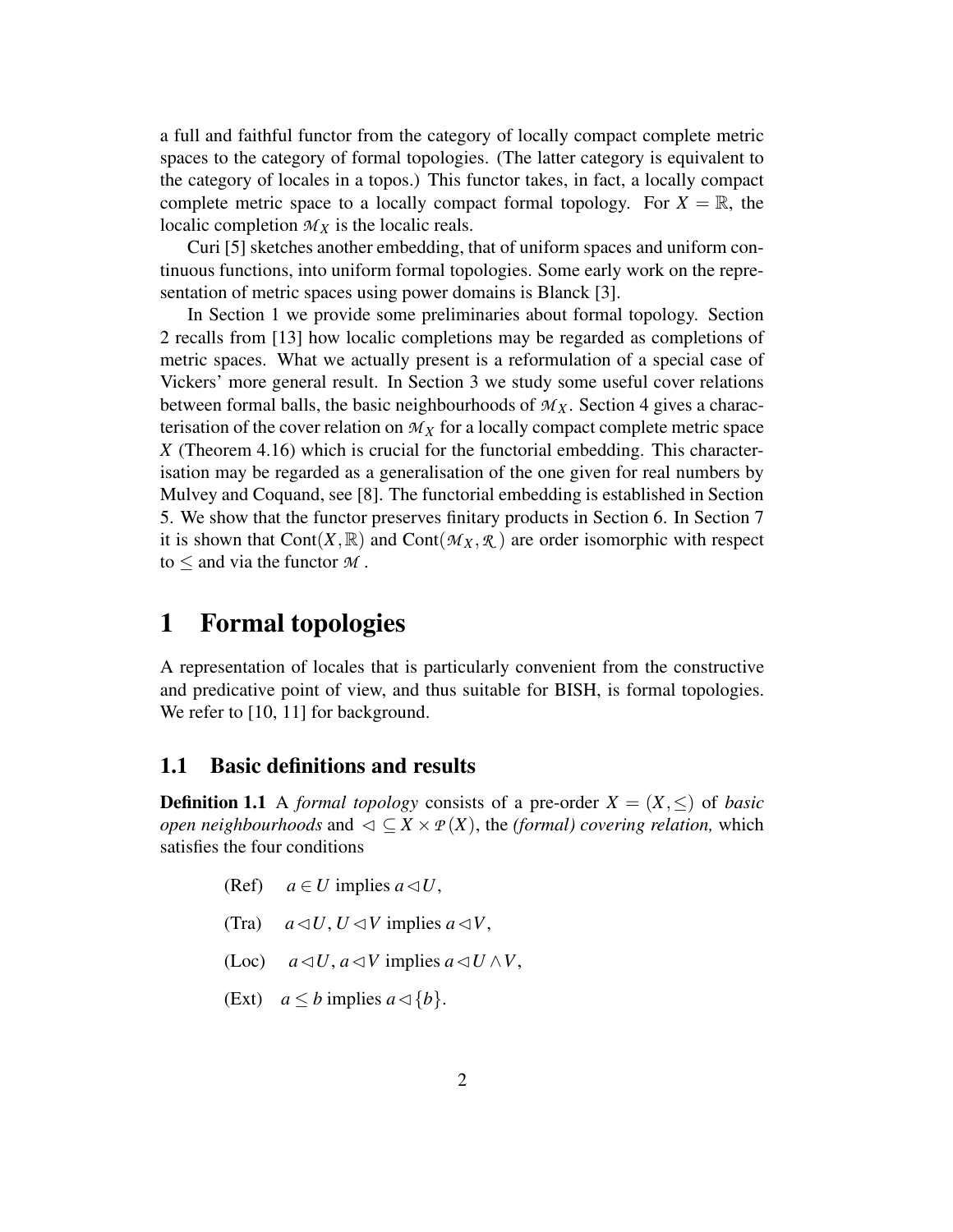a full and faithful functor from the category of locally compact complete metric spaces to the category of formal topologies. (The latter category is equivalent to the category of locales in a topos.) This functor takes, in fact, a locally compact complete metric space to a locally compact formal topology. For  $X = \mathbb{R}$ , the localic completion  $M_X$  is the localic reals.

Curi [5] sketches another embedding, that of uniform spaces and uniform continuous functions, into uniform formal topologies. Some early work on the representation of metric spaces using power domains is Blanck [3].

In Section 1 we provide some preliminaries about formal topology. Section 2 recalls from [13] how localic completions may be regarded as completions of metric spaces. What we actually present is a reformulation of a special case of Vickers' more general result. In Section 3 we study some useful cover relations between formal balls, the basic neighbourhoods of  $M_X$ . Section 4 gives a characterisation of the cover relation on  $M_X$  for a locally compact complete metric space *X* (Theorem 4.16) which is crucial for the functorial embedding. This characterisation may be regarded as a generalisation of the one given for real numbers by Mulvey and Coquand, see [8]. The functorial embedding is established in Section 5. We show that the functor preserves finitary products in Section 6. In Section 7 it is shown that Cont $(X,\mathbb{R})$  and Cont $(\mathcal{M}_X,\mathcal{R})$  are order isomorphic with respect to  $\leq$  and via the functor  $M$ .

## **1 Formal topologies**

A representation of locales that is particularly convenient from the constructive and predicative point of view, and thus suitable for BISH, is formal topologies. We refer to [10, 11] for background.

#### **1.1 Basic definitions and results**

**Definition 1.1** A *formal topology* consists of a pre-order  $X = (X, \leq)$  of *basic open neighbourhoods* and  $\varphi \subseteq X \times P(X)$ , the *(formal) covering relation*, which satisfies the four conditions

- (Ref)  $a \in U$  implies  $a \triangleleft U$ ,
- (Tra)  $a \triangleleft U, U \triangleleft V$  implies  $a \triangleleft V$ ,
- (Loc)  $a \triangleleft U$ ,  $a \triangleleft V$  implies  $a \triangleleft U \wedge V$ ,
- (Ext)  $a \leq b$  implies  $a \triangleleft \{b\}.$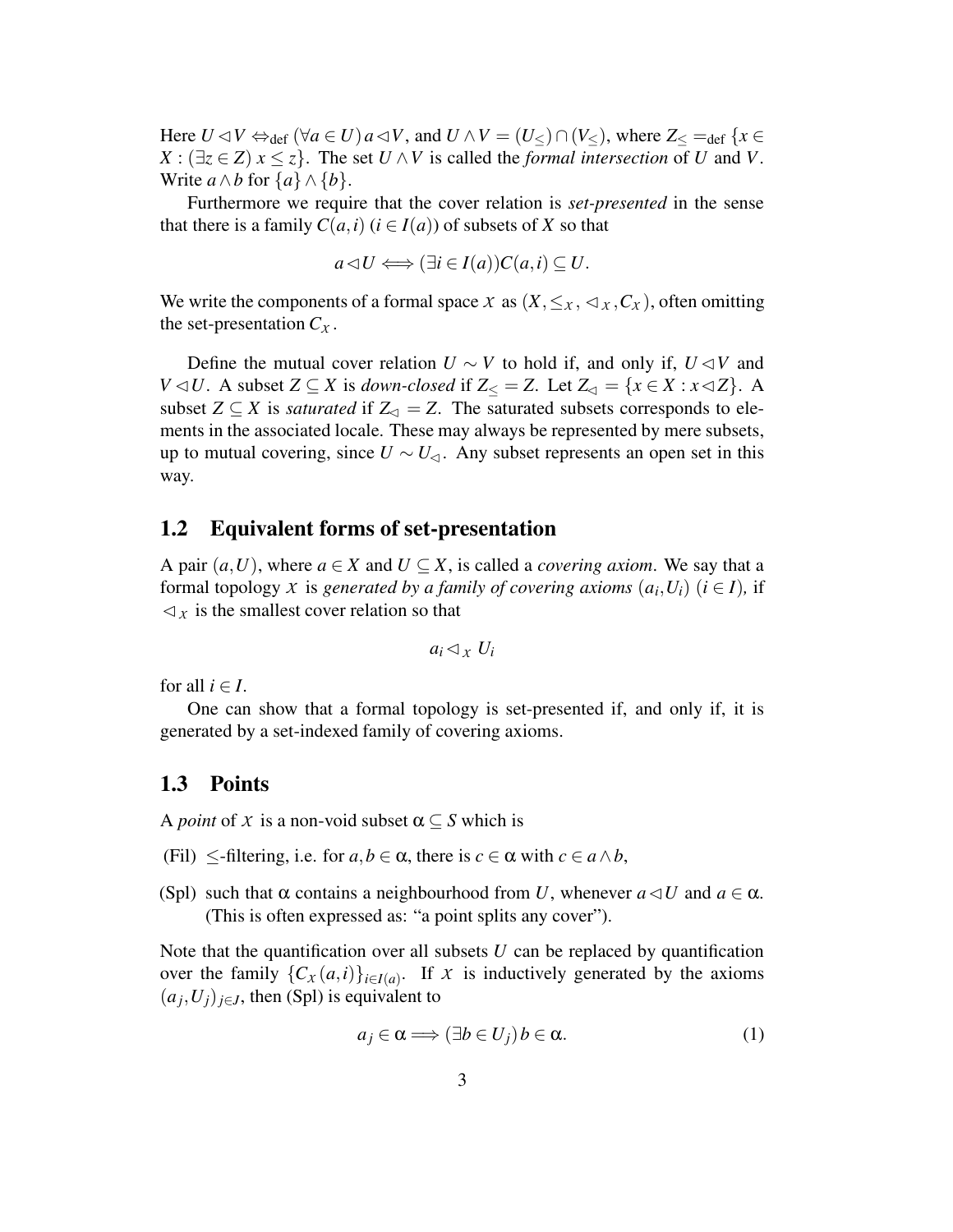Here  $U \triangleleft V \Leftrightarrow_{def} (\forall a \in U) a \triangleleft V$ , and  $U \wedge V = (U \triangleleft) \cap (V \triangleleft)$ , where  $Z \triangleleft =_{def} \{x \in V \triangleleft V | g \in V \triangleleft V\}$  $X : (\exists z \in Z)$   $x \leq z$ . The set  $U \wedge V$  is called the *formal intersection* of *U* and *V*. Write  $a \wedge b$  for  $\{a\} \wedge \{b\}.$ 

Furthermore we require that the cover relation is *set-presented* in the sense that there is a family  $C(a,i)$  ( $i \in I(a)$ ) of subsets of X so that

$$
a \triangleleft U \Longleftrightarrow (\exists i \in I(a)) C(a, i) \subseteq U.
$$

We write the components of a formal space *X* as  $(X, \leq_X, \leq_X, C_X)$ , often omitting the set-presentation  $C_X$ .

Define the mutual cover relation  $U \sim V$  to hold if, and only if,  $U \lhd V$  and *V*  $\triangleleft$ *U*. A subset *Z* ⊆ *X* is *down-closed* if *Z*< = *Z*. Let *Z*<sub> $\triangleleft$ </sub> = {*x* ∈ *X* : *x*  $\triangleleft$  *Z*}. A subset  $Z \subseteq X$  is *saturated* if  $Z_{\lhd} = Z$ . The saturated subsets corresponds to elements in the associated locale. These may always be represented by mere subsets, up to mutual covering, since  $U \sim U_{\leq 1}$ . Any subset represents an open set in this way.

#### **1.2 Equivalent forms of set-presentation**

A pair  $(a, U)$ , where  $a \in X$  and  $U \subset X$ , is called a *covering axiom*. We say that a formal topology *X* is generated by a family of covering axioms  $(a_i, U_i)$   $(i \in I)$ , if  $\triangleleft$ <sub>*x*</sub> is the smallest cover relation so that

$$
a_i \triangleleft_x U_i
$$

for all  $i \in I$ .

One can show that a formal topology is set-presented if, and only if, it is generated by a set-indexed family of covering axioms.

#### **1.3 Points**

A *point* of *X* is a non-void subset  $\alpha \subseteq S$  which is

- (Fil)  $\leq$ -filtering, i.e. for  $a, b \in \alpha$ , there is  $c \in \alpha$  with  $c \in a \wedge b$ ,
- (Spl) such that  $\alpha$  contains a neighbourhood from *U*, whenever  $a \triangleleft U$  and  $a \in \alpha$ . (This is often expressed as: "a point splits any cover").

Note that the quantification over all subsets *U* can be replaced by quantification over the family  $\{C_X(a,i)\}_{i \in I(a)}$ . If *X* is inductively generated by the axioms  $(a_j, U_j)_{j \in J}$ , then (Spl) is equivalent to

$$
a_j \in \alpha \Longrightarrow (\exists b \in U_j) b \in \alpha. \tag{1}
$$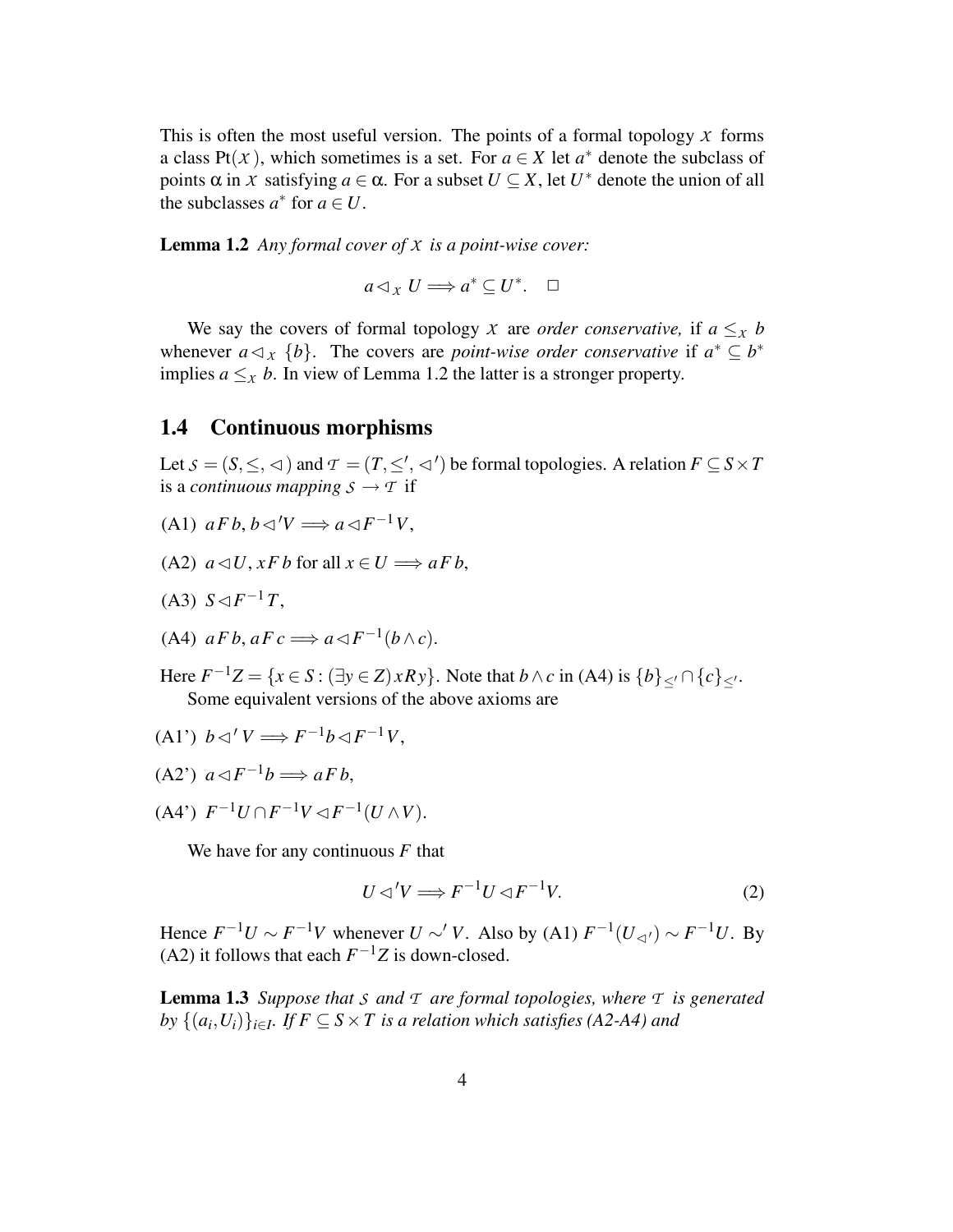This is often the most useful version. The points of a formal topology *X* forms a class Pt(*X*), which sometimes is a set. For  $a \in X$  let  $a^*$  denote the subclass of points  $\alpha$  in *X* satisfying  $a \in \alpha$ . For a subset  $U \subseteq X$ , let  $U^*$  denote the union of all the subclasses  $a^*$  for  $a \in U$ .

**Lemma 1.2** *Any formal cover of X is a point-wise cover:*

$$
a \triangleleft_{X} U \Longrightarrow a^* \subseteq U^*.\quad \Box
$$

We say the covers of formal topology *X* are *order conservative*, if  $a \leq x$  *b* whenever  $a \triangleleft_x \{b\}$ . The covers are *point-wise order conservative* if  $a^* \subseteq b^*$ implies  $a \leq_{\chi} b$ . In view of Lemma 1.2 the latter is a stronger property.

#### **1.4 Continuous morphisms**

Let  $S = (S, \leq, \leq)$  and  $T = (T, \leq', \leq')$  be formal topologies. A relation  $F \subseteq S \times T$ is a *continuous* mapping  $S \rightarrow T$  if

- $(A1)$   $aFb, b \triangleleft' V \Longrightarrow a \triangleleft F^{-1}V,$
- (A2)  $a \triangleleft U$ ,  $xFb$  for all  $x \in U \Longrightarrow aFb$ ,
- $(A3) S \lhd F^{-1}T$ ,
- (A4)  $aFb, aFc \implies a \triangleleft F^{-1}(b \wedge c)$ .
- Here  $F^{-1}Z = \{x \in S : (\exists y \in Z) \times Ry\}$ . Note that  $b \wedge c$  in (A4) is  $\{b\}_{\le'} \cap \{c\}_{\le'}$ . Some equivalent versions of the above axioms are
- $(A1')$   $b \triangleleft' V \Longrightarrow F^{-1}b \triangleleft F^{-1}V$ ,
- $(A2^{\prime})$   $a \triangleleft F^{-1}b \Longrightarrow aFb,$
- $(A4^{\prime})$   $F^{-1}U \cap F^{-1}V \triangleleft F^{-1}(U \wedge V).$

We have for any continuous *F* that

$$
U \triangleleft V \Longrightarrow F^{-1}U \triangleleft F^{-1}V. \tag{2}
$$

Hence  $F^{-1}U \sim F^{-1}V$  whenever  $U \sim V$ . Also by (A1)  $F^{-1}(U_{\lhd}) \sim F^{-1}U$ . By (A2) it follows that each  $F^{-1}Z$  is down-closed.

**Lemma 1.3** *Suppose that S and T are formal topologies, where T is generated*  $by$   $\{(a_i, U_i)\}_{i \in I}$ . If  $F \subseteq S \times T$  is a relation which satisfies (A2-A4) and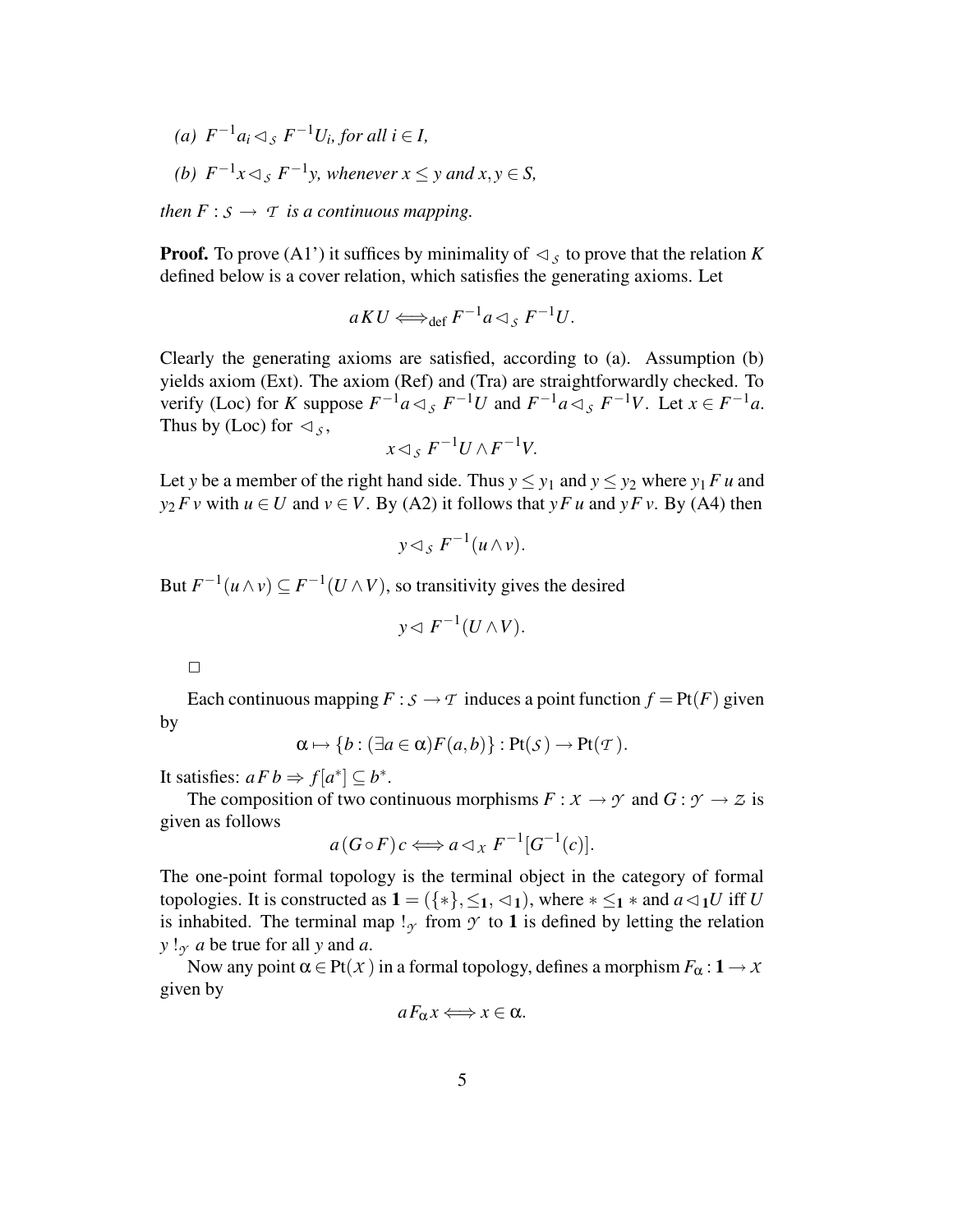*(a)*  $F^{-1}a_i \triangleleft_s F^{-1}U_i$ , for all  $i \in I$ , (b)  $F^{-1}x \triangleleft_{S} F^{-1}y$ , whenever  $x \leq y$  and  $x, y \in S$ ,

*then*  $F : S \to T$  *is a continuous mapping.* 

**Proof.** To prove (A1') it suffices by minimality of  $\lhd$ <sub>S</sub> to prove that the relation K defined below is a cover relation, which satisfies the generating axioms. Let

$$
aKU \Longleftrightarrow_{\text{def}} F^{-1}a \triangleleft_{S} F^{-1}U.
$$

Clearly the generating axioms are satisfied, according to (a). Assumption (b) yields axiom (Ext). The axiom (Ref) and (Tra) are straightforwardly checked. To verify (Loc) for *K* suppose  $F^{-1}a \triangleleft_{S} F^{-1}U$  and  $F^{-1}a \triangleleft_{S} F^{-1}V$ . Let  $x \in F^{-1}a$ . Thus by (Loc) for  $\lhd$  *s*,

$$
x \triangleleft_{S} F^{-1} U \wedge F^{-1} V.
$$

Let *y* be a member of the right hand side. Thus  $y \le y_1$  and  $y \le y_2$  where  $y_1 F u$  and *y*<sub>2</sub> *F v* with  $u \in U$  and  $v \in V$ . By (A2) it follows that *yF u* and *yF v*. By (A4) then

$$
y \triangleleft_{S} F^{-1}(u \wedge v).
$$

But  $F^{-1}(u \wedge v) \subseteq F^{-1}(U \wedge V)$ , so transitivity gives the desired

$$
y \triangleleft F^{-1}(U \wedge V).
$$

Each continuous mapping  $F : \mathcal{S} \to \mathcal{T}$  induces a point function  $f = P(f)$  given by

$$
\alpha \mapsto \{b : (\exists a \in \alpha) F(a,b)\} : \text{Pt}(\mathcal{S}) \to \text{Pt}(\mathcal{T}).
$$

It satisfies:  $aFb \Rightarrow f[a^*] \subseteq b^*$ .

The composition of two continuous morphisms  $F : X \to Y$  and  $G : Y \to Z$  is given as follows

$$
a(G \circ F)c \Longleftrightarrow a \triangleleft_{x} F^{-1}[G^{-1}(c)].
$$

The one-point formal topology is the terminal object in the category of formal topologies. It is constructed as  $\mathbf{1} = (\{*\}, \leq_1, \leq_1)$ , where  $* \leq_1 *$  and  $a \triangleleft_1 U$  iff U is inhabited. The terminal map  $\mathsf{I}_{\gamma}$  from  $\gamma$  to 1 is defined by letting the relation  $y \, y \, a$  be true for all *y* and *a*.

Now any point  $\alpha \in \text{Pt}(X)$  in a formal topology, defines a morphism  $F_{\alpha}: 1 \rightarrow X$ given by

$$
a F_{\alpha} x \Longleftrightarrow x \in \alpha.
$$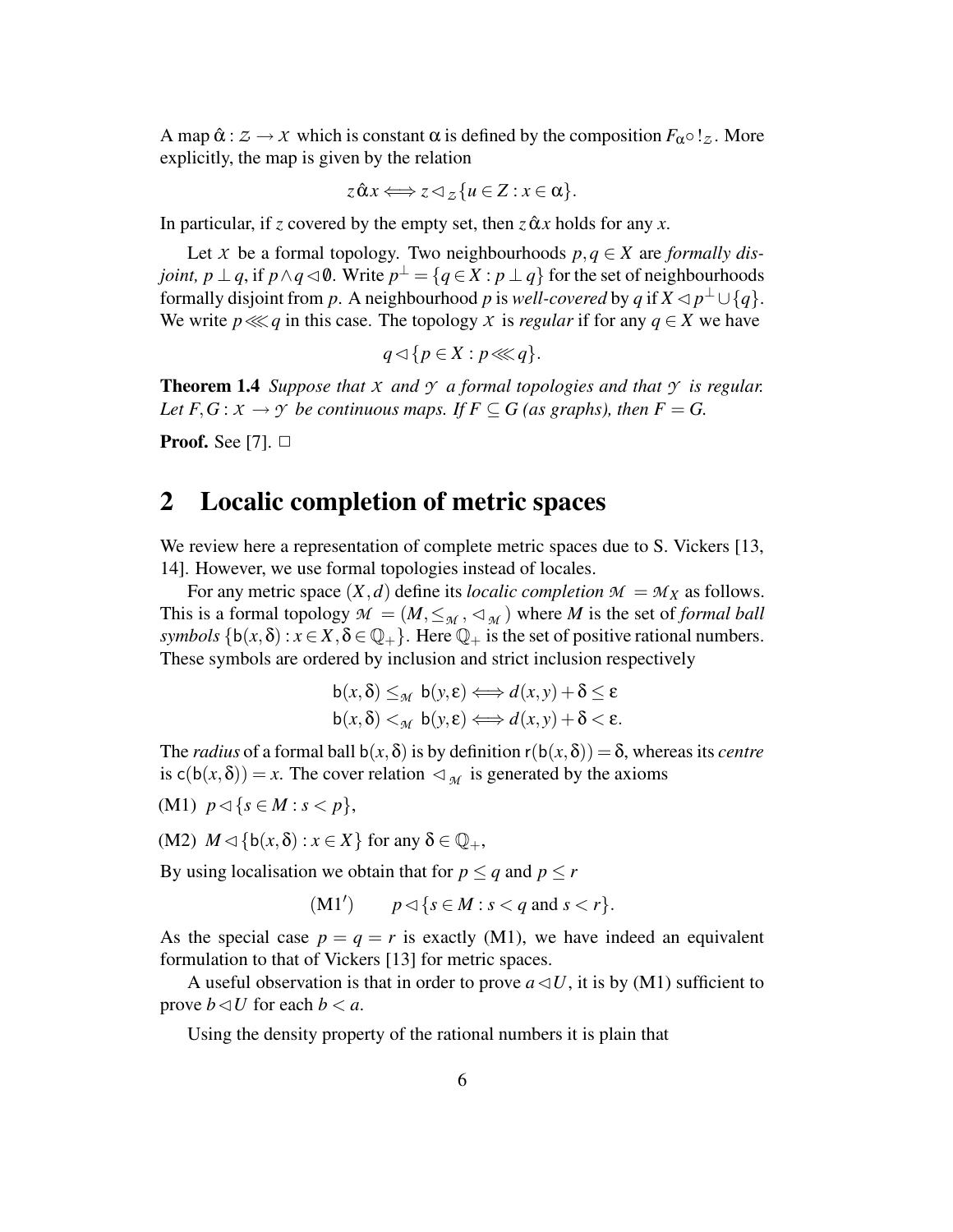A map  $\hat{\alpha}: \mathcal{Z} \to \mathcal{X}$  which is constant  $\alpha$  is defined by the composition  $F_{\alpha} \circ \mathcal{Z}$ . More explicitly, the map is given by the relation

$$
z \hat{\alpha} x \Longleftrightarrow z \triangleleft_{\mathcal{Z}} \{u \in Z : x \in \alpha\}.
$$

In particular, if *z* covered by the empty set, then  $z \hat{\alpha} x$  holds for any *x*.

Let *X* be a formal topology. Two neighbourhoods  $p, q \in X$  are *formally disjoint, p* ⊥ *q*, if *p* ∧ *q* ⊲ 0. Write  $p^{\perp} = \{q \in X : p \perp q\}$  for the set of neighbourhoods formally disjoint from *p*. A neighbourhood *p* is *well-covered* by *q* if  $X \triangleleft p^{\perp} \cup \{q\}$ . We write  $p \lll q$  in this case. The topology *X* is *regular* if for any  $q \in X$  we have

$$
q \triangleleft \{ p \in X : p \lll q \}.
$$

**Theorem 1.4** *Suppose that*  $X$  *and*  $Y$  *a formal topologies and that*  $Y$  *is regular. Let*  $F, G: X \to Y$  *be continuous maps. If*  $F \subseteq G$  *(as graphs), then*  $F = G$ .

**Proof.** See [7].  $\Box$ 

### **2 Localic completion of metric spaces**

We review here a representation of complete metric spaces due to S. Vickers [13, 14]. However, we use formal topologies instead of locales.

For any metric space  $(X, d)$  define its *localic completion*  $M = M_X$  as follows. This is a formal topology  $M = (M, \leq_M, \leq_M)$  where *M* is the set of *formal ball symbols*  $\{b(x, \delta) : x \in X, \delta \in \mathbb{Q}_+\}$ . Here  $\mathbb{Q}_+$  is the set of positive rational numbers. These symbols are ordered by inclusion and strict inclusion respectively

$$
\mathsf{b}(x,\delta) \leq_{\mathcal{M}} \mathsf{b}(y,\epsilon) \Longleftrightarrow d(x,y) + \delta \leq \epsilon
$$
  

$$
\mathsf{b}(x,\delta) <_{\mathcal{M}} \mathsf{b}(y,\epsilon) \Longleftrightarrow d(x,y) + \delta < \epsilon.
$$

The *radius* of a formal ball  $b(x, \delta)$  is by definition  $r(b(x, \delta)) = \delta$ , whereas its *centre* is  $c(b(x, \delta)) = x$ . The cover relation  $\lhd_{\mathcal{M}}$  is generated by the axioms (M1) *p*✁{*s* ∈ *M* : *s* < *p*},

$$
(M1) \ \ p \lhd \{ s \in M : s < p \},
$$

(M2)  $M \triangleleft \{ b(x, \delta) : x \in X \}$  for any  $\delta \in \mathbb{Q}_+$ ,

By using localisation we obtain that for  $p \le q$  and  $p \le r$ 

$$
(M1') \qquad p \lhd \{s \in M : s < q \text{ and } s < r\}.
$$

As the special case  $p = q = r$  is exactly (M1), we have indeed an equivalent formulation to that of Vickers [13] for metric spaces.

A useful observation is that in order to prove  $a \triangleleft U$ , it is by (M1) sufficient to prove  $b \triangleleft U$  for each  $b \le a$ .

Using the density property of the rational numbers it is plain that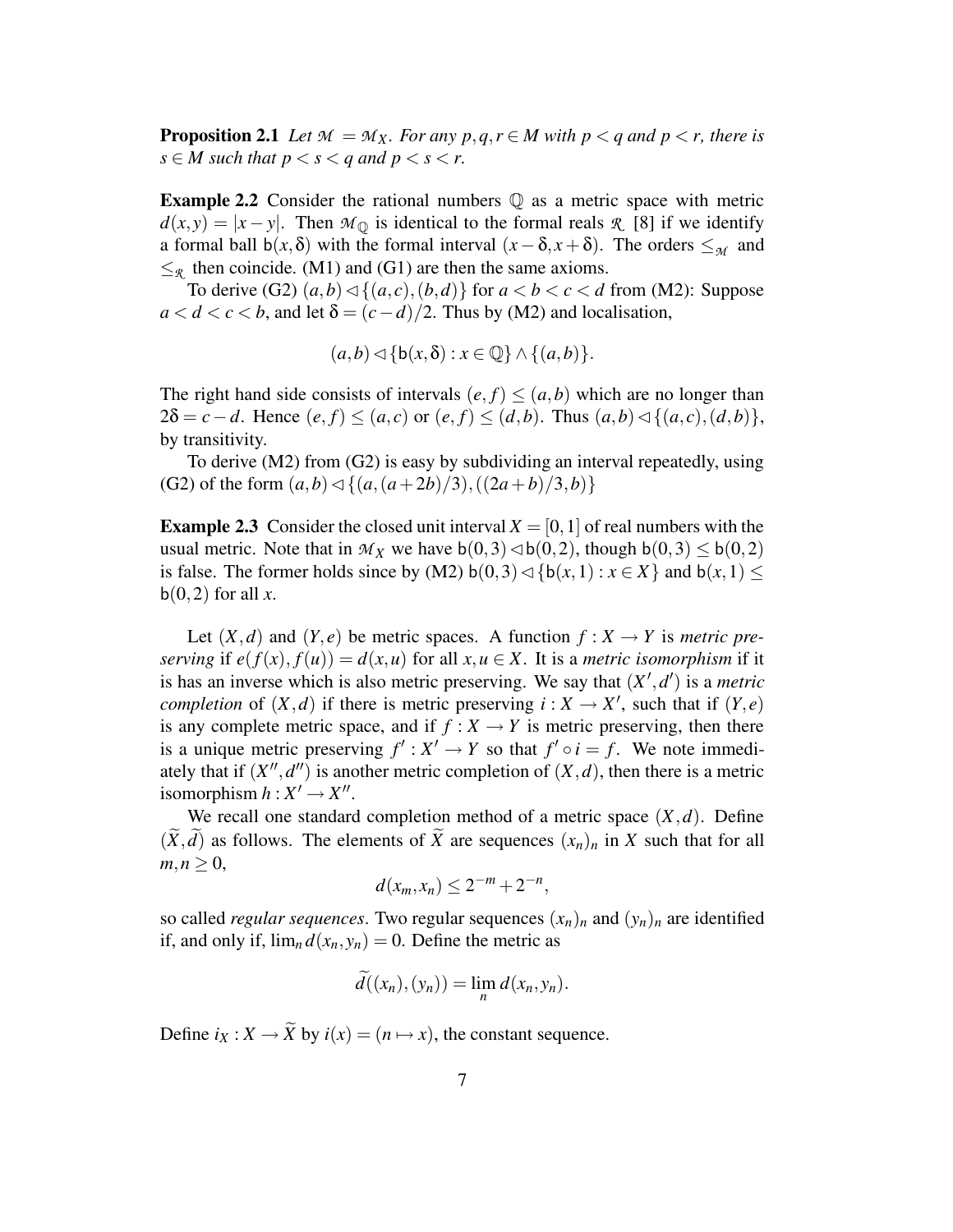**Proposition 2.1** *Let*  $M = M_X$ *. For any*  $p, q, r \in M$  *with*  $p < q$  *and*  $p < r$ *, there is*  $s \in M$  *such that*  $p < s < q$  *and*  $p < s < r$ .

**Example 2.2** Consider the rational numbers  $\mathbb{Q}$  as a metric space with metric  $d(x, y) = |x - y|$ . Then  $M_{\mathbb{Q}}$  is identical to the formal reals *R* [8] if we identify a formal ball  $b(x, \delta)$  with the formal interval  $(x - \delta, x + \delta)$ . The orders  $\leq_M$  and  $\leq_{\mathcal{R}}$  then coincide. (M1) and (G1) are then the same axioms.

To derive (G2)  $(a,b) \triangleleft \{ (a,c), (b,d) \}$  for  $a < b < c < d$  from (M2): Suppose  $a < d < c < b$ , and let  $\delta = (c - d)/2$ . Thus by (M2) and localisation,

$$
(a,b) \triangleleft \{ b(x,\delta) : x \in \mathbb{Q} \} \wedge \{ (a,b) \}.
$$

The right hand side consists of intervals  $(e, f) \leq (a, b)$  which are no longer than  $2\delta = c - d$ . Hence  $(e, f) \leq (a, c)$  or  $(e, f) \leq (d, b)$ . Thus  $(a, b) \triangleleft \{(a, c), (d, b)\},$ by transitivity.

To derive (M2) from (G2) is easy by subdividing an interval repeatedly, using (G2) of the form  $(a,b) \triangleleft \{ (a,(a+2b)/3),((2a+b)/3,b) \}$ 

**Example 2.3** Consider the closed unit interval  $X = [0, 1]$  of real numbers with the usual metric. Note that in  $\mathcal{M}_X$  we have  $b(0,3) \triangleleft b(0,2)$ , though  $b(0,3) \leq b(0,2)$ is false. The former holds since by (M2)  $b(0,3) \triangleleft \{ b(x,1) : x \in X \}$  and  $b(x,1) \le$  $b(0,2)$  for all x.

Let  $(X, d)$  and  $(Y, e)$  be metric spaces. A function  $f: X \to Y$  is *metric preserving* if  $e(f(x), f(u)) = d(x, u)$  for all  $x, u \in X$ . It is a *metric isomorphism* if it is has an inverse which is also metric preserving. We say that  $(X', d')$  is a *metric completion* of  $(X, d)$  if there is metric preserving  $i : X \to X'$ , such that if  $(Y, e)$ is any complete metric space, and if  $f : X \to Y$  is metric preserving, then there is a unique metric preserving  $f' : X' \to Y$  so that  $f' \circ i = f$ . We note immediately that if  $(X'', d'')$  is another metric completion of  $(X, d)$ , then there is a metric isomorphism  $h: X' \rightarrow X''$ .

We recall one standard completion method of a metric space  $(X,d)$ . Define  $(\widetilde{X}, \widetilde{d})$  as follows. The elements of  $\widetilde{X}$  are sequences  $(x_n)_n$  in *X* such that for all  $m, n \geq 0$ ,

$$
d(x_m, x_n) \leq 2^{-m} + 2^{-n},
$$

so called *regular sequences*. Two regular sequences  $(x_n)_n$  and  $(y_n)_n$  are identified if, and only if,  $\lim_{n} d(x_n, y_n) = 0$ . Define the metric as

$$
\widetilde{d}((x_n),(y_n))=\lim_n d(x_n,y_n).
$$

Define  $i_X : X \to \tilde{X}$  by  $i(x) = (n \mapsto x)$ , the constant sequence.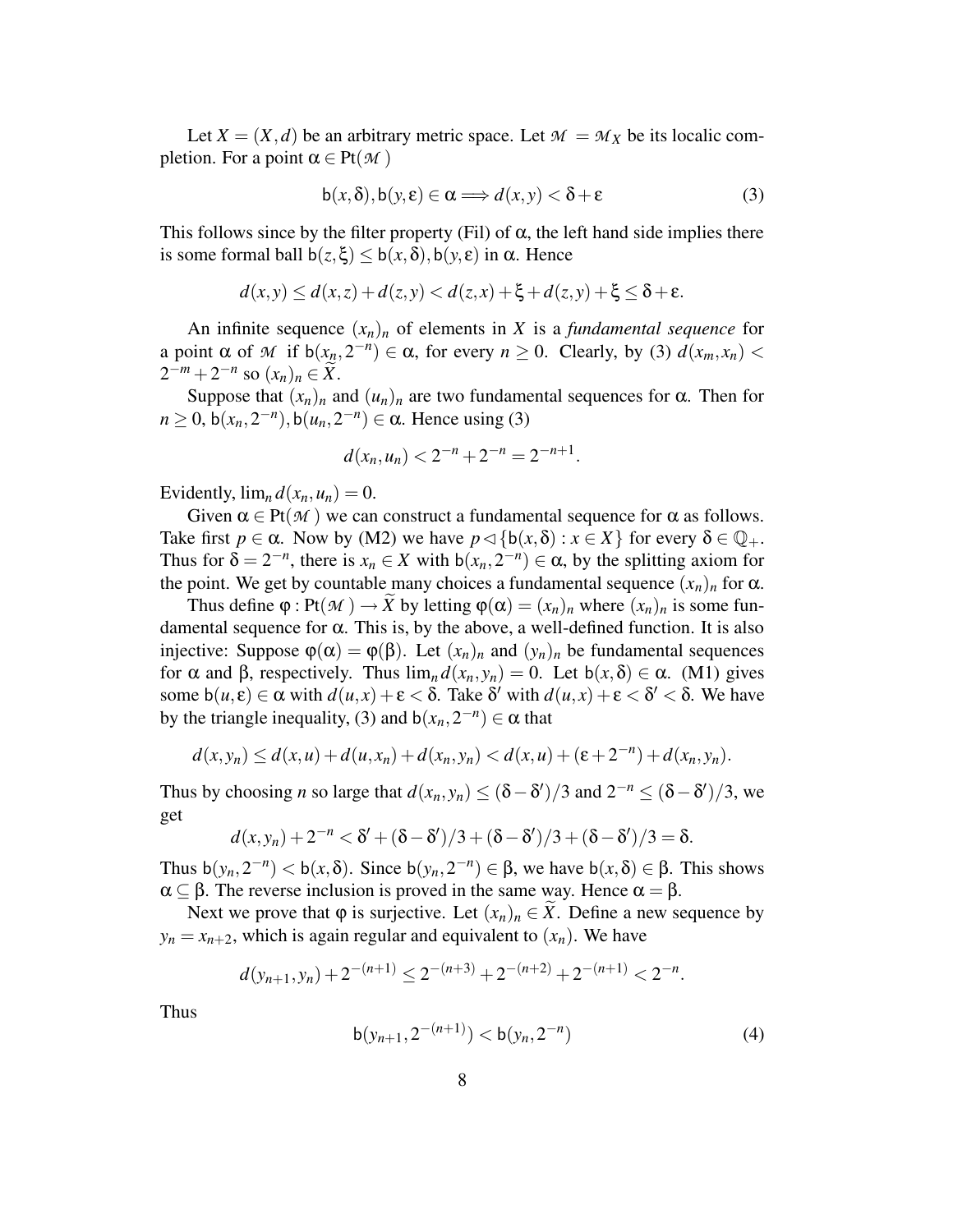Let  $X = (X, d)$  be an arbitrary metric space. Let  $M = M_X$  be its localic completion. For a point  $\alpha \in Pt(M)$ 

$$
b(x,\delta), b(y,\varepsilon) \in \alpha \Longrightarrow d(x,y) < \delta + \varepsilon \tag{3}
$$

.

This follows since by the filter property (Fil) of  $\alpha$ , the left hand side implies there is some formal ball  $b(z, \xi) \leq b(x, \delta), b(y, \varepsilon)$  in  $\alpha$ . Hence

$$
d(x,y) \leq d(x,z) + d(z,y) < d(z,x) + \xi + d(z,y) + \xi \leq \delta + \varepsilon.
$$

An infinite sequence  $(x_n)_n$  of elements in *X* is a *fundamental sequence* for a point  $\alpha$  of  $\mathcal M$  if  $b(x_n, 2^{-n}) \in \alpha$ , for every  $n \ge 0$ . Clearly, by (3)  $d(x_m, x_n)$  $2^{-m} + 2^{-n}$  so  $(x_n)_n \in \widetilde{X}$ .

Suppose that  $(x_n)_n$  and  $(u_n)_n$  are two fundamental sequences for  $\alpha$ . Then for  $n \ge 0$ ,  $b(x_n, 2^{-n})$ ,  $b(u_n, 2^{-n}) \in \alpha$ . Hence using (3)

$$
d(x_n, u_n) < 2^{-n} + 2^{-n} = 2^{-n+1}
$$

Evidently,  $\lim_{n} d(x_n, u_n) = 0$ .

Given  $\alpha \in Pt(\mathcal{M})$  we can construct a fundamental sequence for  $\alpha$  as follows. Take first  $p \in \alpha$ . Now by (M2) we have  $p \triangleleft \{ b(x, \delta) : x \in X \}$  for every  $\delta \in \mathbb{Q}_+$ . Thus for  $\delta = 2^{-n}$ , there is  $x_n \in X$  with  $b(x_n, 2^{-n}) \in \alpha$ , by the splitting axiom for the point. We get by countable many choices a fundamental sequence  $(x_n)_n$  for  $\alpha$ .

Thus define  $\varphi$  : Pt( $\mathcal{M}$ )  $\rightarrow \widetilde{X}$  by letting  $\varphi(\alpha) = (x_n)_n$  where  $(x_n)_n$  is some fundamental sequence for  $\alpha$ . This is, by the above, a well-defined function. It is also injective: Suppose  $\varphi(\alpha) = \varphi(\beta)$ . Let  $(x_n)_n$  and  $(y_n)_n$  be fundamental sequences for  $\alpha$  and  $\beta$ , respectively. Thus  $\lim_{n} d(x_n, y_n) = 0$ . Let  $b(x, \delta) \in \alpha$ . (M1) gives some  $b(u,\varepsilon) \in \alpha$  with  $d(u,x) + \varepsilon < \delta$ . Take  $\delta'$  with  $d(u,x) + \varepsilon < \delta' < \delta$ . We have by the triangle inequality, (3) and  $b(x_n, 2^{-n}) \in \alpha$  that

$$
d(x,y_n) \leq d(x,u) + d(u,x_n) + d(x_n,y_n) < d(x,u) + (\varepsilon + 2^{-n}) + d(x_n,y_n).
$$

Thus by choosing *n* so large that  $d(x_n, y_n) \le (\delta - \delta')/3$  and  $2^{-n} \le (\delta - \delta')/3$ , we get

$$
d(x,y_n)+2^{-n}<\delta'+(\delta-\delta')/3+(\delta-\delta')/3+(\delta-\delta')/3=\delta.
$$

Thus  $b(y_n, 2^{-n}) < b(x, \delta)$ . Since  $b(y_n, 2^{-n}) \in \beta$ , we have  $b(x, \delta) \in \beta$ . This shows  $\alpha \subseteq \beta$ . The reverse inclusion is proved in the same way. Hence  $\alpha = \beta$ .

Next we prove that  $\varphi$  is surjective. Let  $(x_n)_n \in X$ . Define a new sequence by  $y_n = x_{n+2}$ , which is again regular and equivalent to  $(x_n)$ . We have

$$
d(y_{n+1}, y_n) + 2^{-(n+1)} \le 2^{-(n+3)} + 2^{-(n+2)} + 2^{-(n+1)} < 2^{-n}.
$$

Thus

$$
b(y_{n+1}, 2^{-(n+1)}) < b(y_n, 2^{-n}) \tag{4}
$$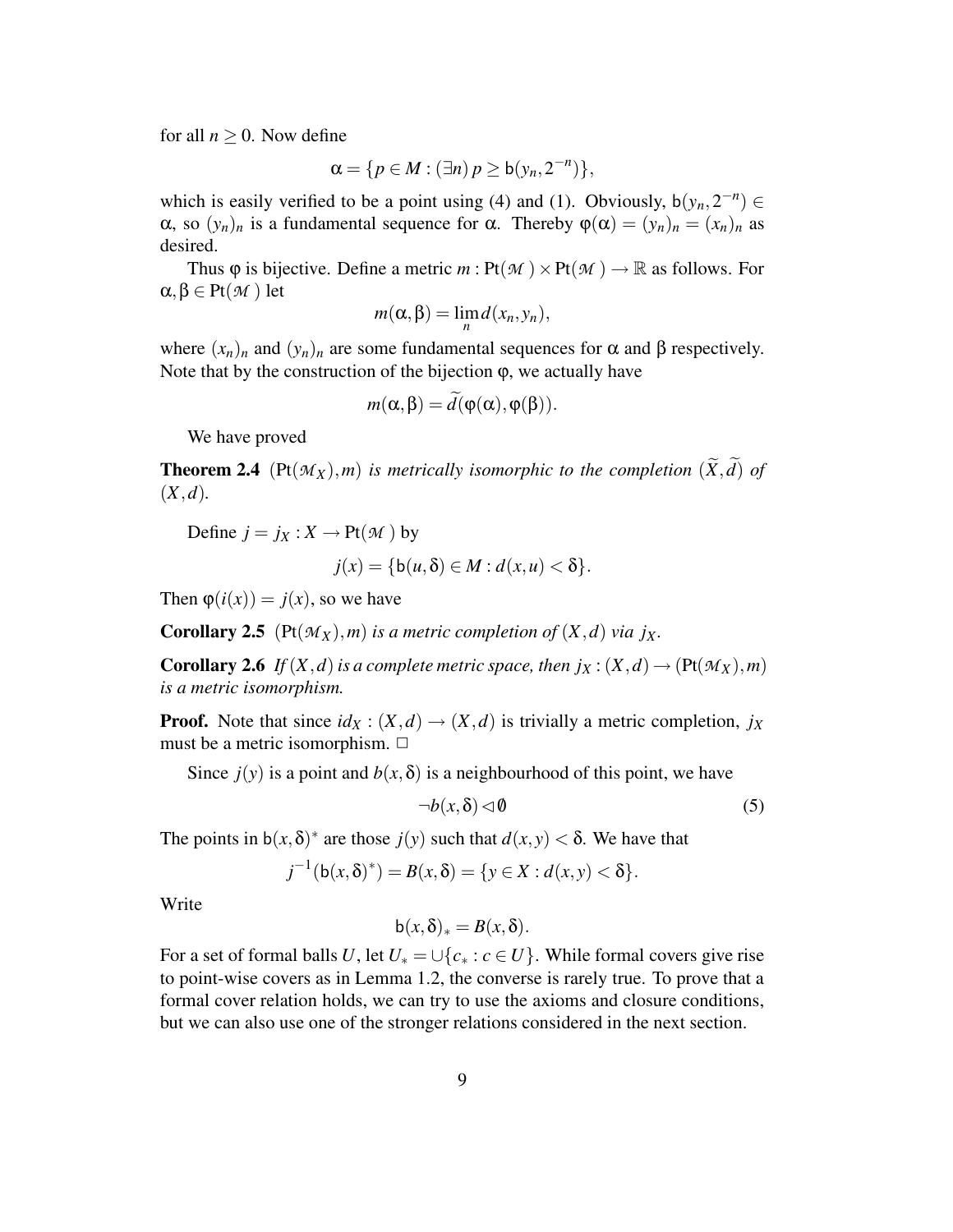for all  $n \geq 0$ . Now define

$$
\alpha = \{p \in M : (\exists n) p \ge b(y_n, 2^{-n})\},\
$$

which is easily verified to be a point using (4) and (1). Obviously,  $b(y_n, 2^{-n}) \in$ α, so  $(y_n)_n$  is a fundamental sequence for α. Thereby  $\varphi(\alpha) = (y_n)_n = (x_n)_n$  as desired.

Thus  $\varphi$  is bijective. Define a metric  $m: \text{Pt}(\mathcal{M}) \times \text{Pt}(\mathcal{M}) \to \mathbb{R}$  as follows. For  $\alpha, \beta \in Pt(M)$  let

$$
m(\alpha,\beta)=\lim_{n}d(x_n,y_n),
$$

where  $(x_n)_n$  and  $(y_n)_n$  are some fundamental sequences for  $\alpha$  and  $\beta$  respectively. Note that by the construction of the bijection  $\varphi$ , we actually have

$$
m(\alpha, \beta) = \widetilde{d}(\varphi(\alpha), \varphi(\beta)).
$$

We have proved

**Theorem 2.4** (Pt $(\mathcal{M}_X)$ ,*m*) *is metrically isomorphic to the completion*  $(\widetilde{X}, \widetilde{d})$  *of* (*X*,*d*)*.*

Define  $j = j_X : X \to Pt(M)$  by

$$
j(x) = \{b(u, \delta) \in M : d(x, u) < \delta\}.
$$

Then  $\varphi(i(x)) = j(x)$ , so we have

**Corollary 2.5** (Pt $(M_X)$ , *m*) *is a metric completion of*  $(X, d)$  *via jx*.

**Corollary 2.6** *If*(*X*,*d*) *is a complete metric space*, *then*  $j_X$  : ( $X$ ,*d*)  $\rightarrow$  ( $Pt(\mathcal{M}_X)$ ,  $m$ ) *is a metric isomorphism.*

**Proof.** Note that since  $id_X : (X, d) \rightarrow (X, d)$  is trivially a metric completion,  $j_X$ must be a metric isomorphism.  $\Box$ 

Since  $j(y)$  is a point and  $b(x, \delta)$  is a neighbourhood of this point, we have

$$
\neg b(x,\delta) \lhd \emptyset \tag{5}
$$

The points in  $b(x, \delta)^*$  are those  $j(y)$  such that  $d(x, y) < \delta$ . We have that

$$
j^{-1}(\mathsf{b}(x,\delta)^*) = B(x,\delta) = \{y \in X : d(x,y) < \delta\}.
$$

Write

$$
b(x,\delta)_*=B(x,\delta).
$$

For a set of formal balls *U*, let  $U_* = \bigcup \{c_* : c \in U\}$ . While formal covers give rise to point-wise covers as in Lemma 1.2, the converse is rarely true. To prove that a formal cover relation holds, we can try to use the axioms and closure conditions, but we can also use one of the stronger relations considered in the next section.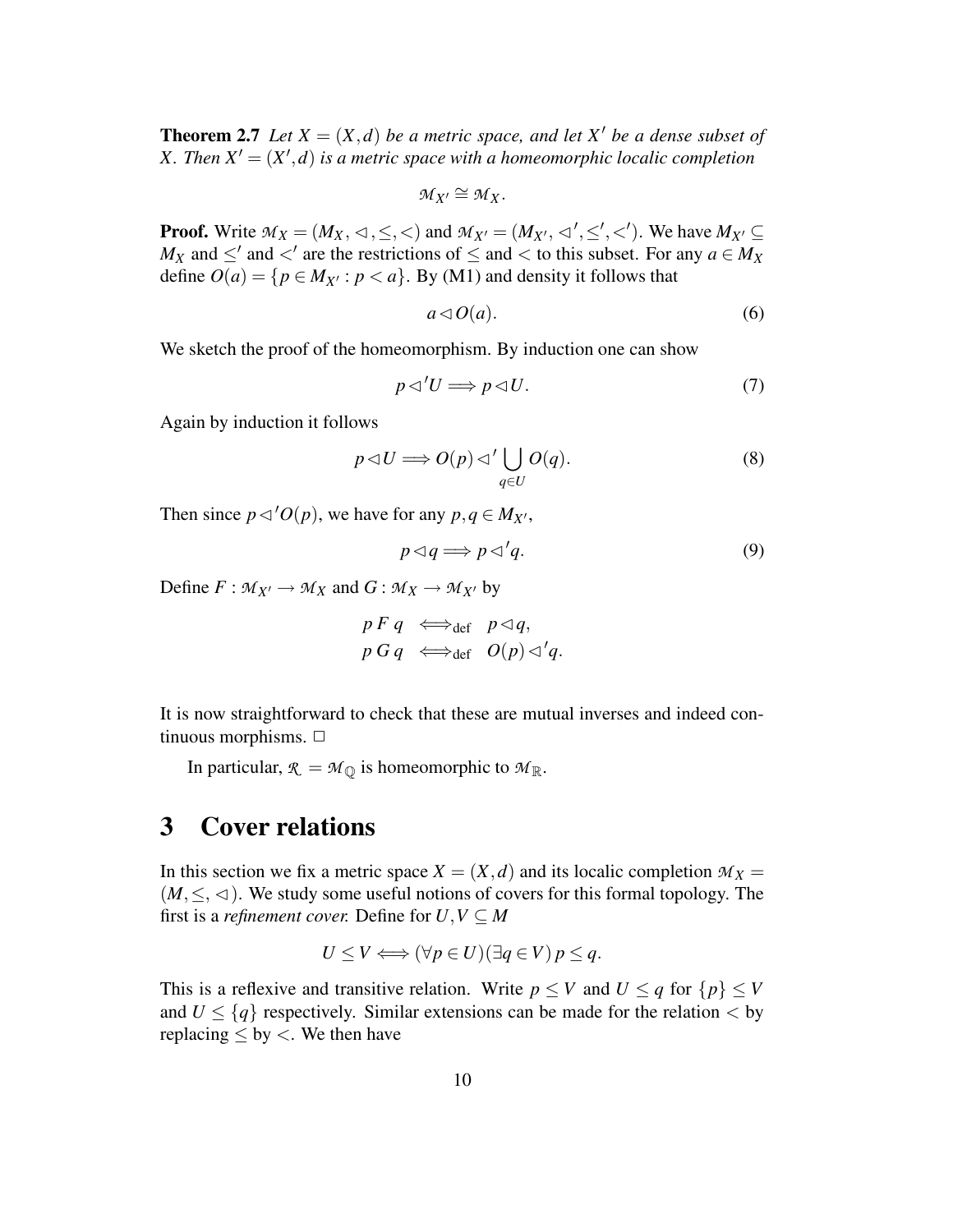**Theorem 2.7** *Let*  $X = (X,d)$  *be a metric space, and let*  $X'$  *be a dense subset of X*. Then  $X' = (X', d)$  is a metric space with a homeomorphic localic completion

 $M_X \cong M_X$ .

**Proof.** Write  $M_X = (M_X, \langle \cdot, \leq \rangle, \langle \cdot \rangle)$  and  $M_{X'} = (M_{X'}, \langle \cdot, \leq \rangle, \langle \cdot \rangle)$ . We have  $M_{X'} \subseteq$ *M*<sub>*X*</sub> and  $\leq'$  and  $\lt'$  are the restrictions of  $\leq$  and  $\lt$  to this subset. For any  $a \in M_X$ define  $O(a) = \{p \in M_{X'} : p < a\}$ . By (M1) and density it follows that

$$
a \triangleleft O(a). \tag{6}
$$

We sketch the proof of the homeomorphism. By induction one can show

$$
p \triangleleft' U \Longrightarrow p \triangleleft U. \tag{7}
$$

Again by induction it follows

$$
p \triangleleft U \Longrightarrow O(p) \triangleleft' \bigcup_{q \in U} O(q). \tag{8}
$$

Then since  $p \triangleleft' O(p)$ , we have for any  $p, q \in M_{X'}$ ,

$$
p \triangleleft q \Longrightarrow p \triangleleft 'q. \tag{9}
$$

Define  $F : M_{X'} \to M_X$  and  $G : M_X \to M_{X'}$  by

$$
p \ F \ q \iff_{\text{def}} p \lhd q,
$$
  

$$
p \ G \ q \iff_{\text{def}} \ O(p) \lhd' q.
$$

It is now straightforward to check that these are mutual inverses and indeed continuous morphisms.  $\Box$ 

In particular,  $\mathcal{R} = \mathcal{M}_{\mathbb{Q}}$  is homeomorphic to  $\mathcal{M}_{\mathbb{R}}$ .

### **3 Cover relations**

In this section we fix a metric space  $X = (X, d)$  and its localic completion  $M_X =$  $(M, \leq, \leq)$ . We study some useful notions of covers for this formal topology. The first is a *refinement cover.* Define for  $U, V \subseteq M$ 

$$
U \le V \Longleftrightarrow (\forall p \in U)(\exists q \in V) p \le q.
$$

This is a reflexive and transitive relation. Write  $p \leq V$  and  $U \leq q$  for  $\{p\} \leq V$ and  $U \leq \{q\}$  respectively. Similar extensions can be made for the relation  $\langle$  by replacing  $\leq$  by  $\lt$ . We then have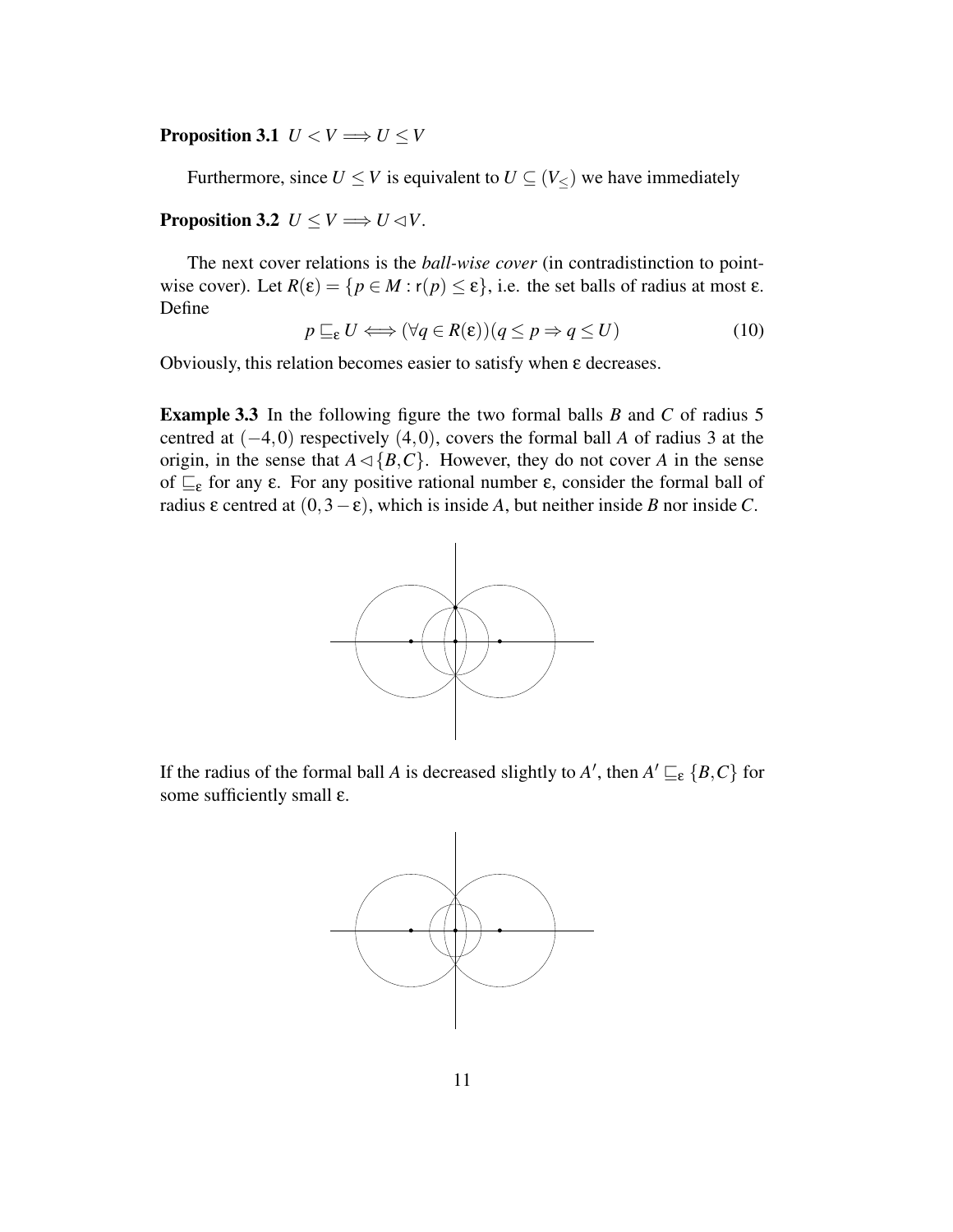**Proposition 3.1**  $U < V \implies U \leq V$ 

Furthermore, since  $U \leq V$  is equivalent to  $U \subseteq (V_{\leq})$  we have immediately

#### **Proposition 3.2**  $U \leq V \implies U \leq V$ .

The next cover relations is the *ball-wise cover* (in contradistinction to pointwise cover). Let  $R(\varepsilon) = \{p \in M : r(p) \le \varepsilon\}$ , i.e. the set balls of radius at most  $\varepsilon$ . Define

$$
p \sqsubseteq_{\varepsilon} U \Longleftrightarrow (\forall q \in R(\varepsilon))(q \leq p \Rightarrow q \leq U)
$$
 (10)

Obviously, this relation becomes easier to satisfy when ε decreases.

**Example 3.3** In the following figure the two formal balls *B* and *C* of radius 5 centred at (−4,0) respectively (4,0), covers the formal ball *A* of radius 3 at the origin, in the sense that  $A \triangleleft \{B, C\}$ . However, they do not cover *A* in the sense of  $\sqsubseteq_{\varepsilon}$  for any  $\varepsilon$ . For any positive rational number  $\varepsilon$ , consider the formal ball of radius ε centred at (0,3−ε), which is inside *A*, but neither inside *B* nor inside *C*.



If the radius of the formal ball *A* is decreased slightly to *A*<sup> $\prime$ </sup>, then  $A' \sqsubseteq_{\varepsilon} \{B, C\}$  for some sufficiently small ε.

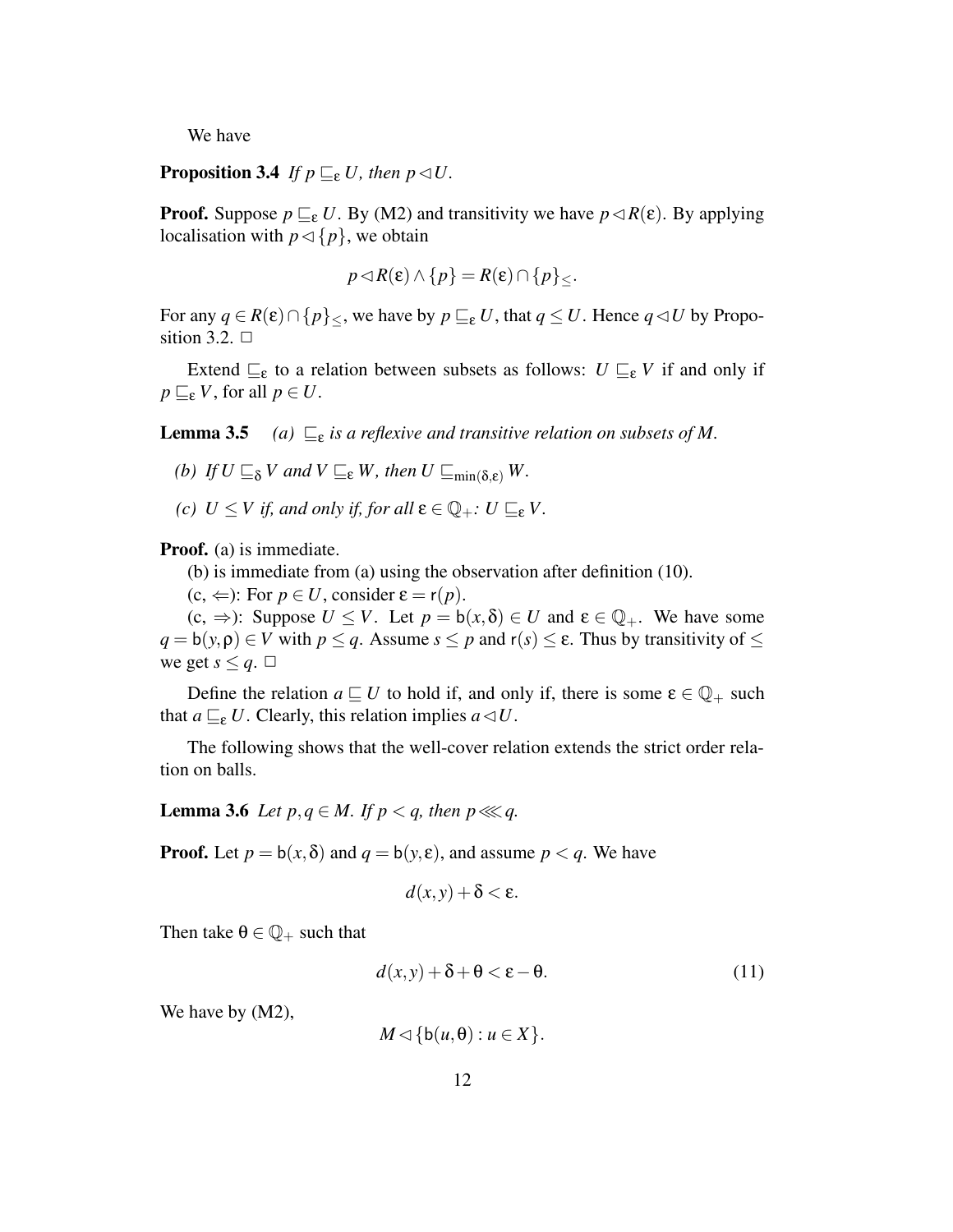We have

**Proposition 3.4** *If*  $p \sqsubseteq_{\varepsilon} U$ *, then*  $p \triangleleft U$ *.* 

**Proof.** Suppose  $p \sqsubseteq_{\varepsilon} U$ . By (M2) and transitivity we have  $p \lhd R(\varepsilon)$ . By applying localisation with  $p \triangleleft \{p\}$ , we obtain

$$
p \triangleleft R(\varepsilon) \wedge \{p\} = R(\varepsilon) \cap \{p\}_{\leq}.
$$

For any  $q \in R(\varepsilon) \cap \{p\}$ , we have by  $p \sqsubseteq_{\varepsilon} U$ , that  $q \leq U$ . Hence  $q \lhd U$  by Proposition 3.2.  $\Box$ 

Extend  $\sqsubseteq_{\varepsilon}$  to a relation between subsets as follows:  $U \sqsubseteq_{\varepsilon} V$  if and only if  $p \sqsubseteq_{\varepsilon} V$ , for all  $p \in U$ .

**Lemma 3.5** *(a)*  $\sqsubseteq$ <sub>*ε*</sub> *is a reflexive and transitive relation on subsets of M*.

*(b) If*  $U \sqsubseteq_{\delta} V$  *and*  $V \sqsubseteq_{\epsilon} W$ *, then*  $U \sqsubseteq_{\min(\delta,\epsilon)} W$ *.* 

*(c)*  $U \leq V$  *if, and only if, for all*  $\epsilon \in \mathbb{Q}_+$ *:*  $U \sqsubseteq_{\epsilon} V$ .

**Proof.** (a) is immediate.

(b) is immediate from (a) using the observation after definition (10).

 $(c, \Leftarrow)$ : For  $p \in U$ , consider  $\varepsilon = r(p)$ .

 $(c, \Rightarrow)$ : Suppose  $U \leq V$ . Let  $p = b(x, \delta) \in U$  and  $\varepsilon \in \mathbb{Q}_+$ . We have some  $q = b(y, \rho) \in V$  with  $p \leq q$ . Assume  $s \leq p$  and  $r(s) \leq \varepsilon$ . Thus by transitivity of  $\leq$ we get  $s \leq q$ .  $\Box$ 

Define the relation  $a \sqsubseteq U$  to hold if, and only if, there is some  $\varepsilon \in \mathbb{Q}_+$  such that  $a \sqsubseteq_{\varepsilon} U$ . Clearly, this relation implies  $a \triangleleft U$ .

The following shows that the well-cover relation extends the strict order relation on balls.

**Lemma** 3.6 *Let*  $p, q \in M$ . If  $p < q$ , then  $p \lll q$ .

**Proof.** Let  $p = b(x, \delta)$  and  $q = b(y, \epsilon)$ , and assume  $p < q$ . We have

$$
d(x,y)+\delta<\varepsilon.
$$

Then take  $\theta \in \mathbb{Q}_+$  such that

$$
d(x, y) + \delta + \theta < \varepsilon - \theta. \tag{11}
$$

We have by  $(M2)$ ,

 $M \triangleleft \{ b(u, \theta) : u \in X \}.$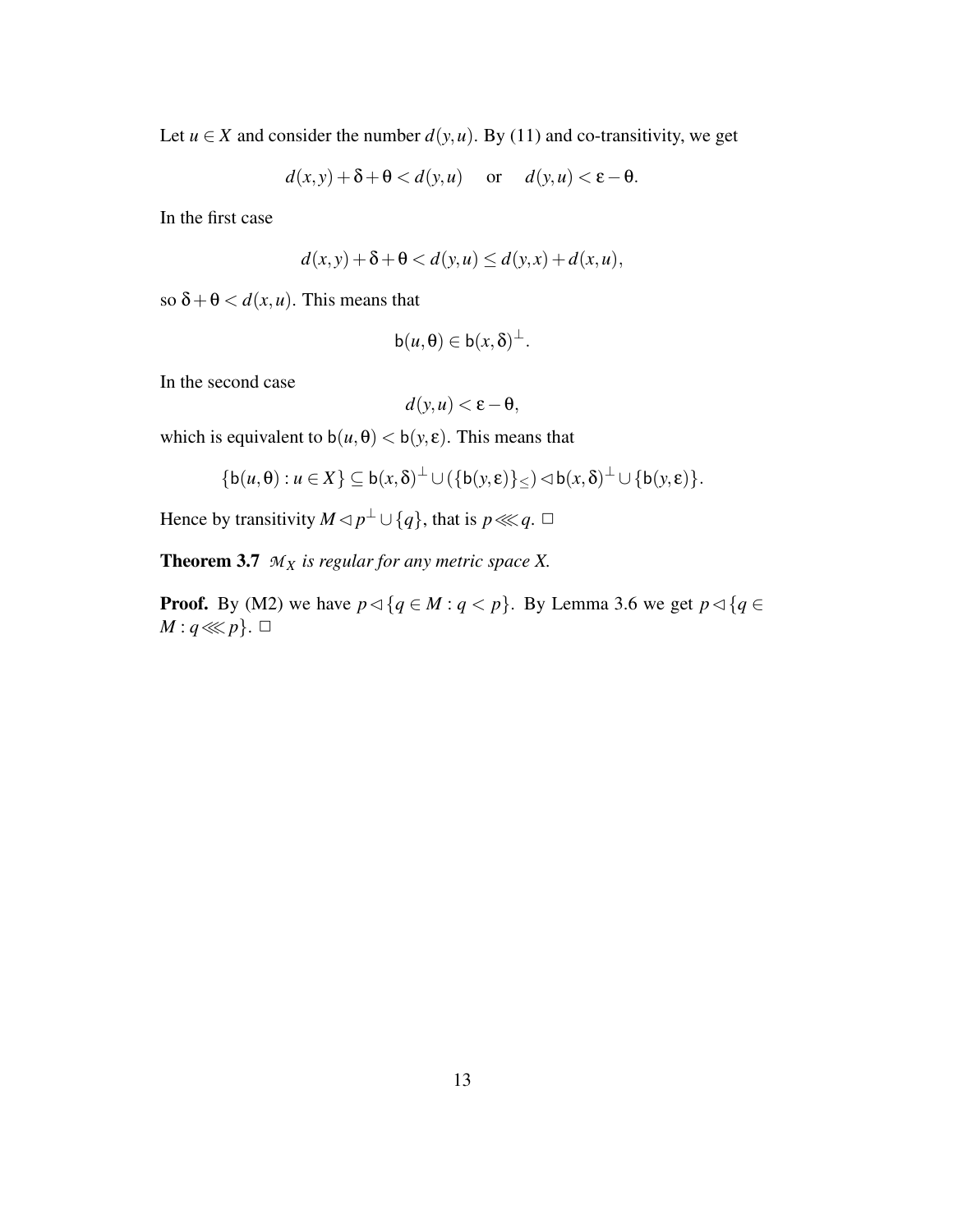Let  $u \in X$  and consider the number  $d(y, u)$ . By (11) and co-transitivity, we get

$$
d(x, y) + \delta + \Theta < d(y, u) \quad \text{or} \quad d(y, u) < \varepsilon - \Theta.
$$

In the first case

$$
d(x, y) + \delta + \Theta < d(y, u) \le d(y, x) + d(x, u),
$$

so  $\delta + \theta < d(x, u)$ . This means that

$$
\mathsf{b}(u,\theta) \in \mathsf{b}(x,\delta)^{\perp}.
$$

In the second case

$$
d(y, u) < \varepsilon - \theta,
$$

which is equivalent to  $b(u, \theta) < b(y, \varepsilon)$ . This means that

$$
\{\mathsf{b}(u,\theta): u \in X\} \subseteq \mathsf{b}(x,\delta)^{\perp} \cup (\{\mathsf{b}(y,\varepsilon)\}_\leq) \triangleleft \mathsf{b}(x,\delta)^{\perp} \cup \{\mathsf{b}(y,\varepsilon)\}.
$$

Hence by transitivity  $M \triangleleft p^{\perp} \cup \{q\}$ , that is  $p \lll q$ .  $\Box$ 

**Theorem 3.7**  $M_X$  is regular for any metric space X.

**Proof.** By (M2) we have  $p \triangleleft \{q \in M : q < p\}$ . By Lemma 3.6 we get  $p \triangleleft \{q \in M : q \in M\}$ *M* : *q*≪*p*}.  $□$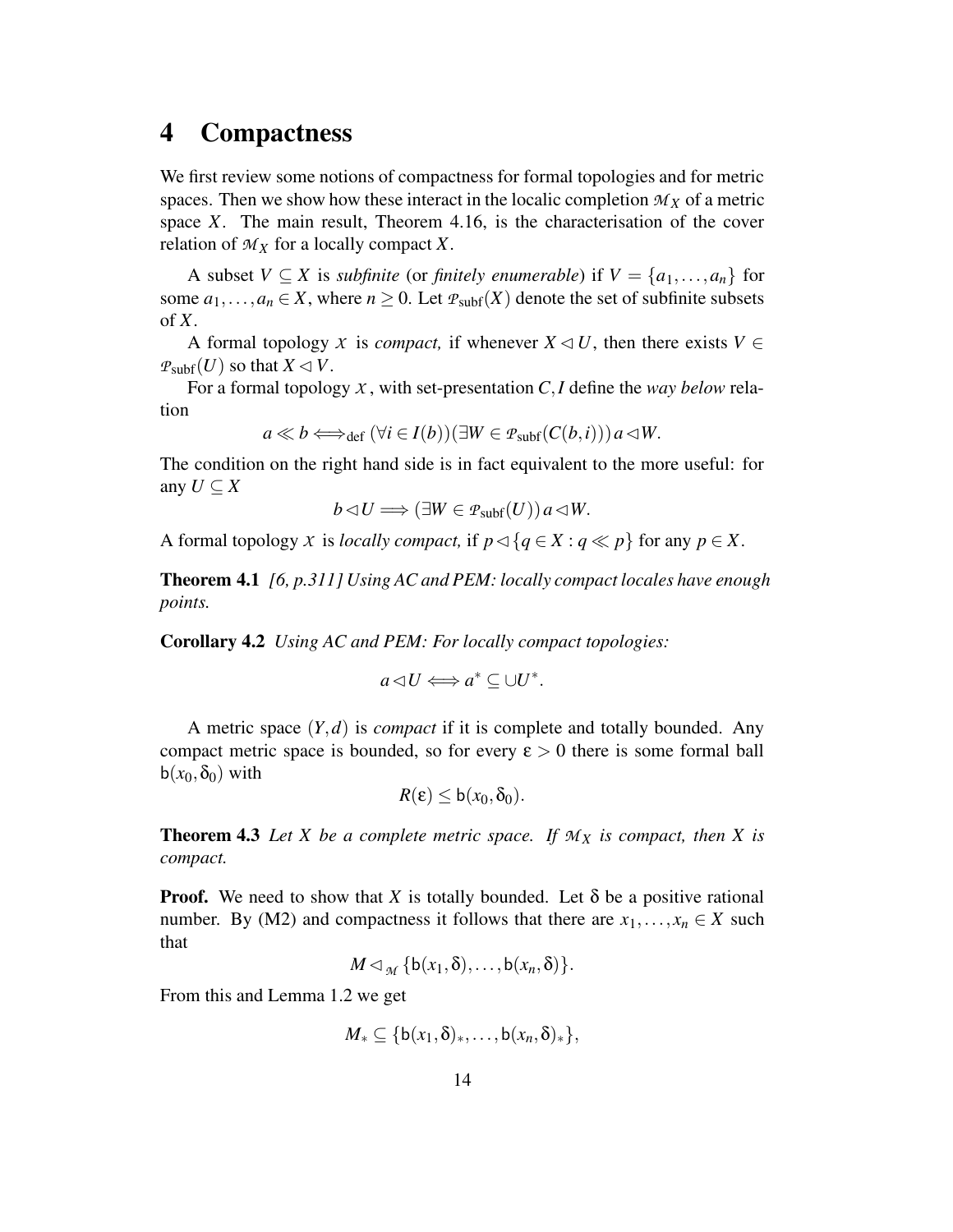## **4 Compactness**

We first review some notions of compactness for formal topologies and for metric spaces. Then we show how these interact in the localic completion  $M_X$  of a metric space *X*. The main result, Theorem 4.16, is the characterisation of the cover relation of *M<sup>X</sup>* for a locally compact *X*.

A subset  $V \subseteq X$  is *subfinite* (or *finitely enumerable*) if  $V = \{a_1, \ldots, a_n\}$  for some  $a_1, \ldots, a_n \in X$ , where  $n \geq 0$ . Let  $P_{subf}(X)$  denote the set of subfinite subsets of *X*.

A formal topology *X* is *compact*, if whenever  $X \triangleleft U$ , then there exists  $V \in$  $P_{subf}(U)$  so that  $X \triangleleft V$ .

For a formal topology  $X$ , with set-presentation  $C$ , *I* define the *way below* relation

$$
a \ll b \Longleftrightarrow_{\text{def}} (\forall i \in I(b)) (\exists W \in \mathcal{P}_{\text{subf}}(C(b, i))) a \triangleleft W.
$$

The condition on the right hand side is in fact equivalent to the more useful: for any  $U \subset X$ 

$$
b \triangleleft U \Longrightarrow (\exists W \in \mathcal{P}_{\text{subf}}(U)) a \triangleleft W.
$$

A formal topology *X* is *locally compact*, if  $p \triangleleft \{ q \in X : q \ll p \}$  for any  $p \in X$ .

**Theorem 4.1** *[6, p.311] Using AC and PEM: locally compact locales have enough points.*

**Corollary 4.2** *Using AC and PEM: For locally compact topologies:*

$$
a \triangleleft U \Longleftrightarrow a^* \subseteq \cup U^*.
$$

A metric space (*Y*,*d*) is *compact* if it is complete and totally bounded. Any compact metric space is bounded, so for every  $\varepsilon > 0$  there is some formal ball  $b(x_0, \delta_0)$  with

$$
R(\varepsilon)\leq b(x_0,\delta_0).
$$

**Theorem 4.3** Let *X* be a complete metric space. If  $M_X$  *is* compact, then *X is compact.*

**Proof.** We need to show that *X* is totally bounded. Let  $\delta$  be a positive rational number. By (M2) and compactness it follows that there are  $x_1, \ldots, x_n \in X$  such that

$$
M \lhd_{\mathcal{M}} \{b(x_1,\delta),\ldots,b(x_n,\delta)\}.
$$

From this and Lemma 1.2 we get

$$
M_{*} \subseteq \{b(x_1,\delta)_{*},\ldots,b(x_n,\delta)_{*}\},\
$$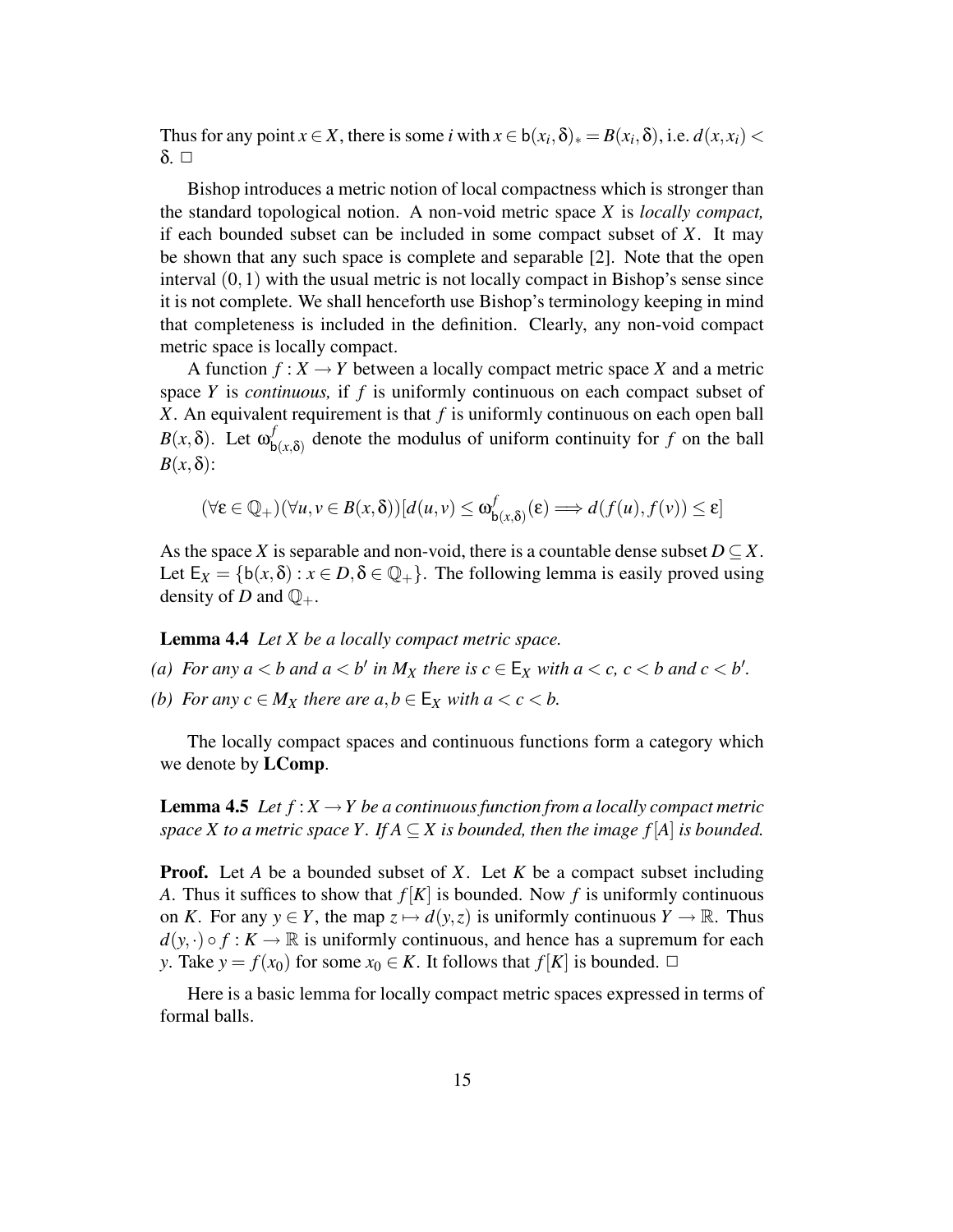Thus for any point *x* ∈ *X*, there is some *i* with  $x \in b(x_i, \delta)_* = B(x_i, \delta)$ , i.e.  $d(x, x_i)$  <  $δ$ .  $□$ 

Bishop introduces a metric notion of local compactness which is stronger than the standard topological notion. A non-void metric space *X* is *locally compact,* if each bounded subset can be included in some compact subset of *X*. It may be shown that any such space is complete and separable [2]. Note that the open interval  $(0,1)$  with the usual metric is not locally compact in Bishop's sense since it is not complete. We shall henceforth use Bishop's terminology keeping in mind that completeness is included in the definition. Clearly, any non-void compact metric space is locally compact.

A function  $f: X \to Y$  between a locally compact metric space X and a metric space *Y* is *continuous,* if *f* is uniformly continuous on each compact subset of *X*. An equivalent requirement is that *f* is uniformly continuous on each open ball *B*(*x*,δ). Let  $ω<sub>r</sub><sup>f</sup>$  $b(x,\delta)$  denote the modulus of uniform continuity for *f* on the ball  $B(x, \delta)$ :

$$
(\forall \varepsilon \in \mathbb{Q}_+) (\forall u, v \in B(x, \delta))[d(u, v) \le \omega^f_{\mathsf{b}(x, \delta)}(\varepsilon) \Longrightarrow d(f(u), f(v)) \le \varepsilon]
$$

As the space *X* is separable and non-void, there is a countable dense subset  $D \subseteq X$ . Let  $E_X = \{b(x, \delta) : x \in D, \delta \in \mathbb{Q}_+\}$ . The following lemma is easily proved using density of *D* and  $\mathbb{Q}_+$ .

**Lemma 4.4** *Let X be a locally compact metric space.*

- (a) For any  $a < b$  and  $a < b'$  in  $M_X$  there is  $c \in E_X$  with  $a < c$ ,  $c < b$  and  $c < b'$ .
- *(b) For any*  $c \in M_X$  *there are*  $a, b \in E_X$  *with*  $a < c < b$ .

The locally compact spaces and continuous functions form a category which we denote by **LComp**.

**Lemma 4.5** Let  $f: X \to Y$  be a continuous function from a locally compact metric *space X to a metric space Y*. *If*  $A \subseteq X$  *is bounded, then the image*  $f[A]$  *is bounded.* 

**Proof.** Let *A* be a bounded subset of *X*. Let *K* be a compact subset including *A*. Thus it suffices to show that  $f[K]$  is bounded. Now f is uniformly continuous on *K*. For any  $y \in Y$ , the map  $z \mapsto d(y, z)$  is uniformly continuous  $Y \to \mathbb{R}$ . Thus  $d(y, \cdot) \circ f : K \to \mathbb{R}$  is uniformly continuous, and hence has a supremum for each *y*. Take  $y = f(x_0)$  for some  $x_0 \in K$ . It follows that  $f[K]$  is bounded.  $\Box$ 

Here is a basic lemma for locally compact metric spaces expressed in terms of formal balls.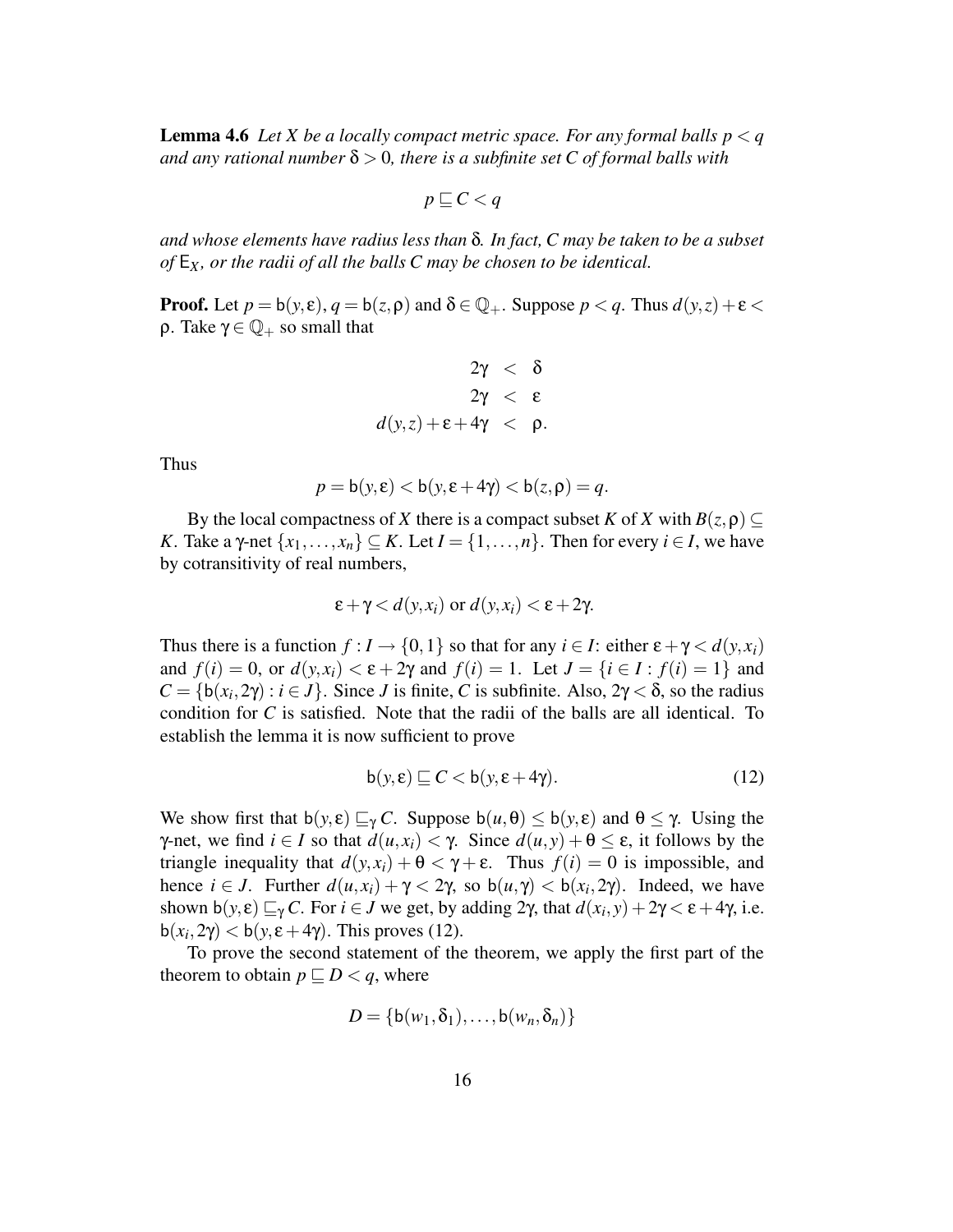**Lemma 4.6** *Let X be a locally compact metric space. For any formal balls*  $p < q$  $a$  *and any rational number*  $\delta > 0$ *, there is a subfinite set C of formal balls* with

$$
p \sqsubseteq C < q
$$

*and whose elements have radius less than* δ*. In fact, C may be taken to be a subset of* E*X, or the radii of all the balls C may be chosen to be identical.*

**Proof.** Let  $p = b(y, \varepsilon)$ ,  $q = b(z, \rho)$  and  $\delta \in \mathbb{Q}_+$ . Suppose  $p < q$ . Thus  $d(y, z) + \varepsilon <$ ρ. Take  $\gamma \in \mathbb{Q}_+$  so small that

$$
2\gamma < \delta
$$
\n
$$
2\gamma < \epsilon
$$
\n
$$
d(y, z) + \epsilon + 4\gamma < \rho.
$$

Thus

$$
p = b(y, \varepsilon) < b(y, \varepsilon + 4\gamma) < b(z, \rho) = q.
$$

By the local compactness of *X* there is a compact subset *K* of *X* with  $B(z, \rho) \subseteq$ *K*. Take a γ-net  $\{x_1, \ldots, x_n\} \subseteq K$ . Let  $I = \{1, \ldots, n\}$ . Then for every  $i \in I$ , we have by cotransitivity of real numbers,

$$
\varepsilon + \gamma < d(y, x_i) \text{ or } d(y, x_i) < \varepsilon + 2\gamma.
$$

Thus there is a function  $f: I \to \{0,1\}$  so that for any  $i \in I$ : either  $\varepsilon + \gamma < d(y,x_i)$ and  $f(i) = 0$ , or  $d(y, x_i) < \varepsilon + 2\gamma$  and  $f(i) = 1$ . Let  $J = \{i \in I : f(i) = 1\}$  and  $C = \{b(x_i, 2\gamma) : i \in J\}$ . Since *J* is finite, *C* is subfinite. Also,  $2\gamma < \delta$ , so the radius condition for  $C$  is satisfied. Note that the radii of the balls are all identical. To establish the lemma it is now sufficient to prove

$$
\mathsf{b}(y,\varepsilon) \sqsubseteq C < \mathsf{b}(y,\varepsilon + 4\gamma). \tag{12}
$$

We show first that  $b(y,\varepsilon) \sqsubseteq_{\gamma} C$ . Suppose  $b(u,\theta) \leq b(y,\varepsilon)$  and  $\theta \leq \gamma$ . Using the *γ*-net, we find *i* ∈ *I* so that  $d(u, x_i) < γ$ . Since  $d(u, y) + θ ≤ ε$ , it follows by the triangle inequality that  $d(y, x_i) + \theta < \gamma + \epsilon$ . Thus  $f(i) = 0$  is impossible, and hence  $i \in J$ . Further  $d(u, x_i) + \gamma < 2\gamma$ , so  $b(u, \gamma) < b(x_i, 2\gamma)$ . Indeed, we have shown b(*y*,  $\varepsilon$ )  $\sqsubseteq$ <sub>*γ</sub>C*. For *i*  $\in$  *J* we get, by adding 2γ, that  $d(x_i, y) + 2\gamma < \varepsilon$  + 4γ, i.e.</sub> b( $x_i$ ,  $2\gamma$ ) < b( $y$ ,  $\varepsilon$  + 4 $\gamma$ ). This proves (12).

To prove the second statement of the theorem, we apply the first part of the theorem to obtain  $p \sqsubseteq D < q$ , where

$$
D = \{b(w_1, \delta_1), \ldots, b(w_n, \delta_n)\}
$$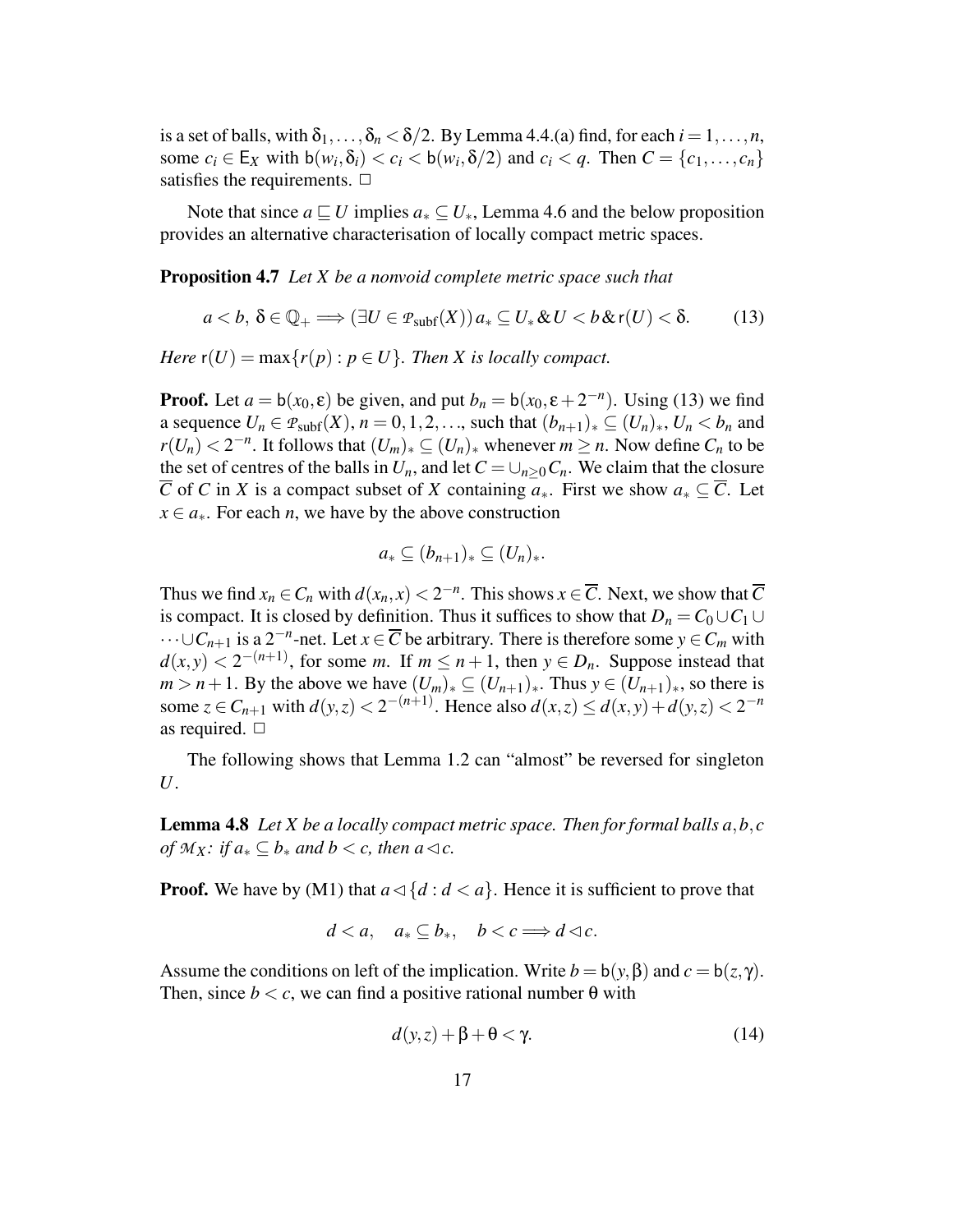is a set of balls, with  $\delta_1, \ldots, \delta_n < \delta/2$ . By Lemma 4.4.(a) find, for each  $i = 1, \ldots, n$ , some  $c_i \in E_X$  with  $b(w_i, \delta_i) < c_i < b(w_i, \delta/2)$  and  $c_i < q$ . Then  $C = \{c_1, \ldots, c_n\}$ satisfies the requirements.  $\Box$ 

Note that since  $a \sqsubseteq U$  implies  $a_* \subseteq U_*$ , Lemma 4.6 and the below proposition provides an alternative characterisation of locally compact metric spaces.

**Proposition 4.7** *Let X be a nonvoid complete metric space such that*

$$
a (13)
$$

*Here*  $r(U) = \max\{r(p) : p \in U\}$ *. Then X is locally compact.* 

**Proof.** Let  $a = b(x_0, \varepsilon)$  be given, and put  $b_n = b(x_0, \varepsilon + 2^{-n})$ . Using (13) we find a sequence  $U_n \in \mathcal{P}_{subf}(X), n = 0, 1, 2, \ldots$ , such that  $(b_{n+1})_* \subseteq (U_n)_*, U_n < b_n$  and *r*(*U<sub>n</sub>*) < 2<sup>−*n*</sup>. It follows that  $(U_m)_* \subseteq (U_n)_*$  whenever  $m \ge n$ . Now define  $C_n$  to be the set of centres of the balls in  $U_n$ , and let  $C = \bigcup_{n>0} C_n$ . We claim that the closure  $\overline{C}$  of *C* in *X* is a compact subset of *X* containing  $a_*$ . First we show  $a_* \subseteq \overline{C}$ . Let  $x \in a_{*}$ . For each *n*, we have by the above construction

$$
a_*\subseteq (b_{n+1})_*\subseteq (U_n)_*.
$$

Thus we find  $x_n \in C_n$  with  $d(x_n, x) < 2^{-n}$ . This shows  $x \in \overline{C}$ . Next, we show that  $\overline{C}$ is compact. It is closed by definition. Thus it suffices to show that  $D_n = C_0 \cup C_1 \cup$  $\cdots \cup C_{n+1}$  is a 2<sup>-*n*</sup>-net. Let  $x \in \overline{C}$  be arbitrary. There is therefore some  $y \in C_m$  with  $d(x, y) < 2^{-(n+1)}$ , for some *m*. If  $m \le n+1$ , then  $y \in D_n$ . Suppose instead that *m* > *n* + 1. By the above we have  $(U_m)_* \subseteq (U_{n+1})_*$ . Thus  $y \in (U_{n+1})_*$ , so there is some  $z \in C_{n+1}$  with  $d(y, z) < 2^{-(n+1)}$ . Hence also  $d(x, z) \le d(x, y) + d(y, z) < 2^{-n}$ as required.  $\Box$ 

The following shows that Lemma 1.2 can "almost" be reversed for singleton *U*.

**Lemma 4.8** Let *X* be a locally compact metric space. Then for formal balls  $a, b, c$ *of*  $M_X$ *: if*  $a_* \subseteq b_*$  *and*  $b < c$ *, then*  $a \triangleleft c$ *.* 

**Proof.** We have by (M1) that  $a \triangleleft \{d : d < a\}$ . Hence it is sufficient to prove that

$$
d
$$

Assume the conditions on left of the implication. Write  $b = b(y, \beta)$  and  $c = b(z, \gamma)$ . Then, since  $b < c$ , we can find a positive rational number  $\theta$  with

$$
d(y, z) + \beta + \theta < \gamma. \tag{14}
$$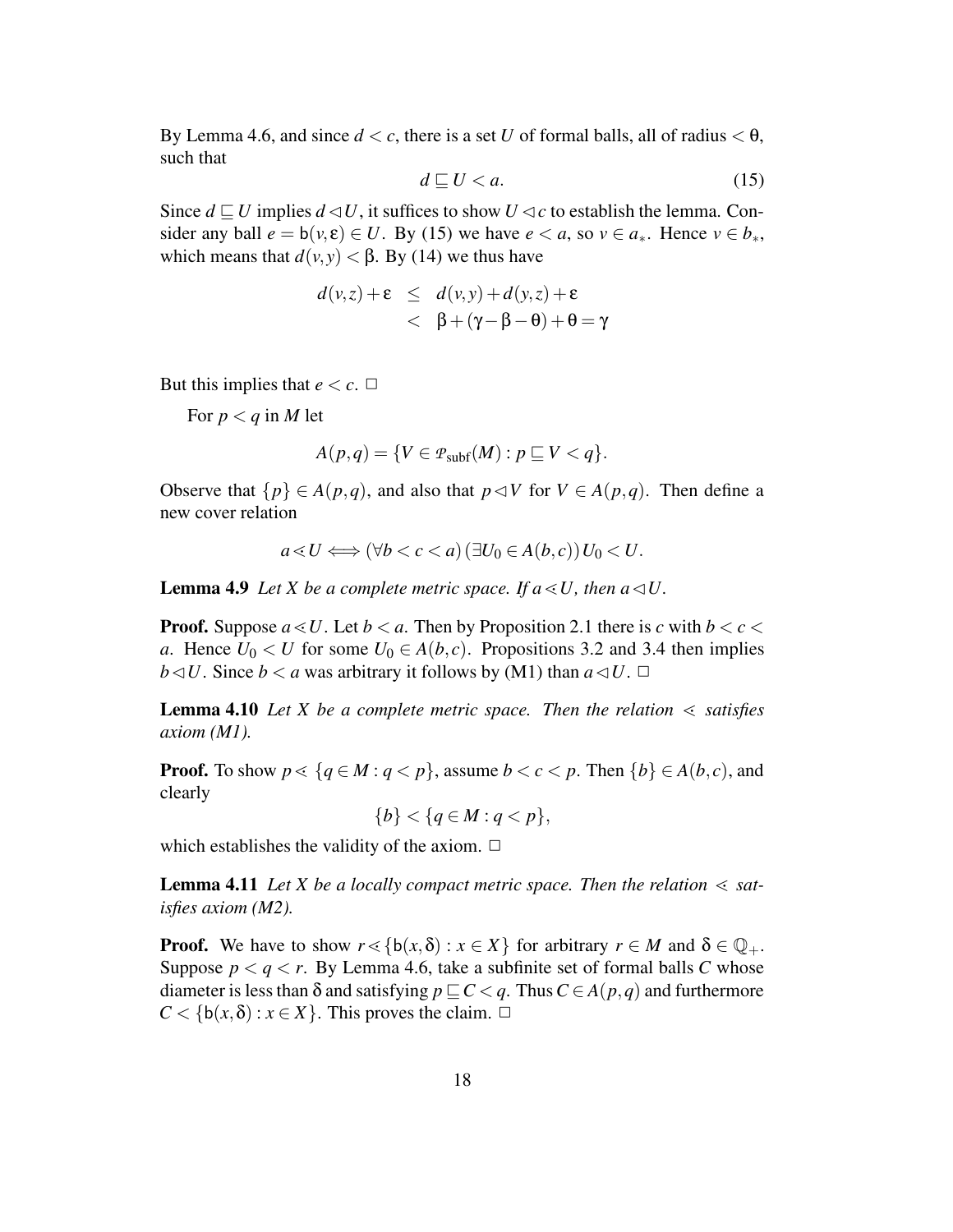By Lemma 4.6, and since  $d < c$ , there is a set *U* of formal balls, all of radius  $< \theta$ , such that

$$
d \sqsubseteq U < a. \tag{15}
$$

Since  $d \sqsubseteq U$  implies  $d \triangleleft U$ , it suffices to show  $U \triangleleft c$  to establish the lemma. Consider any ball  $e = b(v, \varepsilon) \in U$ . By (15) we have  $e < a$ , so  $v \in a_*$ . Hence  $v \in b_*$ , which means that  $d(v, y) < \beta$ . By (14) we thus have

$$
d(v,z) + \varepsilon \le d(v,y) + d(y,z) + \varepsilon
$$
  
< 
$$
< \beta + (\gamma - \beta - \theta) + \theta = \gamma
$$

But this implies that  $e < c$ .  $\Box$ 

For  $p < q$  in M let

$$
A(p,q) = \{ V \in \mathcal{P}_{\text{subf}}(M) : p \sqsubseteq V < q \}.
$$

Observe that  $\{p\} \in A(p,q)$ , and also that  $p \triangleleft V$  for  $V \in A(p,q)$ . Then define a new cover relation

$$
a \triangleleft U \Longleftrightarrow (\forall b < c < a) \left(\exists U_0 \in A(b, c)\right) U_0 < U.
$$

**Lemma 4.9** *Let X be a complete metric space. If*  $a \le U$ , *then*  $a \le U$ .

**Proof.** Suppose  $a \le U$ . Let  $b \le a$ . Then by Proposition 2.1 there is *c* with  $b \le c \le$ *a*. Hence  $U_0 < U$  for some  $U_0 \in A(b, c)$ . Propositions 3.2 and 3.4 then implies *b* $\lhd$ *U*. Since *b*  $\lt$  *a* was arbitrary it follows by (M1) than  $a \lhd U$ .  $\Box$ 

**Lemma** 4.10 Let *X* be a complete metric space. Then the relation  $\leq$  satisfies *axiom (M1).*

**Proof.** To show  $p \leq {q \in M : q < p}$ , assume  $b < c < p$ . Then  ${b} \in A(b, c)$ , and clearly

 ${b} < {q \in M : q < p},$ 

which establishes the validity of the axiom.  $\Box$ 

**Lemma 4.11** Let *X* be a locally compact metric space. Then the relation  $\leq$  sat*isfies axiom (M2).*

**Proof.** We have to show  $r \leq \{b(x, \delta) : x \in X\}$  for arbitrary  $r \in M$  and  $\delta \in \mathbb{Q}_+$ . Suppose  $p < q < r$ . By Lemma 4.6, take a subfinite set of formal balls C whose diameter is less than  $\delta$  and satisfying  $p \subseteq C < q$ . Thus  $C \in A(p,q)$  and furthermore  $C < \{b(x, \delta) : x \in X\}$ . This proves the claim.  $\Box$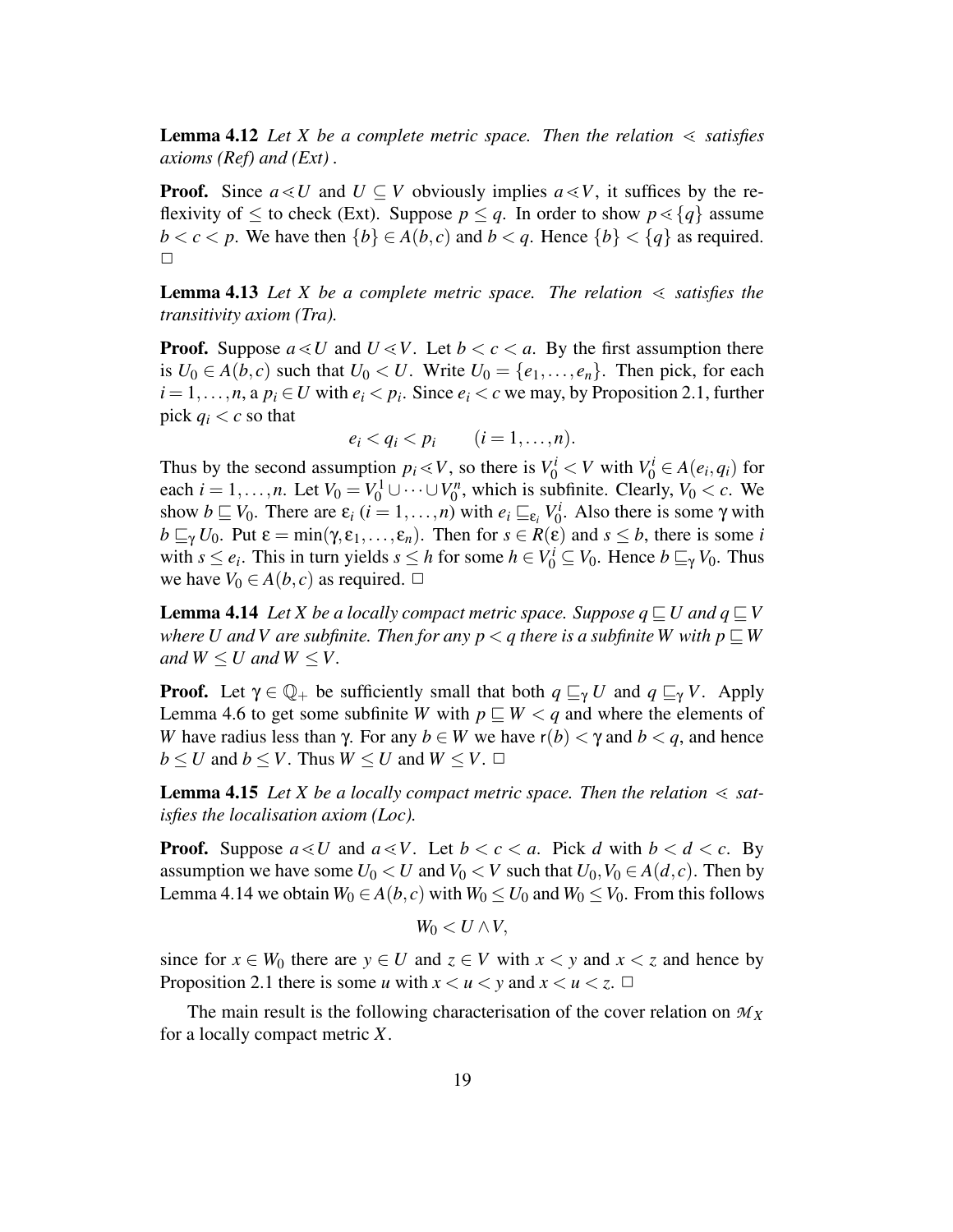**Lemma** 4.12 Let *X* be a complete metric space. Then the relation  $\leq$  satisfies *axioms (Ref) and (Ext) .*

**Proof.** Since  $a \leq U$  and  $U \subseteq V$  obviously implies  $a \leq V$ , it suffices by the reflexivity of  $\leq$  to check (Ext). Suppose  $p \leq q$ . In order to show  $p \leq \{q\}$  assume *b* < *c* < *p*. We have then  $\{b\} \in A(b, c)$  and *b* < *q*. Hence  $\{b\} < \{q\}$  as required.  $\Box$ 

**Lemma** 4.13 Let *X* be a complete metric space. The relation  $\leq$  satisfies the *transitivity axiom (Tra).*

**Proof.** Suppose  $a \leq U$  and  $U \leq V$ . Let  $b < c < a$ . By the first assumption there is  $U_0 \in A(b,c)$  such that  $U_0 \lt U$ . Write  $U_0 = \{e_1, \ldots, e_n\}$ . Then pick, for each  $i = 1, \ldots, n$ , a  $p_i \in U$  with  $e_i < p_i$ . Since  $e_i < c$  we may, by Proposition 2.1, further pick  $q_i < c$  so that

$$
e_i < q_i < p_i \qquad (i = 1, \ldots, n).
$$

Thus by the second assumption  $p_i \ll V$ , so there is  $V_0^i \ll V$  with  $V_0^i \in A(e_i, q_i)$  for each *i* = 1, ..., *n*. Let  $V_0 = V_0^1 \cup \cdots \cup V_0^n$  $C_0^n$ , which is subfinite. Clearly,  $V_0 < c$ . We show  $b \sqsubseteq V_0$ . There are  $\varepsilon_i$   $(i = 1, ..., n)$  with  $e_i \sqsubseteq_{\varepsilon_i} V_0^i$  $\chi_0^i$ . Also there is some  $\gamma$  with  $b \sqsubseteq_{\gamma} U_0$ . Put  $\varepsilon = \min(\gamma, \varepsilon_1, \ldots, \varepsilon_n)$ . Then for  $s \in R(\varepsilon)$  and  $s \leq b$ , there is some *i* with  $s \le e_i$ . This in turn yields  $s \le h$  for some  $h \in V_0^i \subseteq V_0$ . Hence  $b \sqsubseteq_{\gamma} V_0$ . Thus we have  $V_0 \in A(b, c)$  as required.  $\Box$ 

**Lemma** 4.14 Let *X* be a locally compact metric space. Suppose  $q \sqsubseteq U$  and  $q \sqsubseteq V$ *where U* and *V* are subfinite. Then for any  $p < q$  there is a subfinite *W* with  $p \subseteq W$ *and*  $W \le U$  *and*  $W \le V$ .

**Proof.** Let  $\gamma \in \mathbb{Q}_+$  be sufficiently small that both  $q \sqsubseteq_{\gamma} U$  and  $q \sqsubseteq_{\gamma} V$ . Apply Lemma 4.6 to get some subfinite *W* with  $p \sqsubseteq W < q$  and where the elements of *W* have radius less than  $\gamma$ . For any  $b \in W$  we have  $r(b) < \gamma$  and  $b < q$ , and hence  $b \leq U$  and  $b \leq V$ . Thus  $W \leq U$  and  $W \leq V$ .  $\Box$ 

**Lemma** 4.15 Let *X* be a locally compact metric space. Then the relation  $\leq$  sat*isfies the localisation axiom (Loc).*

**Proof.** Suppose  $a \leq U$  and  $a \leq V$ . Let  $b < c < a$ . Pick *d* with  $b < d < c$ . By assumption we have some  $U_0 < U$  and  $V_0 < V$  such that  $U_0, V_0 \in A(d, c)$ . Then by Lemma 4.14 we obtain  $W_0 \in A(b, c)$  with  $W_0 \le U_0$  and  $W_0 \le V_0$ . From this follows

$$
W_0 < U \wedge V,
$$

since for  $x \in W_0$  there are  $y \in U$  and  $z \in V$  with  $x < y$  and  $x < z$  and hence by Proposition 2.1 there is some *u* with  $x < u < y$  and  $x < u < z$ .  $\Box$ 

The main result is the following characterisation of the cover relation on *M<sup>X</sup>* for a locally compact metric *X*.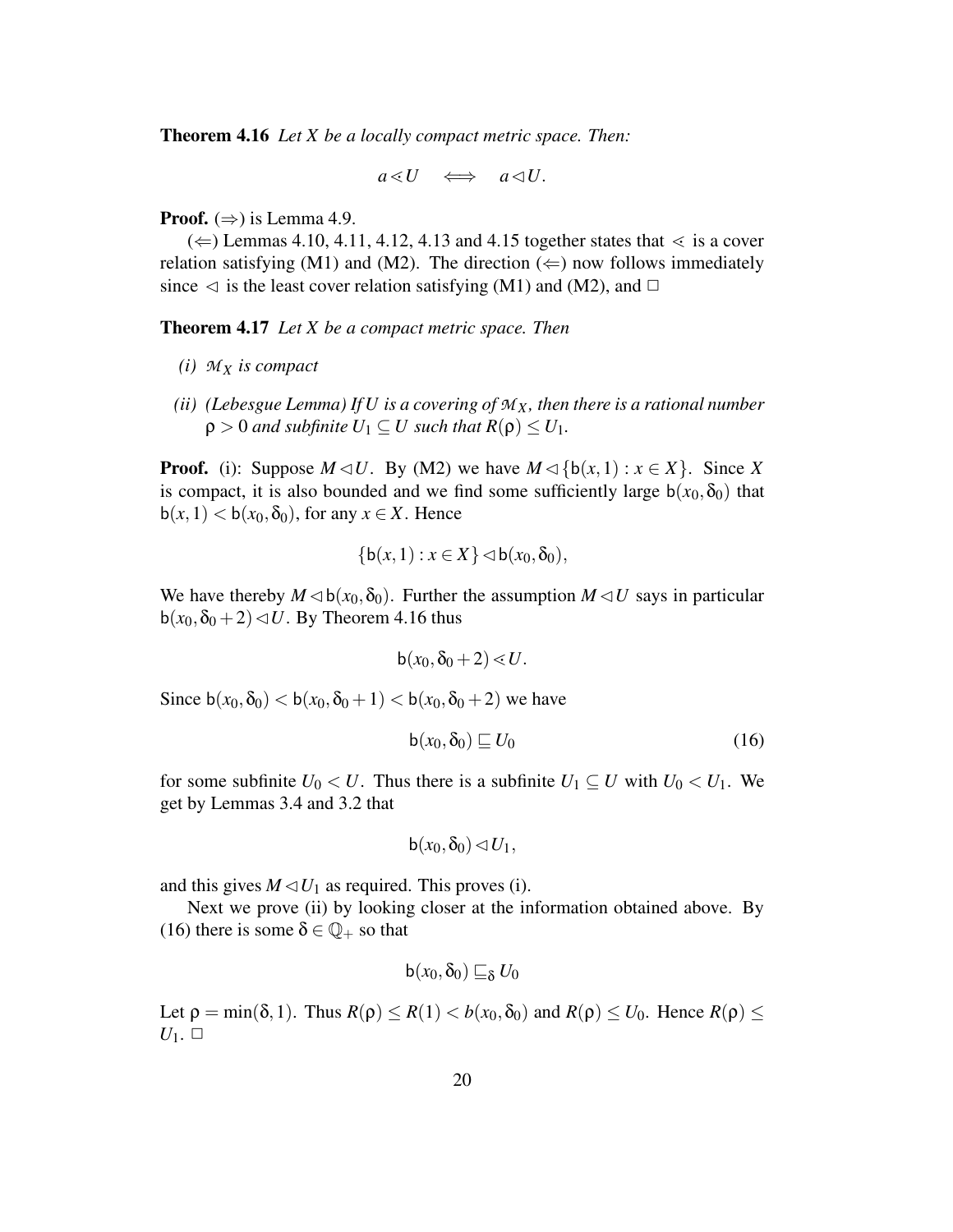**Theorem 4.16** *Let X be a locally compact metric space. Then:*

$$
a\triangleleft U\quad \Longleftrightarrow\quad a\triangleleft U.
$$

**Proof.**  $(\Rightarrow)$  is Lemma 4.9.

 $(\Leftarrow)$  Lemmas 4.10, 4.11, 4.12, 4.13 and 4.15 together states that  $\lt$  is a cover relation satisfying (M1) and (M2). The direction ( $\Leftarrow$ ) now follows immediately since  $\lhd$  is the least cover relation satisfying (M1) and (M2), and  $\Box$ 

**Theorem 4.17** *Let X be a compact metric space. Then*

- *(i) M<sup>X</sup> is compact*
- *(ii) (Lebesgue Lemma) If U is a covering of MX, then there is a rational number*  $\rho > 0$  *and subfinite*  $U_1 \subseteq U$  *such that*  $R(\rho) \leq U_1$ .

**Proof.** (i): Suppose  $M \lhd U$ . By (M2) we have  $M \lhd {b(x,1) : x \in X}$ . Since X is compact, it is also bounded and we find some sufficiently large  $b(x_0, \delta_0)$  that  $b(x, 1) < b(x_0, \delta_0)$ , for any  $x \in X$ . Hence

$$
\{b(x,1):x\in X\}\lhd b(x_0,\delta_0),
$$

We have thereby  $M \triangleleft b(x_0, \delta_0)$ . Further the assumption  $M \triangleleft U$  says in particular  $b(x_0, \delta_0 + 2) \triangleleft U$ . By Theorem 4.16 thus

$$
b(x_0,\delta_0+2)\ll U.
$$

Since  $b(x_0, \delta_0) < b(x_0, \delta_0 + 1) < b(x_0, \delta_0 + 2)$  we have

$$
\mathsf{b}(x_0, \delta_0) \sqsubseteq U_0 \tag{16}
$$

for some subfinite  $U_0 < U$ . Thus there is a subfinite  $U_1 \subseteq U$  with  $U_0 < U_1$ . We get by Lemmas 3.4 and 3.2 that

$$
\mathsf{b}(x_0,\delta_0)\lhd U_1,
$$

and this gives  $M \triangleleft U_1$  as required. This proves (i).

Next we prove (ii) by looking closer at the information obtained above. By (16) there is some  $\delta \in \mathbb{Q}_+$  so that

$$
b(x_0,\delta_0) \sqsubseteq_{\delta} U_0
$$

Let  $\rho = \min(\delta, 1)$ . Thus  $R(\rho) \le R(1) \le b(x_0, \delta_0)$  and  $R(\rho) \le U_0$ . Hence  $R(\rho) \le$  $U_1$ .  $\Box$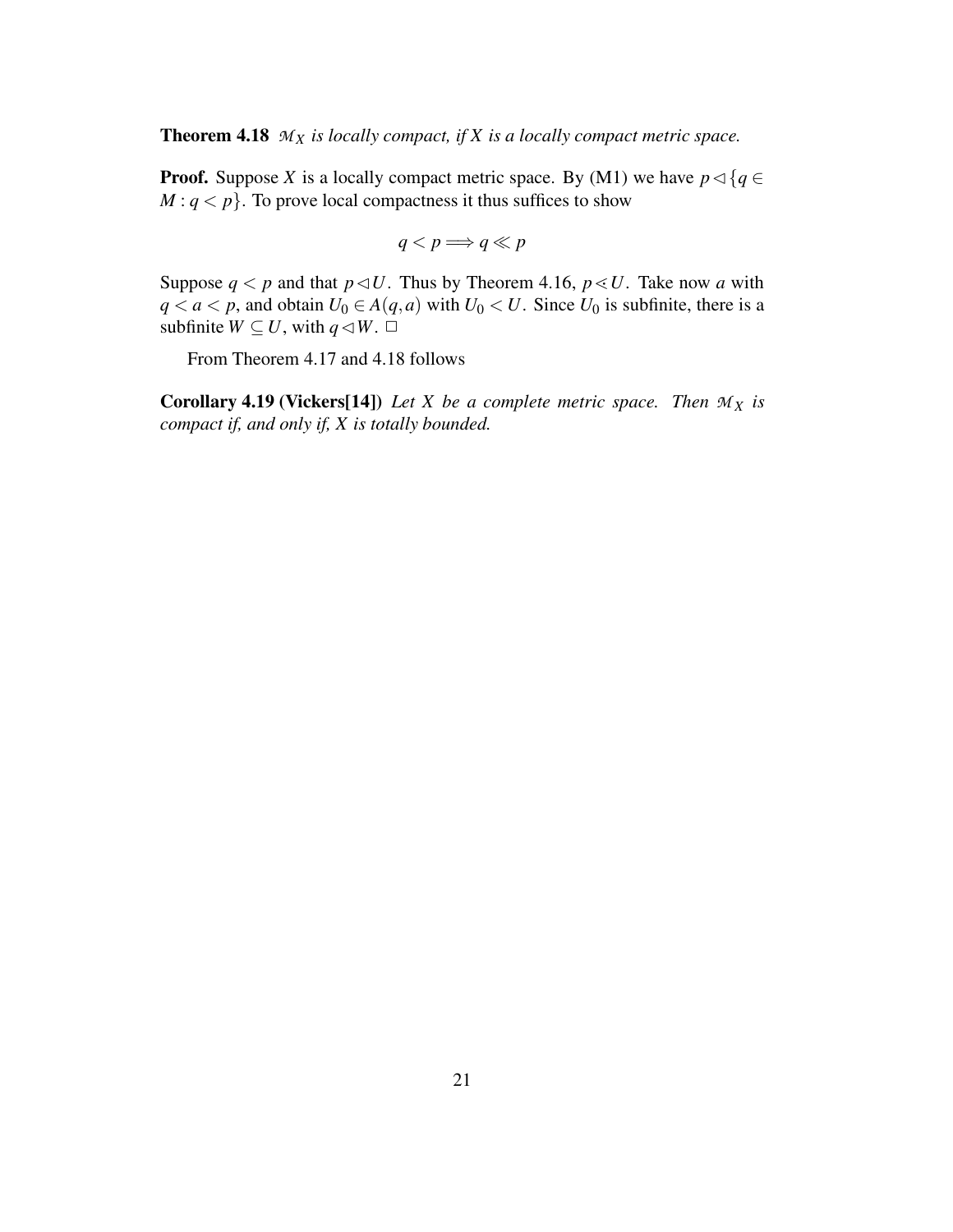**Theorem 4.18**  $M_X$  *is locally compact, if*  $X$  *is a locally compact metric space.* 

**Proof.** Suppose *X* is a locally compact metric space. By (M1) we have  $p \triangleleft {q \in \mathbb{N} \atop q \in \mathbb{N}}$  $M: q < p$ . To prove local compactness it thus suffices to show

$$
q < p \Longrightarrow q \ll p
$$

Suppose  $q < p$  and that  $p \triangleleft U$ . Thus by Theorem 4.16,  $p \triangleleft U$ . Take now *a* with *q* < *a* < *p*, and obtain *U*<sup>0</sup> ∈ *A*(*q*,*a*) with *U*<sup>0</sup> < *U*. Since *U*<sup>0</sup> is subfinite, there is a subfinite  $W \subseteq U$ , with  $q \triangleleft W$ .  $\Box$ 

From Theorem 4.17 and 4.18 follows

**Corollary** 4.19 **(Vickers[14]**) *Let X be a complete metric space. Then*  $M_X$  *is compact if, and only if, X is totally bounded.*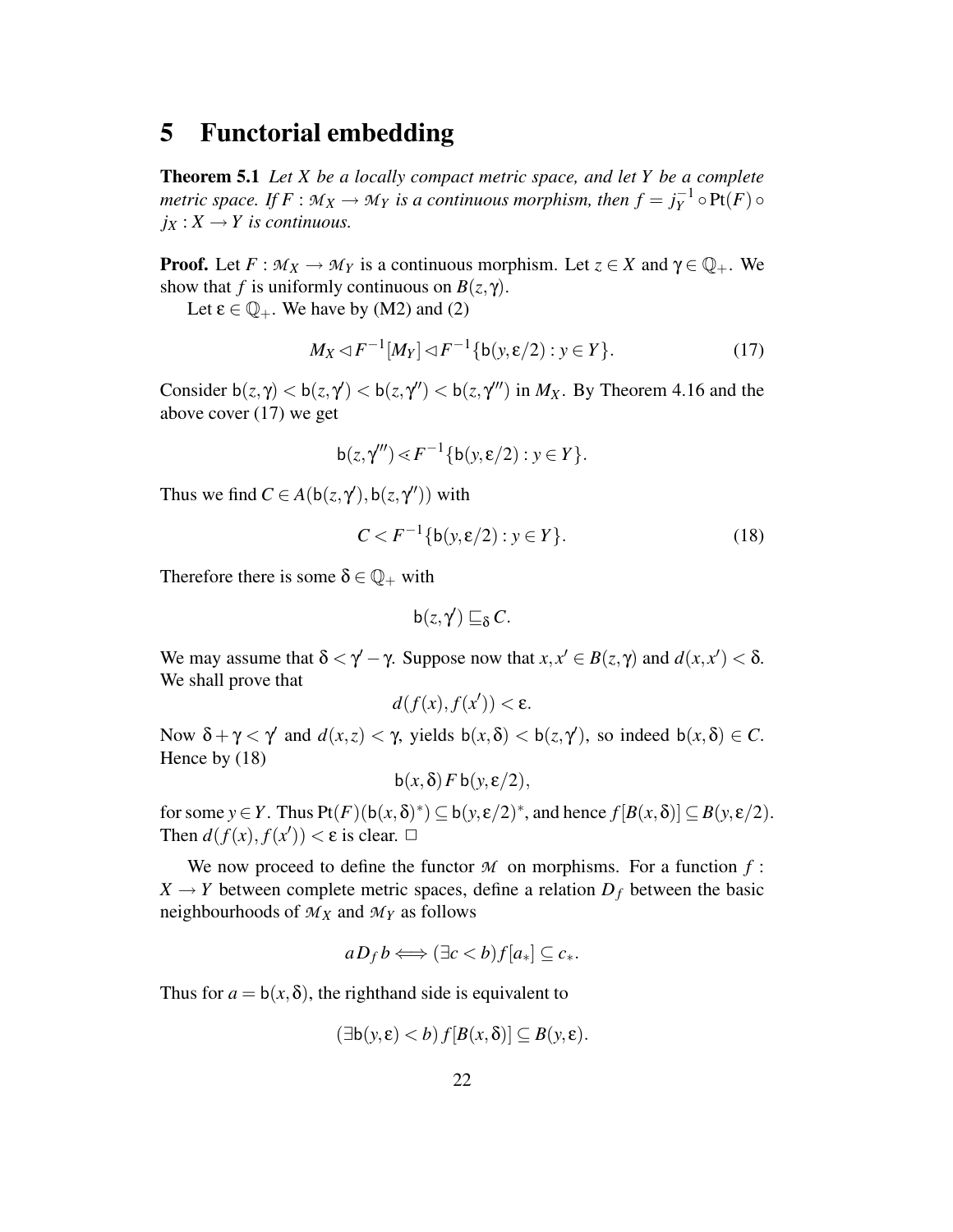## **5 Functorial embedding**

**Theorem 5.1** *Let X be a locally compact metric space, and let Y be a complete metric space.* If  $F : M_X \to M_Y$  *is a continuous morphism, then*  $f = j_Y^{-1}$  $Y^{\text{-}1}_{Y} \circ \text{Pt}(F) \circ$  $j_X: X \to Y$  *is continuous.* 

**Proof.** Let  $F: M_X \to M_Y$  is a continuous morphism. Let  $z \in X$  and  $\gamma \in \mathbb{Q}_+$ . We show that *f* is uniformly continuous on  $B(z, \gamma)$ .

Let  $\epsilon \in \mathbb{Q}_+$ . We have by (M2) and (2)

$$
M_X \triangleleft F^{-1}[M_Y] \triangleleft F^{-1}\{\mathsf{b}(y,\varepsilon/2) : y \in Y\}.
$$
\n(17)

Consider  $b(z, \gamma) < b(z, \gamma') < b(z, \gamma'') < b(z, \gamma''')$  in  $M_X$ . By Theorem 4.16 and the above cover (17) we get

$$
\mathsf{b}(z,\gamma''')\!\leq\!F^{-1}\{\mathsf{b}(y,\varepsilon/2):y\in Y\}.
$$

Thus we find  $C \in A(b(z, \gamma'), b(z, \gamma''))$  with

$$
C < F^{-1}\{\mathsf{b}(y,\varepsilon/2) : y \in Y\}.\tag{18}
$$

Therefore there is some  $\delta \in \mathbb{Q}_+$  with

$$
\mathsf{b}(z,\gamma')\sqsubseteq_\delta C.
$$

We may assume that  $\delta < \gamma' - \gamma$ . Suppose now that  $x, x' \in B(z, \gamma)$  and  $d(x, x') < \delta$ . We shall prove that

$$
d(f(x),f(x')) < \varepsilon.
$$

Now  $\delta + \gamma < \gamma'$  and  $d(x, z) < \gamma$ , yields  $b(x, \delta) < b(z, \gamma')$ , so indeed  $b(x, \delta) \in C$ . Hence by (18)

$$
b(x,\delta) F b(y,\varepsilon/2),
$$

for some  $y \in Y$ . Thus  $Pt(F)(b(x,\delta)^*) \subseteq b(y,\epsilon/2)^*$ , and hence  $f[B(x,\delta)] \subseteq B(y,\epsilon/2)$ . Then  $d(f(x), f(x')) < \varepsilon$  is clear.  $\Box$ 

We now proceed to define the functor  $M$  on morphisms. For a function  $f$ :  $X \rightarrow Y$  between complete metric spaces, define a relation  $D_f$  between the basic neighbourhoods of  $M_X$  and  $M_Y$  as follows

$$
aD_f b \Longleftrightarrow (\exists c < b) f [a_*] \subseteq c_*.
$$

Thus for  $a = b(x, \delta)$ , the righthand side is equivalent to

$$
(\exists b(y,\varepsilon)
$$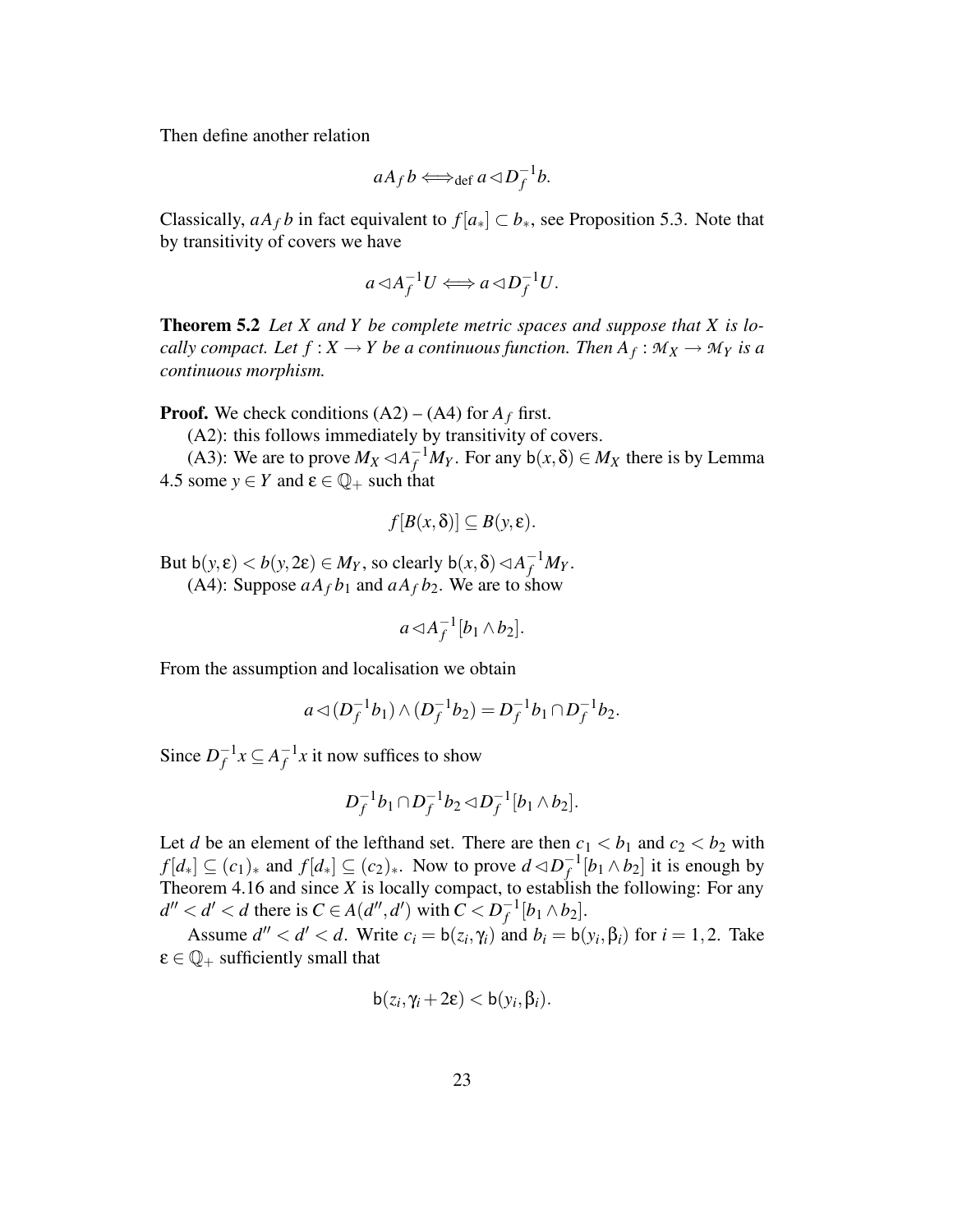Then define another relation

$$
aA_f b \Longleftrightarrow_{\text{def}} a \triangleleft D_f^{-1}b.
$$

Classically,  $aA_f b$  in fact equivalent to  $f|a_*| \subset b_*$ , see Proposition 5.3. Note that by transitivity of covers we have

$$
a \triangleleft A_f^{-1} U \Longleftrightarrow a \triangleleft D_f^{-1} U.
$$

**Theorem 5.2** *Let X and Y be complete metric spaces and suppose that X is locally compact. Let*  $f: X \to Y$  *be a continuous function. Then*  $A_f: \mathcal{M}_X \to \mathcal{M}_Y$  *is a continuous morphism.*

**Proof.** We check conditions  $(A2) - (A4)$  for  $A_f$  first.

(A2): this follows immediately by transitivity of covers.

(A3): We are to prove  $M_X \lhd A_f^{-1}M_Y$ . For any  $b(x, \delta) \in M_X$  there is by Lemma 4.5 some  $y \in Y$  and  $\varepsilon \in \mathbb{Q}_+$  such that

$$
f[B(x,\delta)] \subseteq B(y,\varepsilon).
$$

But  $b(y, \varepsilon) < b(y, 2\varepsilon) \in M_Y$ , so clearly  $b(x, \delta) \triangleleft A_f^{-1} M_Y$ .

(A4): Suppose  $aA_f b_1$  and  $aA_f b_2$ . We are to show

$$
a \triangleleft A_f^{-1}[b_1 \wedge b_2].
$$

From the assumption and localisation we obtain

$$
a \triangleleft (D_f^{-1}b_1) \wedge (D_f^{-1}b_2) = D_f^{-1}b_1 \cap D_f^{-1}b_2.
$$

Since  $D_f^{-1}$  $f^{-1}x \subseteq A_f^{-1}$  $f_f^{-1}x$  it now suffices to show

$$
D_f^{-1}b_1 \cap D_f^{-1}b_2 \lhd D_f^{-1}[b_1 \wedge b_2].
$$

Let *d* be an element of the lefthand set. There are then  $c_1 < b_1$  and  $c_2 < b_2$  with  $f[d_*] \subseteq (c_1)_*$  and  $f[d_*] \subseteq (c_2)_*$ . Now to prove  $d \triangleleft D_f^{-1}$  $f_f^{-1}[b_1 \wedge b_2]$  it is enough by Theorem 4.16 and since  $X$  is locally compact, to establish the following: For any  $d'' < d' < d$  there is  $C \in A(d'', d')$  with  $C < D_f^{-1}$  $f^{-1}[b_1 \wedge b_2]$ .

Assume  $d'' < d' < d$ . Write  $c_i = b(z_i, \gamma_i)$  and  $b_i = b(y_i, \beta_i)$  for  $i = 1, 2$ . Take  $\epsilon \in \mathbb{Q}_+$  sufficiently small that

$$
b(z_i, \gamma_i + 2\epsilon) < b(y_i, \beta_i).
$$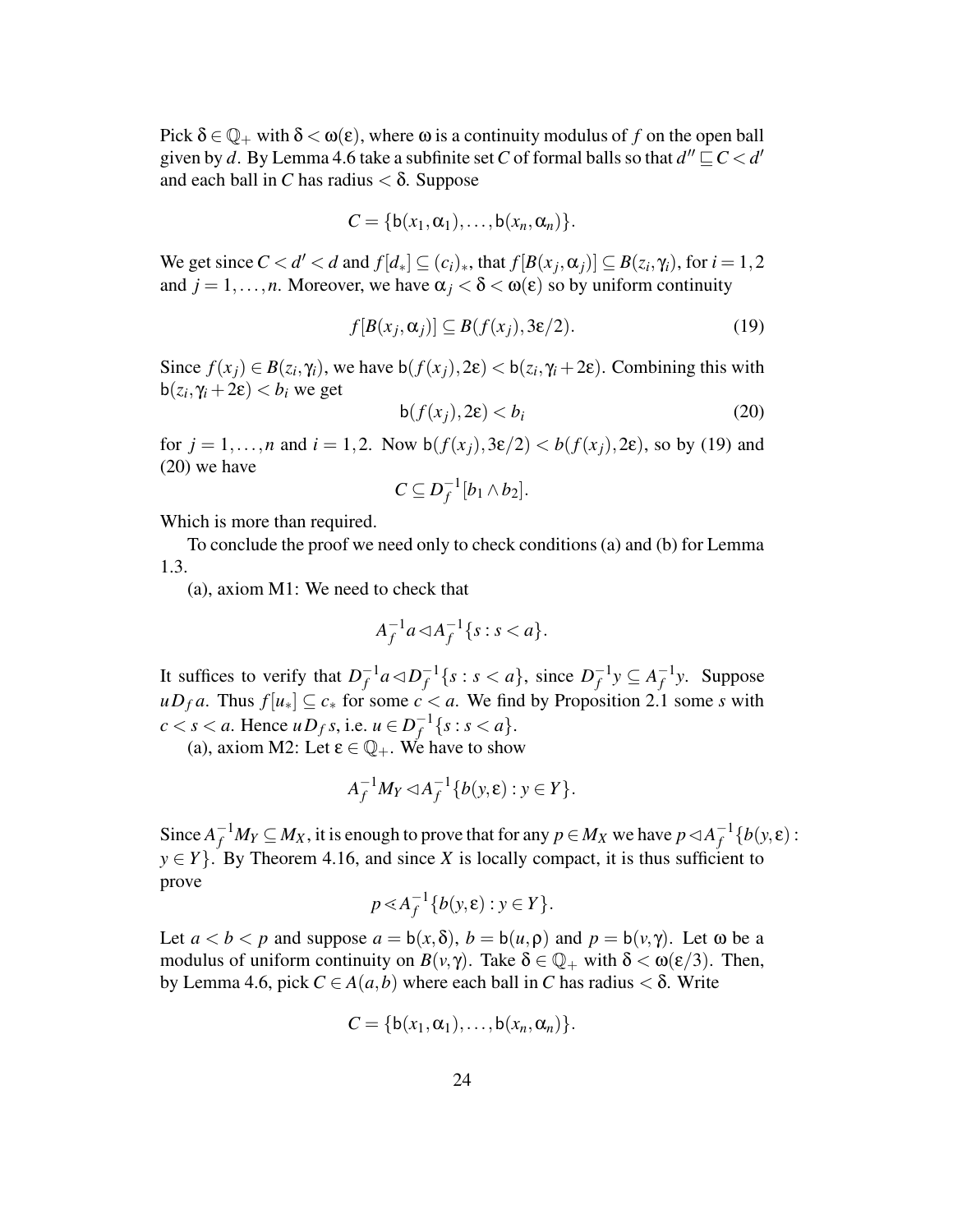Pick  $\delta \in \mathbb{Q}_+$  with  $\delta < \omega(\epsilon)$ , where  $\omega$  is a continuity modulus of f on the open ball given by *d*. By Lemma 4.6 take a subfinite set *C* of formal balls so that  $d''\mathop{\subseteq} C < d'$ and each ball in *C* has radius  $< \delta$ . Suppose

$$
C = \{b(x_1, \alpha_1), \ldots, b(x_n, \alpha_n)\}.
$$

We get since  $C < d' < d$  and  $f[d_*] \subseteq (c_i)_*$ , that  $f[B(x_j, \alpha_j)] \subseteq B(z_i, \gamma_i)$ , for  $i = 1, 2$ and  $j = 1, \ldots, n$ . Moreover, we have  $\alpha_j < \delta < \omega(\epsilon)$  so by uniform continuity

$$
f[B(x_j, \alpha_j)] \subseteq B(f(x_j), 3\varepsilon/2). \tag{19}
$$

Since  $f(x_j) \in B(z_i, \gamma_i)$ , we have  $b(f(x_j), 2\varepsilon) < b(z_i, \gamma_i + 2\varepsilon)$ . Combining this with  $b(z_i, \gamma_i + 2\varepsilon) < b_i$  we get

$$
b(f(x_j), 2\varepsilon) < b_i \tag{20}
$$

for  $j = 1, ..., n$  and  $i = 1, 2$ . Now  $b(f(x_i), 3\varepsilon/2) < b(f(x_i), 2\varepsilon)$ , so by (19) and (20) we have

$$
C\subseteq D_f^{-1}[b_1\wedge b_2].
$$

Which is more than required.

To conclude the proof we need only to check conditions(a) and (b) for Lemma 1.3.

(a), axiom M1: We need to check that

$$
A_f^{-1}a \triangleleft A_f^{-1}\{s : s < a\}.
$$

It suffices to verify that  $D_f^{-1}$  $f^{-1}a \triangleleft D_f^{-1}$  $f^{-1}\{s : s < a\}$ , since  $D_f^{-1}$  $f^{-1}y \subseteq A_f^{-1}$  $f^{-1}y$ . Suppose *uD*<sup>*f*</sup> *a*. Thus *f*[*u*<sup>∗</sup>] ⊆ *c*<sup>∗</sup> for some *c* < *a*. We find by Proposition 2.1 some *s* with  $c < s < a$ . Hence  $\mu D_f s$ , i.e.  $\mu \in D_f^{-1}$  $f^{-1}\{s : s < a\}.$ 

(a), axiom M2: Let  $\varepsilon \in \mathbb{Q}_+$ . We have to show

$$
A_f^{-1}M_Y \lhd A_f^{-1}\{b(y,\varepsilon): y \in Y\}.
$$

Since  $A_f^{-1}M_Y \subseteq M_X$ , it is enough to prove that for any  $p \in M_X$  we have  $p \lhd A_f^{-1}$ *f* {*b*(*y*, ε):  $y \in Y$ . By Theorem 4.16, and since *X* is locally compact, it is thus sufficient to prove

$$
p \ll A_f^{-1}\{b(y,\varepsilon): y \in Y\}.
$$

Let  $a < b < p$  and suppose  $a = b(x, \delta)$ ,  $b = b(u, \rho)$  and  $p = b(v, \gamma)$ . Let  $\omega$  be a modulus of uniform continuity on  $B(v, \gamma)$ . Take  $\delta \in \mathbb{Q}_+$  with  $\delta < \omega(\epsilon/3)$ . Then, by Lemma 4.6, pick *C* ∈ *A*(*a*,*b*) where each ball in *C* has radius < δ. Write

$$
C = \{b(x_1, \alpha_1), \ldots, b(x_n, \alpha_n)\}.
$$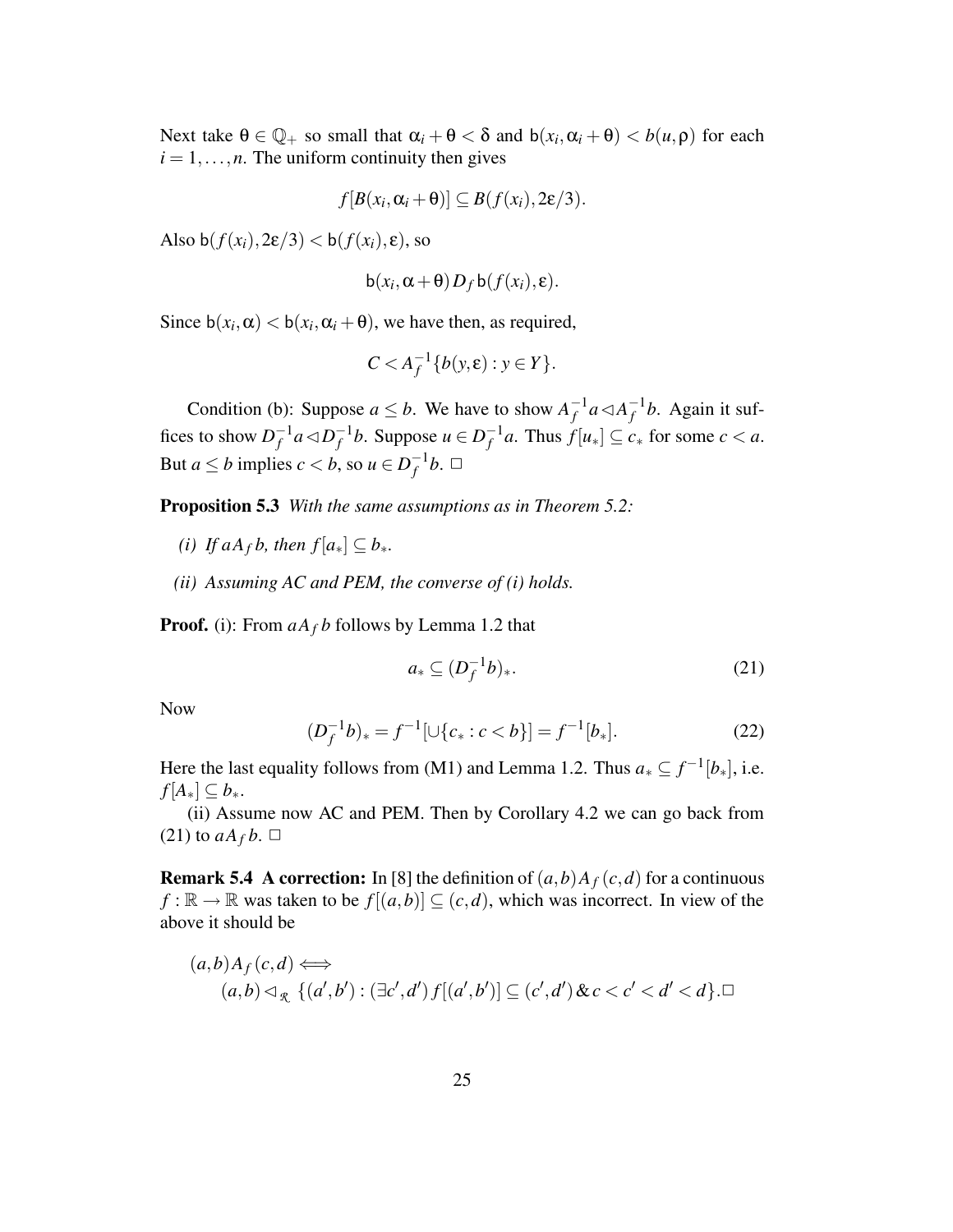Next take  $\theta \in \mathbb{Q}_+$  so small that  $\alpha_i + \theta < \delta$  and  $b(x_i, \alpha_i + \theta) < b(u, \rho)$  for each  $i = 1, \ldots, n$ . The uniform continuity then gives

$$
f[B(x_i,\alpha_i+\Theta)] \subseteq B(f(x_i),2\varepsilon/3).
$$

Also b( $f(x_i)$ ,  $2\varepsilon/3$ ) < b( $f(x_i)$ ,  $\varepsilon$ ), so

$$
b(x_i, \alpha + \theta) D_f b(f(x_i), \varepsilon).
$$

Since  $b(x_i, \alpha) < b(x_i, \alpha_i + \theta)$ , we have then, as required,

$$
C < A_f^{-1}\{b(y, \varepsilon) : y \in Y\}.
$$

Condition (b): Suppose  $a \leq b$ . We have to show  $A_f^{-1}$  $f^{-1}a \triangleleft A_f^{-1}$  $f<sup>-1</sup>b$ . Again it suffices to show  $D_f^{-1}$  $f^{-1}a \triangleleft D_f^{-1}$  $f$ <sup>1</sup>*b*. Suppose *u* ∈  $D_f^{-1}$  $f_f^{-1}a$ . Thus  $f[u_*] \subseteq c_*$  for some  $c < a$ . But *a*  $\leq b$  implies *c* < *b*, so *u*  $\in$  *D*<sup> $-1$ </sup>  $_f^{-1}b.$   $\Box$ 

**Proposition 5.3** *With the same assumptions as in Theorem 5.2:*

- *(i) If*  $aA_f b$ *, then*  $f[a_*] \subseteq b_*$ *.*
- *(ii) Assuming AC and PEM, the converse of (i) holds.*

**Proof.** (i): From *aA<sup>f</sup> b* follows by Lemma 1.2 that

$$
a_* \subseteq (D_f^{-1}b)_*.\tag{21}
$$

Now

$$
(D_f^{-1}b)_* = f^{-1}[\cup\{c_* : c < b\}] = f^{-1}[b_*].\tag{22}
$$

Here the last equality follows from (M1) and Lemma 1.2. Thus  $a_* \subseteq f^{-1}[b_*]$ , i.e.  $f[A_*] \subseteq b_*$ .

(ii) Assume now AC and PEM. Then by Corollary 4.2 we can go back from  $(21)$  to  $aA_f b$ .  $\Box$ 

**Remark 5.4 A** correction: In [8] the definition of  $(a,b)A_f(c,d)$  for a continuous  $f: \mathbb{R} \to \mathbb{R}$  was taken to be  $f[(a, b)] \subseteq (c, d)$ , which was incorrect. In view of the above it should be

$$
(a,b)A_f(c,d) \Longleftrightarrow
$$
  

$$
(a,b) \lhd_{\mathcal{R}} \{ (a',b'): (\exists c',d') f[(a',b')] \subseteq (c',d') \& c < c' < d' < d \}.\square
$$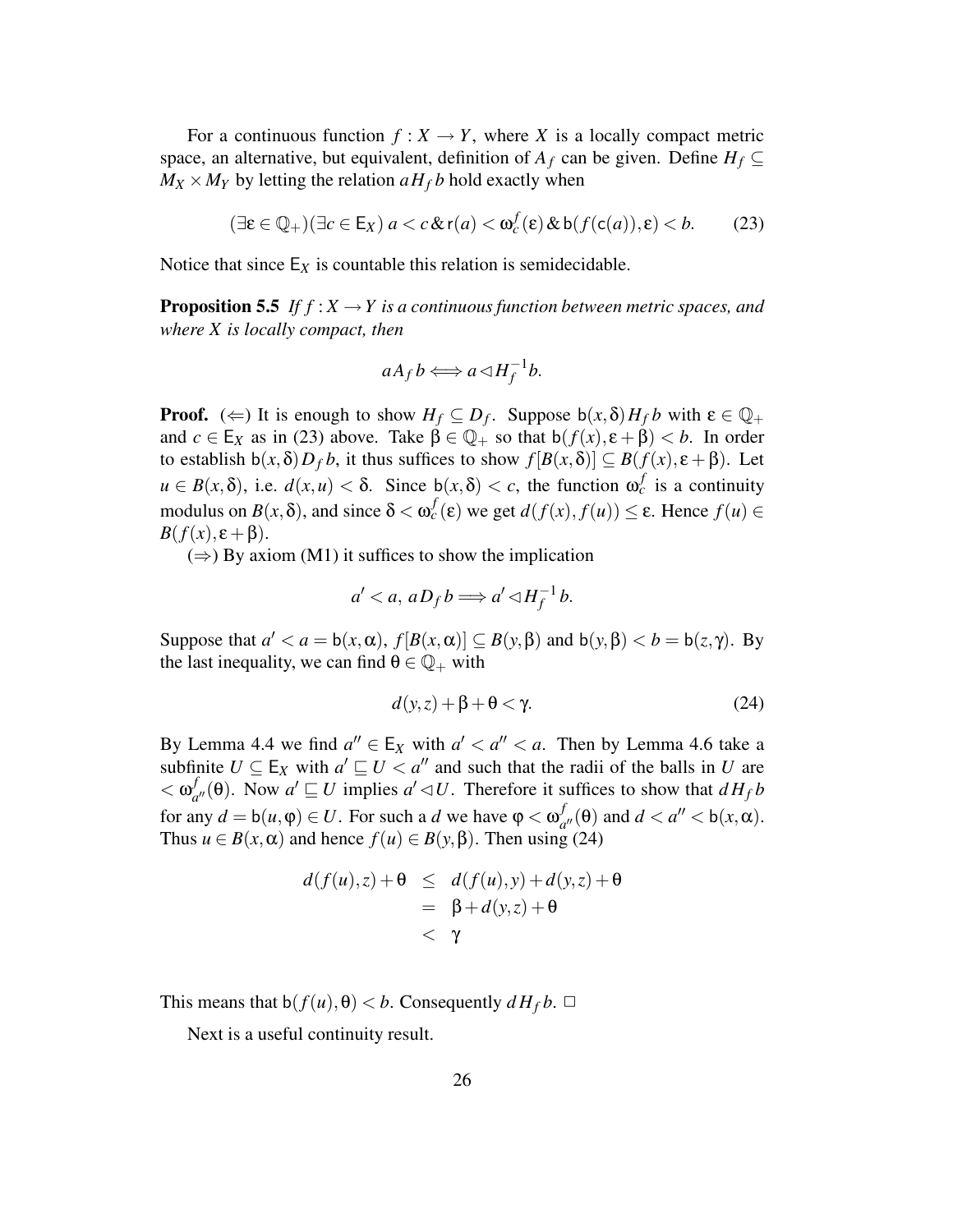For a continuous function  $f: X \to Y$ , where *X* is a locally compact metric space, an alternative, but equivalent, definition of  $A_f$  can be given. Define  $H_f \subseteq$  $M_X \times M_Y$  by letting the relation  $aH_f b$  hold exactly when

$$
(\exists \varepsilon \in \mathbb{Q}_+)(\exists c \in \mathsf{E}_X) a < c \,\& \mathsf{r}(a) < \mathsf{\omega}_c^f(\varepsilon) \,\& \mathsf{b}(f(\mathsf{c}(a)), \varepsilon) < b. \tag{23}
$$

Notice that since  $E_X$  is countable this relation is semidecidable.

**Proposition 5.5** If  $f: X \to Y$  is a continuous function between metric spaces, and *where X is locally compact, then*

$$
aA_f b \Longleftrightarrow a \triangleleft H_f^{-1}b.
$$

**Proof.** ( $\Leftarrow$ ) It is enough to show  $H_f \subseteq D_f$ . Suppose  $b(x, \delta)H_f b$  with  $\varepsilon \in \mathbb{Q}_+$ and  $c \in E_X$  as in (23) above. Take  $\beta \in \mathbb{Q}_+$  so that  $b(f(x), \varepsilon + \beta) < b$ . In order to establish  $b(x, \delta)D_f b$ , it thus suffices to show  $f[B(x, \delta)] \subseteq B(f(x), \epsilon + \beta)$ . Let  $u \in B(x,\delta)$ , i.e.  $d(x,u) < \delta$ . Since  $b(x,\delta) < c$ , the function  $\omega_c^f$  is a continuity modulus on  $B(x, \delta)$ , and since  $\delta < \omega_c^f(\epsilon)$  we get  $d(f(x), f(u)) \leq \epsilon$ . Hence  $f(u) \in$ *B*( $f(x)$ ,  $\varepsilon + \beta$ ).

 $(\Rightarrow)$  By axiom (M1) it suffices to show the implication

$$
a' < a, \, aD_f \, b \Longrightarrow a' \, \triangleleft H_f^{-1} \, b.
$$

Suppose that  $a' < a = b(x, \alpha)$ ,  $f[B(x, \alpha)] \subseteq B(y, \beta)$  and  $b(y, \beta) < b = b(z, \gamma)$ . By the last inequality, we can find  $\theta \in \mathbb{Q}_+$  with

$$
d(y, z) + \beta + \theta < \gamma. \tag{24}
$$

By Lemma 4.4 we find  $a'' \in E_X$  with  $a' < a'' < a$ . Then by Lemma 4.6 take a subfinite  $U \subseteq E_X$  with  $a' \sqsubseteq U < a''$  and such that the radii of the balls in *U* are  $< \omega_a^f$  $a^f_{a''}(\theta)$ . Now  $a' \sqsubseteq U$  implies  $a' \lhd U$ . Therefore it suffices to show that  $dH_f b$ for any  $d = b(u, \varphi) \in U$ . For such a *d* we have  $\varphi < \omega_d^f$  $\int_{a''}^{f}(\theta)$  and  $d < a'' < b(x, \alpha)$ . Thus  $u \in B(x, \alpha)$  and hence  $f(u) \in B(y, \beta)$ . Then using (24)

$$
d(f(u),z) + \theta \leq d(f(u),y) + d(y,z) + \theta
$$
  
=  $\beta + d(y,z) + \theta$   
<  $\gamma$ 

This means that  $b(f(u), \theta) < b$ . Consequently  $dH_f b$ .  $\Box$ 

Next is a useful continuity result.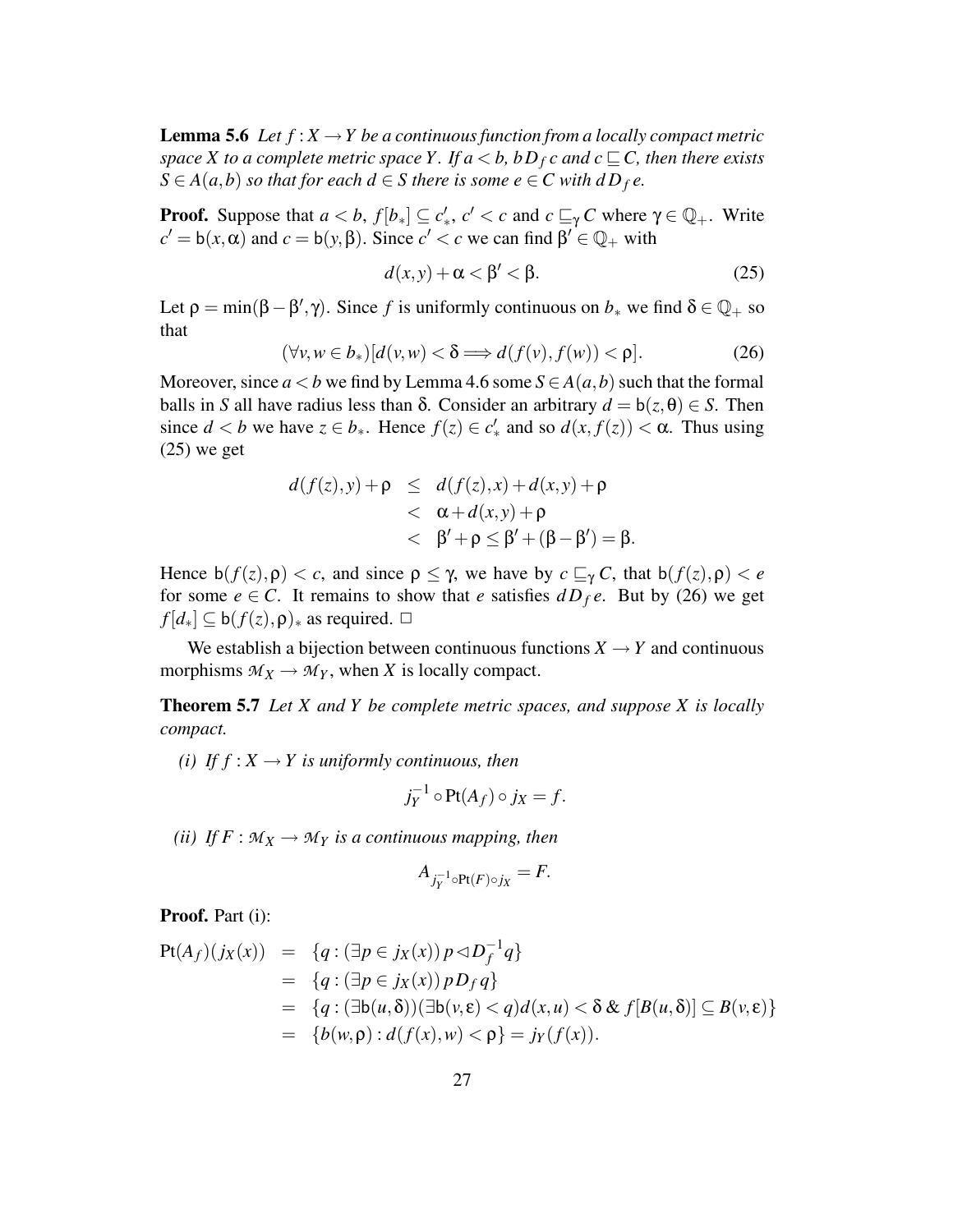**Lemma 5.6** *Let*  $f: X \to Y$  *be a continuous function from a locally compact metric space X to a complete metric space Y*. If  $a < b$ ,  $bD<sub>f</sub>c$  *and*  $c \sqsubseteq C$ , *then there exists*  $S \in A(a,b)$  *so that for each*  $d \in S$  *there is some*  $e \in C$  *with*  $dD_f e$ .

**Proof.** Suppose that  $a < b$ ,  $f[b_*] \subseteq c'_*, c' < c$  and  $c \sqsubseteq_{\gamma} C$  where  $\gamma \in \mathbb{Q}_+$ . Write  $c' = b(x, \alpha)$  and  $c = b(y, \beta)$ . Since  $c' < c$  we can find  $\beta' \in \mathbb{Q}_+$  with

$$
d(x, y) + \alpha < \beta' < \beta. \tag{25}
$$

Let  $\rho = \min(\beta - \beta', \gamma)$ . Since *f* is uniformly continuous on  $b_*$  we find  $\delta \in \mathbb{Q}_+$  so that

$$
(\forall v, w \in b_*)[d(v, w) < \delta \Longrightarrow d(f(v), f(w)) < \rho].\tag{26}
$$

Moreover, since  $a < b$  we find by Lemma 4.6 some  $S \in A(a, b)$  such that the formal balls in *S* all have radius less than  $\delta$ . Consider an arbitrary  $d = b(z, \theta) \in S$ . Then since  $d < b$  we have  $z \in b_*$ . Hence  $f(z) \in c'_*$  and so  $d(x, f(z)) < \alpha$ . Thus using  $(25)$  we get

$$
d(f(z), y) + \rho \leq d(f(z), x) + d(x, y) + \rho
$$
  

$$
< d(A, y) + \rho
$$
  

$$
< \beta' + \rho \leq \beta' + (\beta - \beta') = \beta.
$$

Hence  $b(f(z), \rho) < c$ , and since  $\rho \leq \gamma$ , we have by  $c \sqsubseteq_{\gamma} C$ , that  $b(f(z), \rho) < e$ for some  $e \in C$ . It remains to show that *e* satisfies  $dD_f e$ . But by (26) we get  $f[d_*] \subseteq b(f(z), \rho)_*$  as required.  $\Box$ 

We establish a bijection between continuous functions  $X \rightarrow Y$  and continuous morphisms  $M_X \to M_Y$ , when *X* is locally compact.

**Theorem 5.7** *Let X and Y be complete metric spaces, and suppose X is locally compact.*

*(i) If*  $f : X \to Y$  *is uniformly continuous, then* 

$$
j_Y^{-1} \circ \text{Pt}(A_f) \circ j_X = f.
$$

*(ii) If*  $F : M_X \to M_Y$  *is a continuous mapping, then* 

$$
A_{j_Y^{-1}\circ \mathrm{Pt}(F)\circ j_X}=F.
$$

**Proof.** Part (i):

$$
Pt(A_f)(j_X(x)) = \{q : (\exists p \in j_X(x)) p \triangleleft D_f^{-1} q\}
$$
  
\n
$$
= \{q : (\exists p \in j_X(x)) p D_f q\}
$$
  
\n
$$
= \{q : (\exists b(u, \delta)) (\exists b(v, \epsilon) < q) d(x, u) < \delta \& f[B(u, \delta)] \subseteq B(v, \epsilon)\}
$$
  
\n
$$
= \{b(w, \rho) : d(f(x), w) < \rho\} = j_Y(f(x)).
$$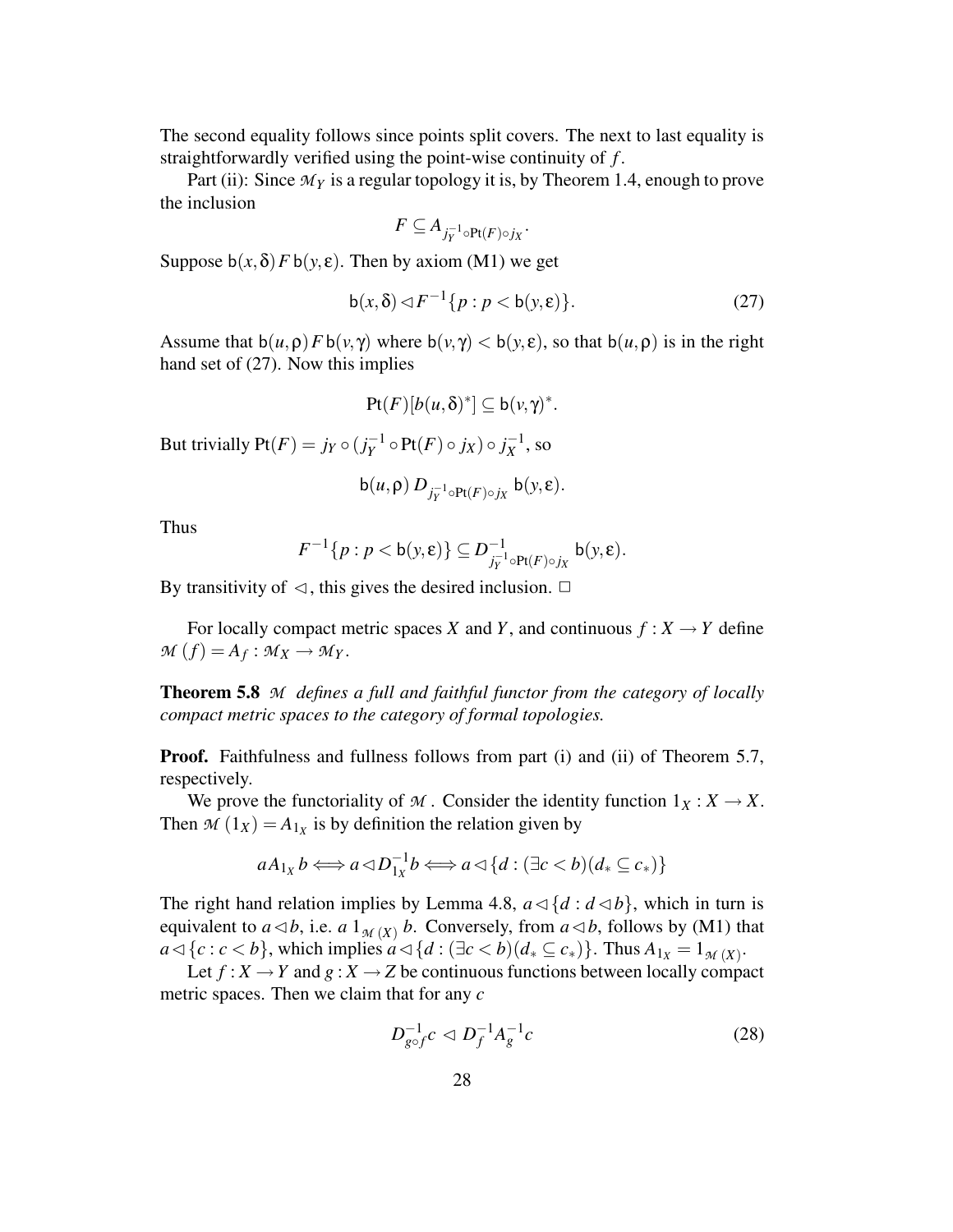The second equality follows since points split covers. The next to last equality is straightforwardly verified using the point-wise continuity of *f* .

Part (ii): Since  $\mathcal{M}_Y$  is a regular topology it is, by Theorem 1.4, enough to prove the inclusion

$$
F\subseteq A_{j_Y^{-1}\circ \mathrm{Pt}(F)\circ j_X}
$$

Suppose  $b(x, \delta) F b(y, \varepsilon)$ . Then by axiom (M1) we get

$$
b(x,\delta) \lhd F^{-1}\{p : p < b(y,\varepsilon)\}.\tag{27}
$$

.

Assume that  $b(u, \rho) F b(v, \gamma)$  where  $b(v, \gamma) < b(v, \epsilon)$ , so that  $b(u, \rho)$  is in the right hand set of (27). Now this implies

$$
\mathrm{Pt}(F)[b(u,\delta)^*] \subseteq \mathrm{b}(v,\gamma)^*.
$$

But trivially  $Pt(F) = j_Y \circ (j_Y^{-1})$ *Y*<sup>-1</sup> ◦ Pt(*F*) ◦ *j*<sub>*X*</sub>) ◦ *j*<sub>*X*</sub><sup>-1</sup>  $\overline{X}^{-1}$ , so

$$
\mathsf{b}(u,\rho) D_{j_Y^{-1}\circ \Pr(F)\circ j_X} \mathsf{b}(y,\varepsilon).
$$

Thus

$$
F^{-1}\{p:p
$$

By transitivity of  $\triangleleft$ , this gives the desired inclusion.  $\Box$ 

For locally compact metric spaces *X* and *Y*, and continuous  $f : X \to Y$  define  $M(f) = A_f : M_X \to M_Y$ .

**Theorem 5.8** *M defines a full and faithful functor from the category of locally compact metric spaces to the category of formal topologies.*

**Proof.** Faithfulness and fullness follows from part (i) and (ii) of Theorem 5.7, respectively.

We prove the functoriality of *M*. Consider the identity function  $1_X : X \to X$ . Then  $M(1_X) = A_{1_X}$  is by definition the relation given by

$$
aA_{1_X}b \Longleftrightarrow a \triangleleft D_{1_X}^{-1}b \Longleftrightarrow a \triangleleft \{d : (\exists c < b)(d_* \subseteq c_*)\}
$$

The right hand relation implies by Lemma 4.8,  $a \triangleleft \{d : d \triangleleft b\}$ , which in turn is equivalent to  $a \triangleleft b$ , i.e.  $a \mathbb{1}_{M(X)} b$ . Conversely, from  $a \triangleleft b$ , follows by (M1) that  $a \triangleleft \{c : c < b\}$ , which implies  $a \triangleleft \{d : (\exists c < b)(d_* \subseteq c_*)\}$ . Thus  $A_{1_X} = 1_{\mathcal{M}(X)}$ .

Let  $f: X \to Y$  and  $g: X \to Z$  be continuous functions between locally compact metric spaces. Then we claim that for any *c*

$$
D_{g \circ f}^{-1} c \lhd D_f^{-1} A_g^{-1} c \tag{28}
$$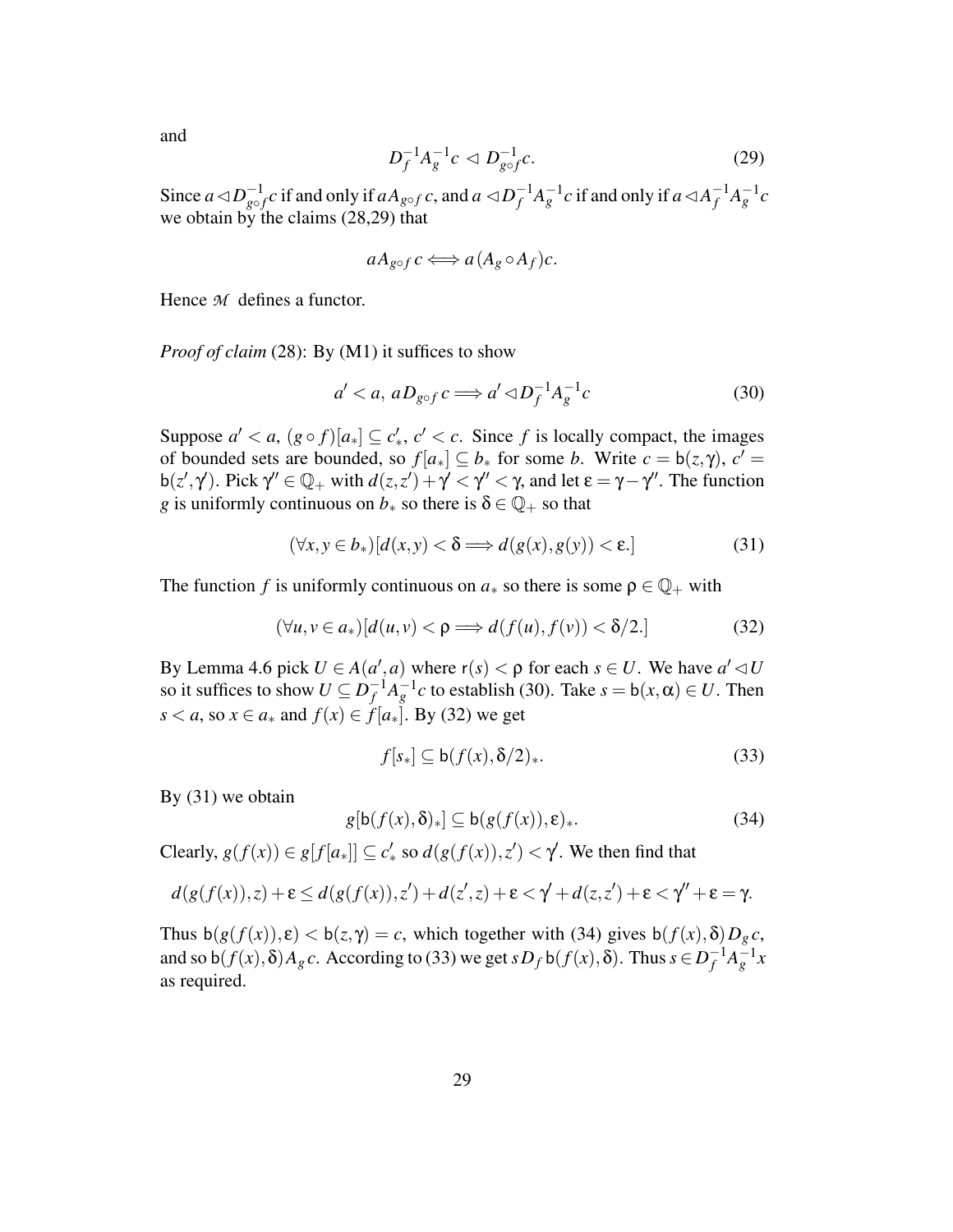and

$$
D_f^{-1} A_g^{-1} c \lhd D_{g \circ f}^{-1} c. \tag{29}
$$

Since  $a \triangleleft D_{\text{out}}^{-1}$  $\frac{-1}{g\circ f}c$  if and only if  $aA_{g\circ f}c$ , and  $a \lhd D_f^{-1}$  $f^{-1}A_g^{-1}c$  if and only if *a*  $\lhd A_f^{-1}$  $f^{-1}A^{-1}_g c$ we obtain by the claims (28,29) that

$$
aA_{g\circ f}c \Longleftrightarrow a(A_g \circ A_f)c.
$$

Hence *M* defines a functor.

*Proof of claim* (28): By (M1) it suffices to show

$$
a' < a, \, aD_{g \circ f} \, c \Longrightarrow a' \, \triangleleft D_f^{-1} A_g^{-1} c \tag{30}
$$

Suppose  $a' < a$ ,  $(g \circ f)[a_*] \subseteq c'_*, c' < c$ . Since *f* is locally compact, the images of bounded sets are bounded, so  $f[a_*] \subseteq b_*$  for some *b*. Write  $c = b(z, \gamma)$ ,  $c' =$ b(*z'*,  $\gamma'$ ). Pick  $\gamma'' \in \mathbb{Q}_+$  with  $d(z, z') + \gamma' < \gamma'' < \gamma$ , and let  $\varepsilon = \gamma - \gamma''$ . The function *g* is uniformly continuous on  $b_*$  so there is  $\delta \in \mathbb{Q}_+$  so that

$$
(\forall x, y \in b_*)[d(x, y) < \delta \Longrightarrow d(g(x), g(y)) < \varepsilon. \tag{31}
$$

The function *f* is uniformly continuous on  $a_*$  so there is some  $\rho \in \mathbb{Q}_+$  with

$$
(\forall u, v \in a_*)[d(u, v) < \rho \Longrightarrow d(f(u), f(v)) < \delta/2.] \tag{32}
$$

By Lemma 4.6 pick  $U \in A(a', a)$  where  $r(s) < \rho$  for each  $s \in U$ . We have  $a' \lhd U$ so it suffices to show  $U \subseteq D_f^{-1}$  $f^{-1}A_g^{-1}c$  to establish (30). Take  $s = b(x, \alpha) \in U$ . Then *s* < *a*, so *x* ∈ *a*<sup>∗</sup> and *f*(*x*) ∈ *f*[*a*<sup>∗</sup>]. By (32) we get

$$
f[s_*] \subseteq b(f(x), \delta/2)_*. \tag{33}
$$

By (31) we obtain

$$
g[\mathsf{b}(f(x),\delta)_*] \subseteq \mathsf{b}(g(f(x)),\varepsilon)_*.
$$
 (34)

Clearly,  $g(f(x)) \in g[f[a_*]] \subseteq c'_*$  so  $d(g(f(x)), z') < \gamma'$ . We then find that

$$
d(g(f(x)),z) + \varepsilon \leq d(g(f(x)),z') + d(z',z) + \varepsilon < \gamma' + d(z,z') + \varepsilon < \gamma'' + \varepsilon = \gamma.
$$

Thus  $b(g(f(x)), \varepsilon) < b(z, \gamma) = c$ , which together with (34) gives  $b(f(x), \delta)D_g c$ , and so  $\mathsf{b}(f(x), \delta)A_g c$ . According to (33) we get  $sD_f \mathsf{b}(f(x), \delta)$ . Thus  $s \in D_f^{-1}$  $f^{-1}A^{-1}_g x$ as required.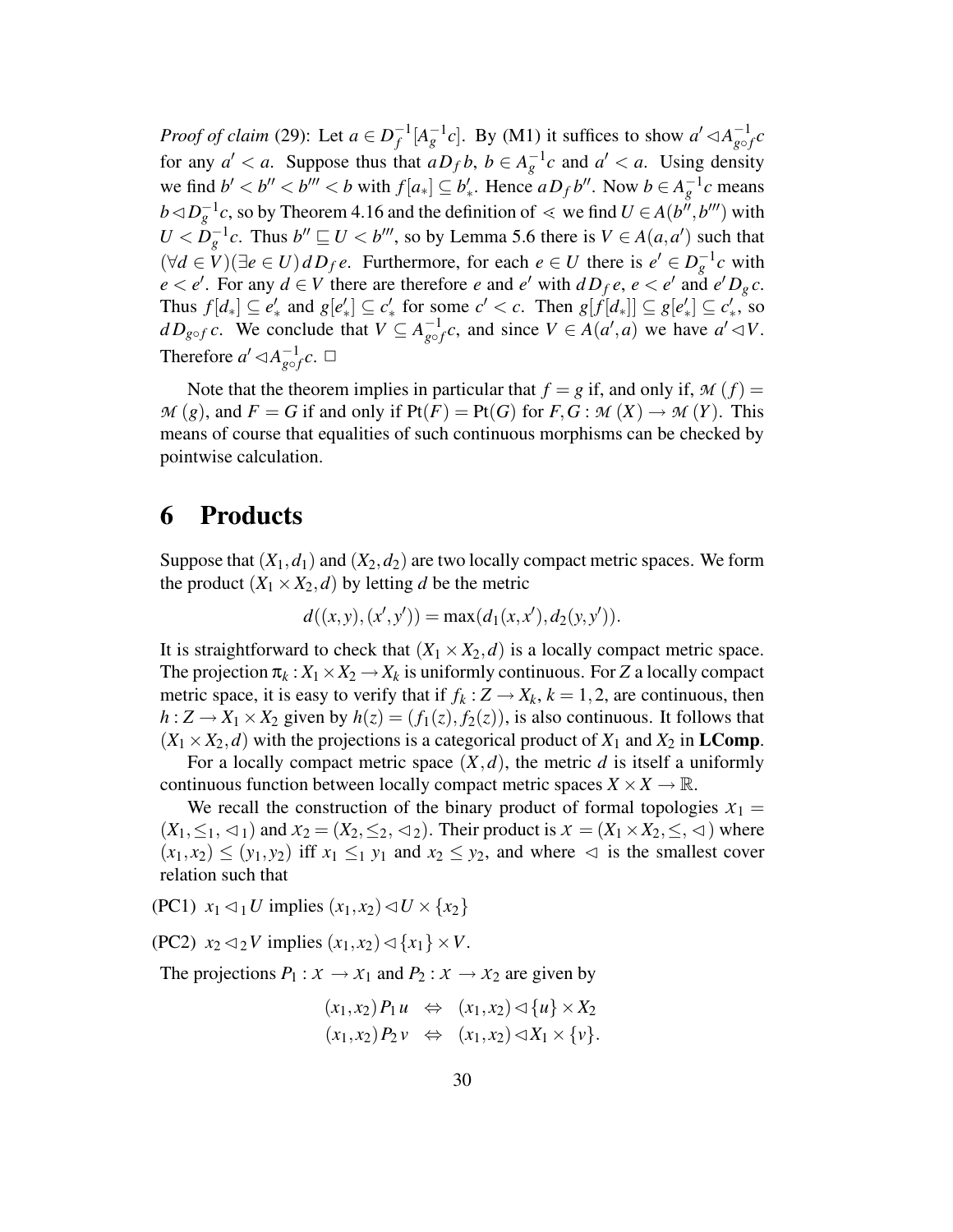*Proof of claim* (29): Let  $a \in D_f^{-1}$  $f^{-1}[A_g^{-1}c]$ . By (M1) it suffices to show  $a' \triangleleft A_{g \circ j}^{-1}$  $\frac{-1}{g \circ f}c$ for any  $a' < a$ . Suppose thus that  $aD_f b$ ,  $b \in A_g^{-1}c$  and  $a' < a$ . Using density we find  $b' < b'' < b''' < b$  with  $f[a_*] \subseteq b'_*$ . Hence  $aD_f b''$ . Now  $b \in A_g^{-1}c$  means *b* ⊲  $D_g^{-1}c$ , so by Theorem 4.16 and the definition of  $\lt$  we find *U* ∈ *A*(*b*<sup>*''*</sup>, *b*<sup>*'''*)</sup> with  $U < D_g^{-1}c$ . Thus  $b'' \sqsubseteq U < b'''$ , so by Lemma 5.6 there is  $V \in A(a,a')$  such that  $(\forall d \in V)(\exists e \in U) dD_f e$ . Furthermore, for each  $e \in U$  there is  $e' \in D_g^{-1}c$  with  $e < e'$ . For any  $d \in V$  there are therefore *e* and *e'* with  $dD_f e, e < e'$  and  $e'D_g c$ . Thus  $f[d_*] \subseteq e'_*$  and  $g[e'_*] \subseteq c'_*$  for some  $c' < c$ . Then  $g[f[d_*]] \subseteq g[e'_*] \subseteq c'_*,$  so *d*  $D_{g \circ f}$  *c*. We conclude that  $V \subseteq A_{g \circ f}^{-1}$  $\frac{-1}{g \circ f}$ *c*, and since  $V \in A(a', a)$  we have  $a' \lhd V$ . Therefore  $a' \triangleleft A_{\alpha}^{-1}$  $_{g\circ f}^{-1}c.$   $\Box$ 

Note that the theorem implies in particular that  $f = g$  if, and only if,  $M(f) =$  $M(g)$ , and  $F = G$  if and only if  $Pt(F) = Pt(G)$  for  $F, G : M(X) \to M(Y)$ . This means of course that equalities of such continuous morphisms can be checked by pointwise calculation.

### **6 Products**

Suppose that  $(X_1, d_1)$  and  $(X_2, d_2)$  are two locally compact metric spaces. We form the product  $(X_1 \times X_2, d)$  by letting *d* be the metric

$$
d((x,y),(x',y')) = \max(d_1(x,x'),d_2(y,y')).
$$

It is straightforward to check that  $(X_1 \times X_2, d)$  is a locally compact metric space. The projection  $\pi_k: X_1 \times X_2 \to X_k$  is uniformly continuous. For *Z* a locally compact metric space, it is easy to verify that if  $f_k$ :  $Z \rightarrow X_k$ ,  $k = 1, 2$ , are continuous, then  $h: Z \to X_1 \times X_2$  given by  $h(z) = (f_1(z), f_2(z))$ , is also continuous. It follows that  $(X_1 \times X_2, d)$  with the projections is a categorical product of  $X_1$  and  $X_2$  in **LComp**.

For a locally compact metric space  $(X, d)$ , the metric *d* is itself a uniformly continuous function between locally compact metric spaces  $X \times X \to \mathbb{R}$ .

We recall the construction of the binary product of formal topologies  $x_1 =$  $(X_1, \leq_1, \leq_1)$  and  $X_2 = (X_2, \leq_2, \leq_2)$ . Their product is  $X = (X_1 \times X_2, \leq_1, \leq_2)$  where  $(x_1, x_2) \le (y_1, y_2)$  iff  $x_1 \le_1 y_1$  and  $x_2 \le y_2$ , and where  $\lhd$  is the smallest cover relation such that

(PC1)  $x_1 \leq 1$ *U* implies  $(x_1, x_2) \leq U \times \{x_2\}$ 

(PC2)  $x_2 \triangleleft_2 V$  implies  $(x_1, x_2) \triangleleft \{x_1\} \times V$ .

The projections  $P_1: X \to X_1$  and  $P_2: X \to X_2$  are given by

$$
(x_1,x_2)P_1u \Leftrightarrow (x_1,x_2) \triangleleft \{u\} \times X_2
$$

$$
(x_1,x_2)P_2v \Leftrightarrow (x_1,x_2) \triangleleft X_1 \times \{v\}.
$$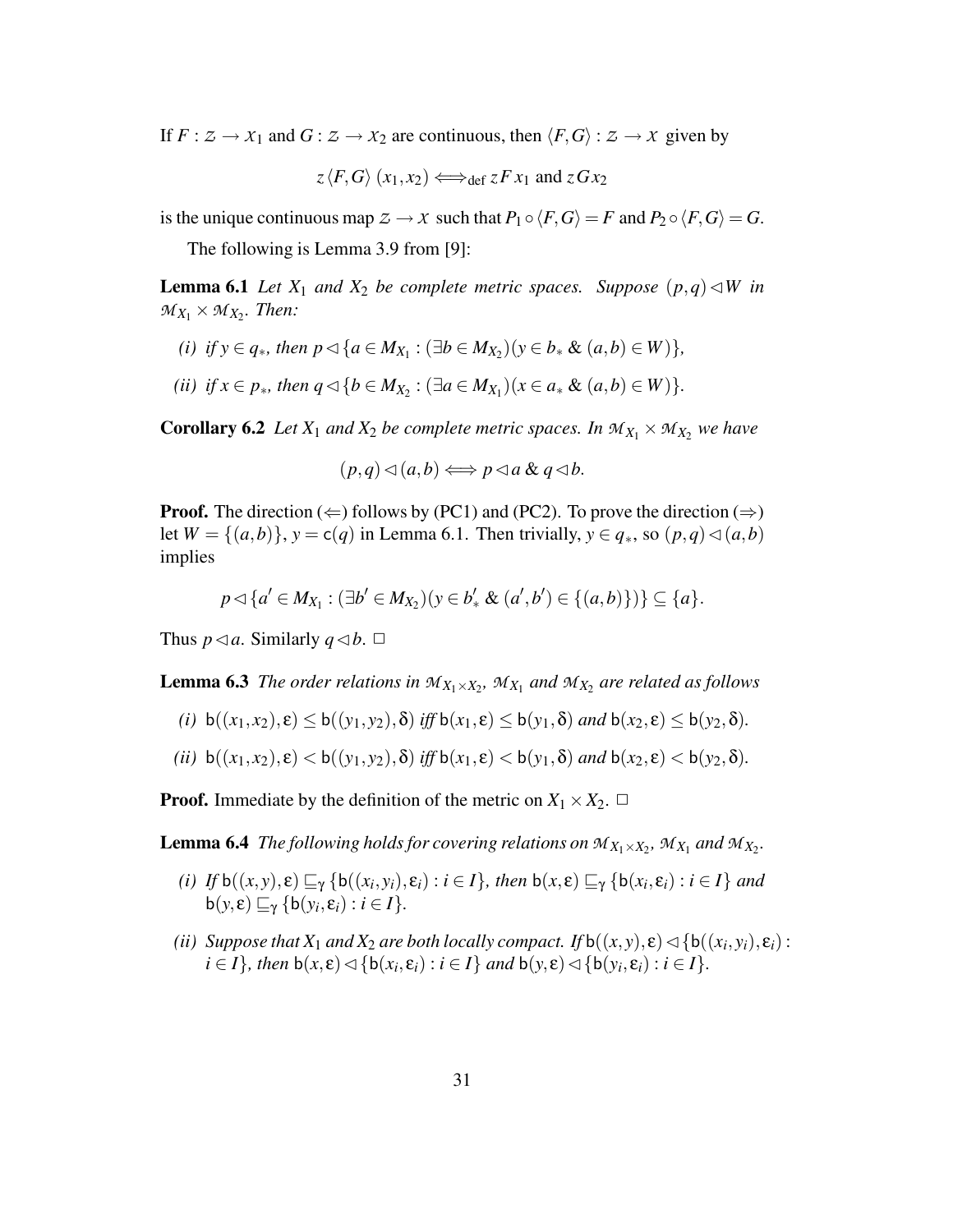If  $F : Z \to X_1$  and  $G : Z \to X_2$  are continuous, then  $\langle F, G \rangle : Z \to X$  given by

$$
z \langle F, G \rangle (x_1, x_2) \Longleftrightarrow_{def} z F x_1
$$
 and  $z G x_2$ 

is the unique continuous map  $Z \to X$  such that  $P_1 \circ \langle F, G \rangle = F$  and  $P_2 \circ \langle F, G \rangle = G$ .

The following is Lemma 3.9 from [9]:

**Lemma 6.1** *Let*  $X_1$  *and*  $X_2$  *be complete metric spaces. Suppose*  $(p,q) \triangleleft W$  *in*  $M_{X_1} \times M_{X_2}$ *. Then:* 

- *(i) if*  $y \in q_*$ *, then*  $p \lhd \{a \in M_{X_1} : (\exists b \in M_{X_2})(y \in b_* \& (a, b) \in W)\},$
- *(ii) if*  $x \in p_*$ *, then*  $q \triangleleft \{ b \in M_{X_2} : (\exists a \in M_{X_1})(x \in a_* \& (a,b) \in W) \}.$

**Corollary 6.2** *Let*  $X_1$  *and*  $X_2$  *be complete metric spaces. In*  $M_{X_1} \times M_{X_2}$  *we have* 

$$
(p,q)\lhd(a,b)\Longleftrightarrow p\lhd a\ \&\ q\lhd b.
$$

**Proof.** The direction  $(\Leftarrow)$  follows by (PC1) and (PC2). To prove the direction  $(\Rightarrow)$ let  $W = \{(a,b)\}\$ ,  $y = c(q)$  in Lemma 6.1. Then trivially,  $y \in q_*,$  so  $(p,q) \triangleleft (a,b)$ implies

$$
p \lhd \{a' \in M_{X_1} : (\exists b' \in M_{X_2})(y \in b'_* \& (a',b') \in \{(a,b)\})\} \subseteq \{a\}.
$$

Thus  $p \triangleleft a$ . Similarly  $q \triangleleft b$ .  $\Box$ 

**Lemma 6.3** The order relations in  $M_{X_1 \times X_2}$ ,  $M_{X_1}$  and  $M_{X_2}$  are related as follows

(*i*)  $b((x_1, x_2), \varepsilon) \leq b((y_1, y_2), \delta)$  *iff*  $b(x_1, \varepsilon) \leq b(y_1, \delta)$  *and*  $b(x_2, \varepsilon) \leq b(y_2, \delta)$ *.* 

$$
(ii) b((x_1,x_2),\varepsilon) < b((y_1,y_2),\delta) \text{ iff } b(x_1,\varepsilon) < b(y_1,\delta) \text{ and } b(x_2,\varepsilon) < b(y_2,\delta).
$$

**Proof.** Immediate by the definition of the metric on  $X_1 \times X_2$ .  $\Box$ 

**Lemma 6.4** *The following holds for covering relations on*  $M_{X_1 \times X_2}$ ,  $M_{X_1}$  and  $M_{X_2}$ .

- (i) If  $b((x,y), \varepsilon) \sqsubseteq_{\gamma} \{b((x_i,y_i), \varepsilon_i) : i \in I\}$ , then  $b(x, \varepsilon) \sqsubseteq_{\gamma} \{b(x_i, \varepsilon_i) : i \in I\}$  and  $b(y,\varepsilon) \sqsubseteq_{\gamma} \{b(y_i,\varepsilon_i) : i \in I\}.$
- *(ii) Suppose that*  $X_1$  *and*  $X_2$  *are both locally compact. If*  $b((x,y), \varepsilon) \triangleleft \{b((x_i, y_i), \varepsilon_i) :$  $i \in I$ *}*, *then*  $b(x, \varepsilon) \triangleleft \{b(x_i, \varepsilon_i) : i \in I\}$  *and*  $b(y, \varepsilon) \triangleleft \{b(y_i, \varepsilon_i) : i \in I\}$ *.*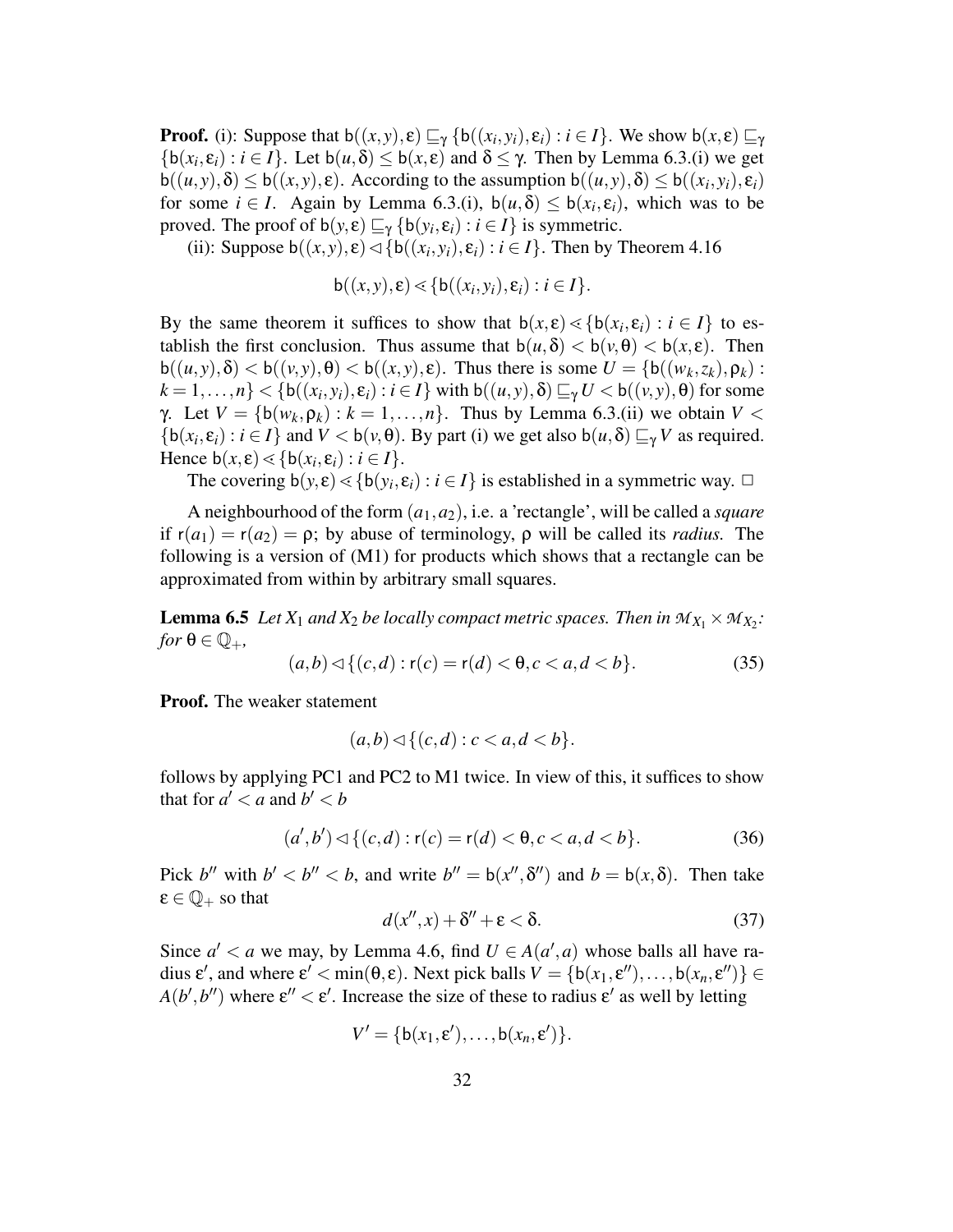**Proof.** (i): Suppose that  $b((x, y), \varepsilon) \sqsubseteq_{\gamma} \{b((x_i, y_i), \varepsilon_i) : i \in I\}$ . We show  $b(x, \varepsilon) \sqsubseteq_{\gamma}$  $\{b(x_i, \varepsilon_i) : i \in I\}$ . Let  $b(u, \delta) \leq b(x, \varepsilon)$  and  $\delta \leq \gamma$ . Then by Lemma 6.3.(i) we get  $\mathbf{b}((u, y), \delta) \leq \mathbf{b}((x, y), \epsilon)$ . According to the assumption  $\mathbf{b}((u, y), \delta) \leq \mathbf{b}((x_i, y_i), \epsilon_i)$ for some  $i \in I$ . Again by Lemma 6.3.(i),  $b(u, \delta) \leq b(x_i, \varepsilon_i)$ , which was to be proved. The proof of  $b(y, \varepsilon) \sqsubseteq_{\gamma} \{b(y_i, \varepsilon_i) : i \in I\}$  is symmetric.

(ii): Suppose  $b((x, y), \varepsilon) \triangleleft \{ b((x_i, y_i), \varepsilon_i) : i \in I \}$ . Then by Theorem 4.16

$$
\mathsf{b}((x,y),\varepsilon) \lessdot \{\mathsf{b}((x_i,y_i),\varepsilon_i): i \in I\}.
$$

By the same theorem it suffices to show that  $b(x, \varepsilon) \leq {b(x_i, \varepsilon_i) : i \in I}$  to establish the first conclusion. Thus assume that  $b(u, \delta) < b(v, \theta) < b(x, \epsilon)$ . Then  $b((u, y), \delta) < b((v, y), \theta) < b((x, y), \epsilon)$ . Thus there is some  $U = \{b((w_k, z_k), \rho_k)$ :  $k = 1, \ldots, n$ }  $< \{b((x_i, y_i), \varepsilon_i) : i \in I\}$  with  $b((u, y), \delta) \sqsubseteq_{\gamma} U < b((v, y), \Theta)$  for some *γ*. Let  $V = \{b(w_k, \rho_k) : k = 1, \ldots, n\}$ . Thus by Lemma 6.3.(ii) we obtain  $V <$  $\{b(x_i, \varepsilon_i) : i \in I\}$  and  $V < b(v, \theta)$ . By part (i) we get also  $b(u, \delta) \sqsubseteq_{\gamma} V$  as required. Hence  $b(x, \varepsilon) \leq \{b(x_i, \varepsilon_i) : i \in I\}.$ 

The covering  $b(y, \varepsilon) \leq {b(y_i, \varepsilon_i) : i \in I}$  is established in a symmetric way.  $\Box$ 

A neighbourhood of the form (*a*1,*a*2), i.e. a 'rectangle', will be called a *square* if  $r(a_1) = r(a_2) = \rho$ ; by abuse of terminology,  $\rho$  will be called its *radius*. The following is a version of (M1) for products which shows that a rectangle can be approximated from within by arbitrary small squares.

**Lemma 6.5** Let  $X_1$  and  $X_2$  be locally compact metric spaces. Then in  $M_{X_1} \times M_{X_2}$ :  $for \theta \in \mathbb{Q}_+$ ,

$$
(a,b) \lhd \{(c,d) : r(c) = r(d) < \theta, c < a, d < b\}.\tag{35}
$$

**Proof.** The weaker statement

$$
(a,b) \lhd \{(c,d) : c < a, d < b\}.
$$

follows by applying PC1 and PC2 to M1 twice. In view of this, it suffices to show that for  $a' < a$  and  $b' < b$ 

$$
(a',b') \lhd \{(c,d) : r(c) = r(d) < \theta, c < a, d < b\}. \tag{36}
$$

Pick *b*<sup>*u*</sup> with  $b' < b'' < b$ , and write  $b'' = b(x'', \delta'')$  and  $b = b(x, \delta)$ . Then take  $\varepsilon \in \mathbb{Q}_+$  so that

$$
d(x'',x) + \delta'' + \varepsilon < \delta. \tag{37}
$$

Since  $a' < a$  we may, by Lemma 4.6, find  $U \in A(a', a)$  whose balls all have radius  $\varepsilon'$ , and where  $\varepsilon' < \min(\theta, \varepsilon)$ . Next pick balls  $V = \{b(x_1, \varepsilon''), \dots, b(x_n, \varepsilon'')\} \in$  $A(b', b'')$  where  $\varepsilon'' < \varepsilon'$ . Increase the size of these to radius  $\varepsilon'$  as well by letting

$$
V' = \{b(x_1, \varepsilon'), \ldots, b(x_n, \varepsilon')\}.
$$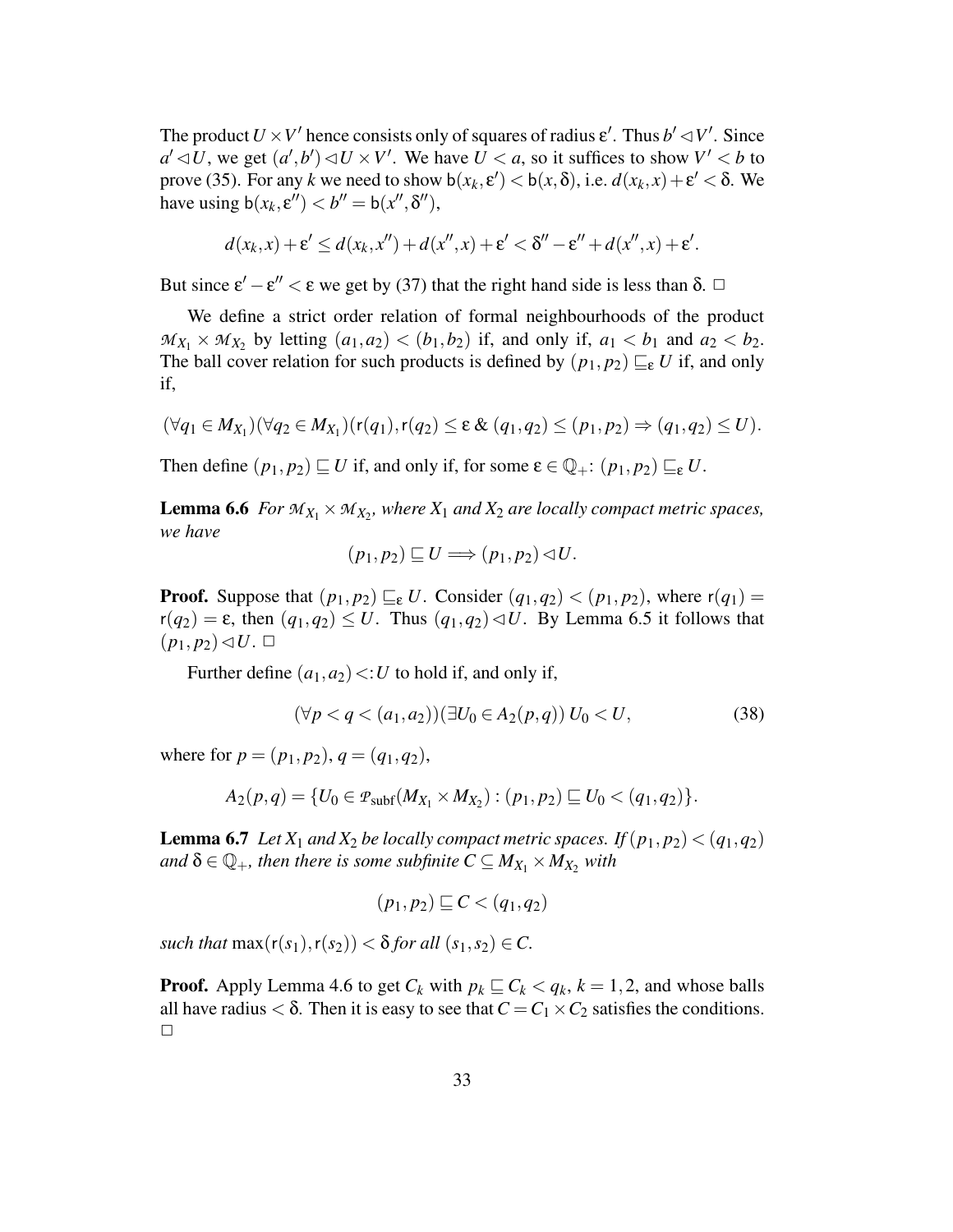The product  $U \times V'$  hence consists only of squares of radius  $\varepsilon'$ . Thus  $b' \lhd V'$ . Since  $a' \triangleleft U$ , we get  $(a', b') \triangleleft U \times V'$ . We have  $U \le a$ , so it suffices to show  $V' \le b$  to prove (35). For any *k* we need to show  $b(x_k, \varepsilon') < b(x, \delta)$ , i.e.  $d(x_k, x) + \varepsilon' < \delta$ . We have using  $b(x_k, \varepsilon'') < b'' = b(x'', \delta''),$ 

$$
d(x_k,x)+\varepsilon'\leq d(x_k,x'')+d(x'',x)+\varepsilon'<\delta''-\varepsilon''+d(x'',x)+\varepsilon'.
$$

But since  $\varepsilon' - \varepsilon'' < \varepsilon$  we get by (37) that the right hand side is less than  $\delta$ .  $\Box$ 

We define a strict order relation of formal neighbourhoods of the product  $M_{X_1} \times M_{X_2}$  by letting  $(a_1, a_2) < (b_1, b_2)$  if, and only if,  $a_1 < b_1$  and  $a_2 < b_2$ . The ball cover relation for such products is defined by  $(p_1, p_2) \sqsubseteq_{\varepsilon} U$  if, and only if,

$$
(\forall q_1 \in M_{X_1})(\forall q_2 \in M_{X_1})(r(q_1), r(q_2) \leq \varepsilon \& (q_1, q_2) \leq (p_1, p_2) \Rightarrow (q_1, q_2) \leq U).
$$

Then define  $(p_1, p_2) \sqsubseteq U$  if, and only if, for some  $\varepsilon \in \mathbb{Q}_+$ :  $(p_1, p_2) \sqsubseteq_{\varepsilon} U$ .

**Lemma 6.6** *For*  $M_{X_1} \times M_{X_2}$ , where  $X_1$  *and*  $X_2$  *are locally compact metric spaces, we have*

$$
(p_1, p_2) \sqsubseteq U \Longrightarrow (p_1, p_2) \lhd U.
$$

**Proof.** Suppose that  $(p_1, p_2) \sqsubseteq_{\varepsilon} U$ . Consider  $(q_1, q_2) < (p_1, p_2)$ , where  $r(q_1) =$  $r(q_2) = \varepsilon$ , then  $(q_1, q_2) \leq U$ . Thus  $(q_1, q_2) \leq U$ . By Lemma 6.5 it follows that  $(p_1, p_2) \triangleleft U$ .  $\Box$ 

Further define  $(a_1, a_2) \le U$  to hold if, and only if,

$$
(\forall p < q < (a_1, a_2)) (\exists U_0 \in A_2(p, q)) U_0 < U,
$$
\n(38)

where for  $p = (p_1, p_2), q = (q_1, q_2),$ 

$$
A_2(p,q) = \{U_0 \in \mathcal{P}_{subf}(M_{X_1} \times M_{X_2}) : (p_1,p_2) \sqsubseteq U_0 < (q_1,q_2)\}.
$$

**Lemma 6.7** *Let*  $X_1$  *and*  $X_2$  *be locally compact metric spaces. If*  $(p_1, p_2) < (q_1, q_2)$  $\partial^2 \mathcal{A} = \mathbb{Q}_+$ , *then there is some subfinite*  $C \subseteq M_{X_1} \times M_{X_2}$  *with* 

$$
(p_1,p_2)\sqsubseteq C < (q_1,q_2)
$$

*such that*  $max(r(s_1), r(s_2)) < \delta$  *for all*  $(s_1, s_2) \in C$ .

**Proof.** Apply Lemma 4.6 to get  $C_k$  with  $p_k \subseteq C_k < q_k$ ,  $k = 1, 2$ , and whose balls all have radius  $< \delta$ . Then it is easy to see that  $C = C_1 \times C_2$  satisfies the conditions.  $\Box$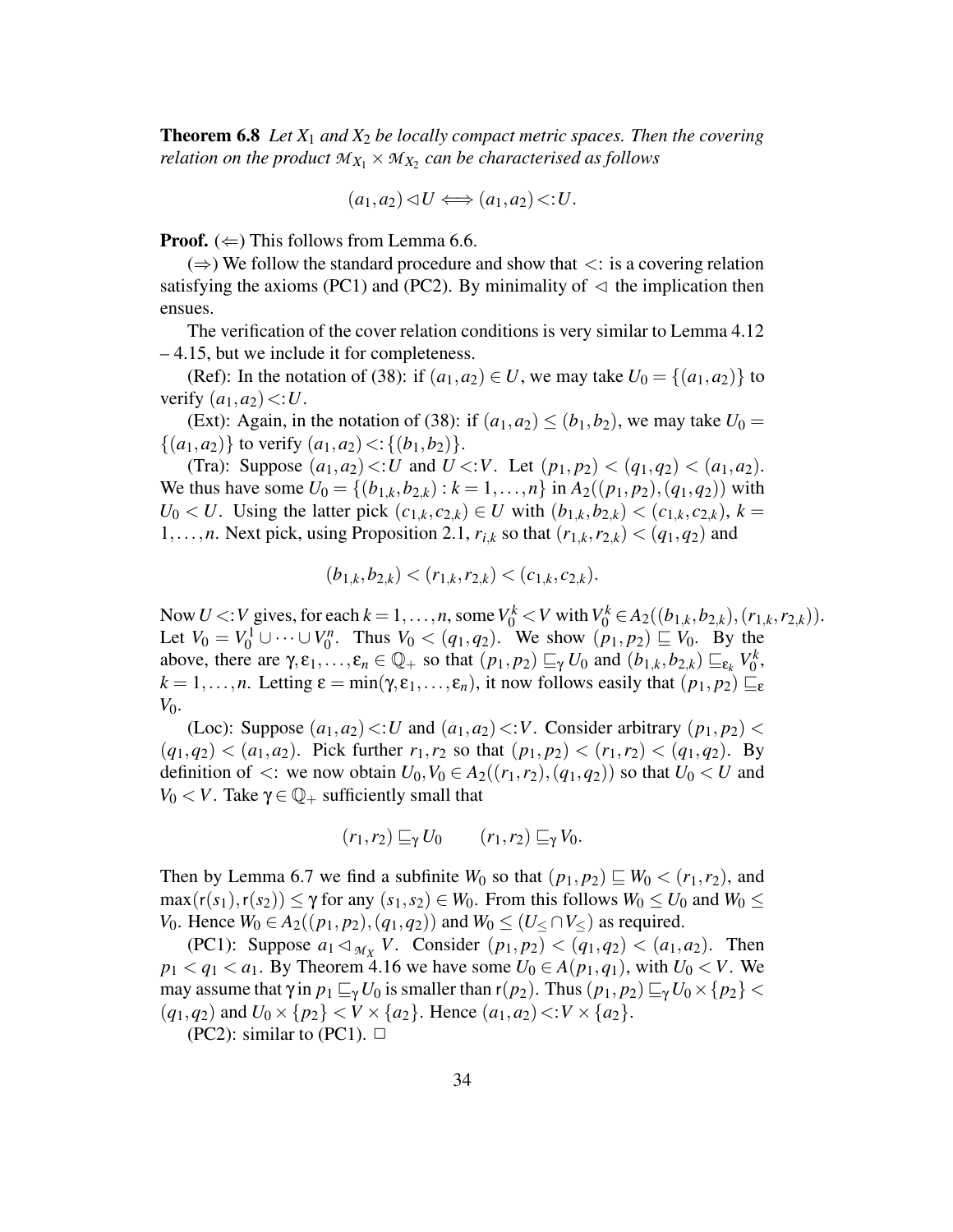**Theorem 6.8** *Let X*<sup>1</sup> *and X*<sup>2</sup> *be locally compact metric spaces. Then the covering relation on the product*  $\mathcal{M}_{X_1}\times\mathcal{M}_{X_2}$  *can be characterised as follows* 

$$
(a_1, a_2) \triangleleft U \Longleftrightarrow (a_1, a_2) \triangleleft U.
$$

**Proof.** ( $\Leftarrow$ ) This follows from Lemma 6.6.

 $(\Rightarrow)$  We follow the standard procedure and show that  $\lt$ : is a covering relation satisfying the axioms (PC1) and (PC2). By minimality of  $\lhd$  the implication then ensues.

The verification of the cover relation conditions is very similar to Lemma 4.12 – 4.15, but we include it for completeness.

(Ref): In the notation of (38): if  $(a_1, a_2) \in U$ , we may take  $U_0 = \{(a_1, a_2)\}\$ to verify  $(a_1, a_2) \leq U$ .

(Ext): Again, in the notation of (38): if  $(a_1, a_2) \le (b_1, b_2)$ , we may take  $U_0 =$  $\{(a_1, a_2)\}\$ to verify  $(a_1, a_2)$  <:  $\{(b_1, b_2)\}\$ .

(Tra): Suppose  $(a_1, a_2) \le U$  and  $U \le V$ . Let  $(p_1, p_2) \le (q_1, q_2) \le (a_1, a_2)$ . We thus have some  $U_0 = \{(b_{1,k}, b_{2,k}) : k = 1, ..., n\}$  in  $A_2((p_1, p_2), (q_1, q_2))$  with *U*<sub>0</sub> < *U*. Using the latter pick  $(c_{1,k}, c_{2,k}) \in U$  with  $(b_{1,k}, b_{2,k}) < (c_{1,k}, c_{2,k}), k =$ 1,...,*n*. Next pick, using Proposition 2.1,  $r_{i,k}$  so that  $(r_{1,k}, r_{2,k}) < (q_1, q_2)$  and

$$
(b_{1,k}, b_{2,k}) < (r_{1,k}, r_{2,k}) < (c_{1,k}, c_{2,k}).
$$

Now *U* <: *V* gives, for each  $k = 1, ..., n$ , some  $V_0^k < V$  with  $V_0^k \in A_2((b_{1,k}, b_{2,k}), (r_{1,k}, r_{2,k}))$ . Let  $V_0 = V_0^1 \cup \cdots \cup V_0^n$  $V_0$ . Thus  $V_0 < (q_1, q_2)$ . We show  $(p_1, p_2) \sqsubseteq V_0$ . By the above, there are  $\gamma, \varepsilon_1, \ldots, \varepsilon_n \in \mathbb{Q}_+$  so that  $(p_1, p_2) \sqsubseteq_{\gamma} U_0$  and  $(b_{1,k}, b_{2,k}) \sqsubseteq_{\varepsilon_k} V_0^k$  $\frac{k}{0}$  $k = 1, \ldots, n$ . Letting  $\varepsilon = \min(\gamma, \varepsilon_1, \ldots, \varepsilon_n)$ , it now follows easily that  $(p_1, p_2) \sqsubseteq_{\varepsilon}$ *V*<sub>0</sub>.

(Loc): Suppose  $(a_1, a_2) \le U$  and  $(a_1, a_2) \le V$ . Consider arbitrary  $(p_1, p_2)$  $(q_1, q_2) < (a_1, a_2)$ . Pick further  $r_1, r_2$  so that  $(p_1, p_2) < (r_1, r_2) < (q_1, q_2)$ . By definition of  $\lt$ : we now obtain  $U_0$ ,  $V_0 \in A_2((r_1, r_2), (q_1, q_2))$  so that  $U_0 \lt U$  and *V*<sub>0</sub> < *V*. Take γ ∈  $\mathbb{Q}_+$  sufficiently small that

$$
(r_1,r_2) \sqsubseteq_{\gamma} U_0 \qquad (r_1,r_2) \sqsubseteq_{\gamma} V_0.
$$

Then by Lemma 6.7 we find a subfinite  $W_0$  so that  $(p_1, p_2) \sqsubseteq W_0 < (r_1, r_2)$ , and  $\max(r(s_1), r(s_2)) \leq \gamma$  for any  $(s_1, s_2) \in W_0$ . From this follows  $W_0 \leq U_0$  and  $W_0 \leq$ *V*<sub>0</sub>. Hence *W*<sub>0</sub> ∈ *A*<sub>2</sub>((*p*<sub>1</sub>, *p*<sub>2</sub>),(*q*<sub>1</sub>, *q*<sub>2</sub>)) and *W*<sub>0</sub> ≤ (*U*≤∩*V*≤) as required.

(PC1): Suppose  $a_1 \lhd_{M_X} V$ . Consider  $(p_1, p_2) < (q_1, q_2) < (a_1, a_2)$ . Then  $p_1 < q_1 < a_1$ . By Theorem 4.16 we have some  $U_0 \in A(p_1, q_1)$ , with  $U_0 < V$ . We may assume that  $\gamma$  in  $p_1 \sqsubseteq_{\gamma} U_0$  is smaller than  $r(p_2)$ . Thus  $(p_1, p_2) \sqsubseteq_{\gamma} U_0 \times \{p_2\}$  $(q_1, q_2)$  and  $U_0 \times \{p_2\} < V \times \{a_2\}$ . Hence  $(a_1, a_2) < V \times \{a_2\}$ .

(PC2): similar to (PC1).  $\Box$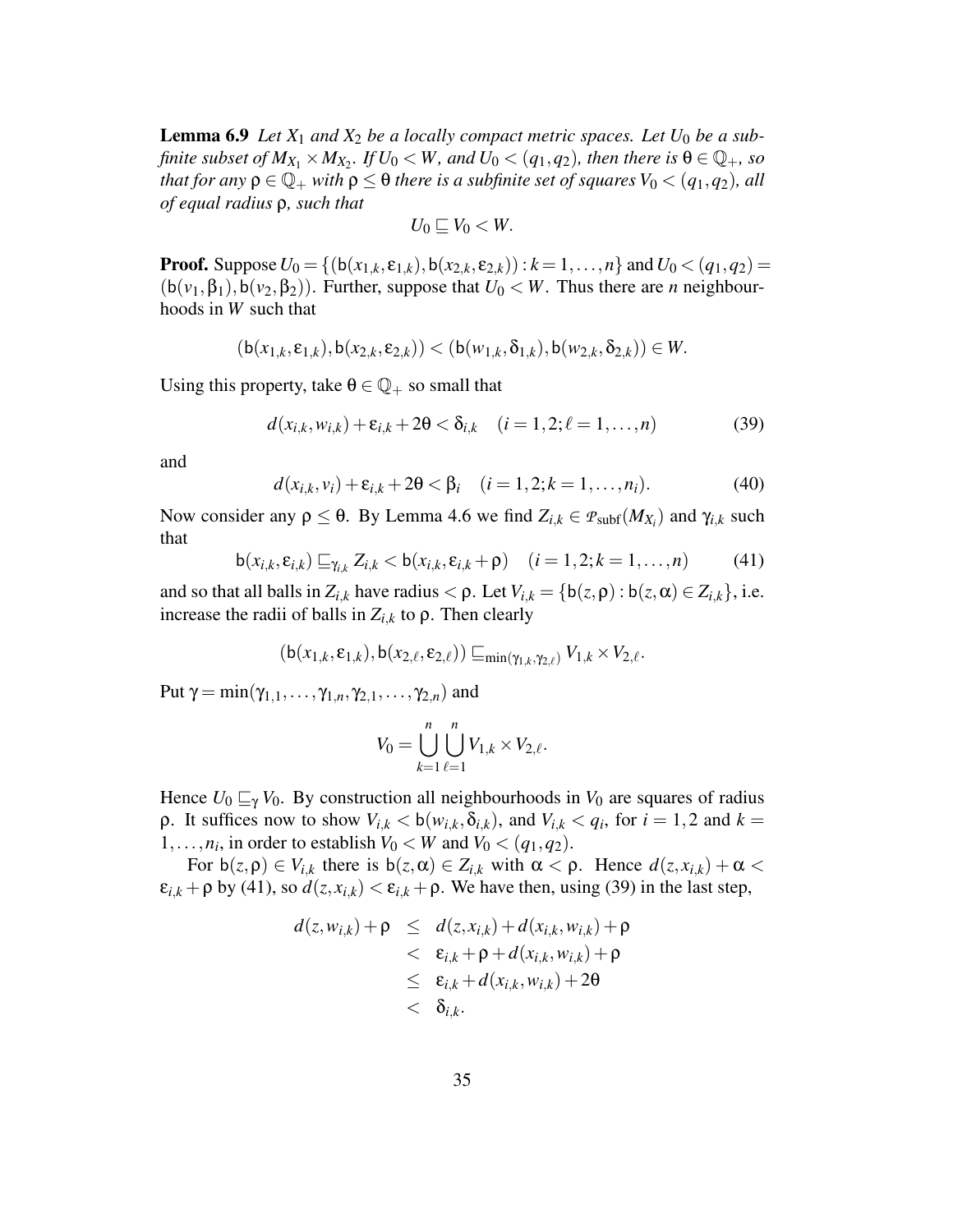**Lemma 6.9** *Let*  $X_1$  *and*  $X_2$  *be a locally compact metric spaces. Let*  $U_0$  *be a sub*finite subset of  $M_{X_1}\times M_{X_2}$ . If  $U_0 < W$ , and  $U_0 < (q_1,q_2)$ , then there is  $\theta \in {\mathbb Q}_+$ , so *that for any*  $\rho \in \mathbb{Q}_+$  *with*  $\rho \leq \theta$  *there is a subfinite set of squares*  $V_0 < (q_1, q_2)$ *, all of equal radius* ρ*, such that*

$$
U_0\sqsubseteq V_0
$$

**Proof.** Suppose  $U_0 = \{(b(x_{1,k}, \varepsilon_{1,k}), b(x_{2,k}, \varepsilon_{2,k}) : k = 1, ..., n\}$  and  $U_0 < (q_1, q_2) =$  $(b(v_1, \beta_1), b(v_2, \beta_2))$ . Further, suppose that  $U_0 \lt W$ . Thus there are *n* neighbourhoods in *W* such that

$$
(\mathsf{b}(x_{1,k}, \epsilon_{1,k}), \mathsf{b}(x_{2,k}, \epsilon_{2,k})) < (\mathsf{b}(w_{1,k}, \delta_{1,k}), \mathsf{b}(w_{2,k}, \delta_{2,k})) \in W.
$$

Using this property, take  $\theta \in \mathbb{Q}_+$  so small that

$$
d(x_{i,k}, w_{i,k}) + \varepsilon_{i,k} + 2\theta < \delta_{i,k} \quad (i = 1, 2; \ell = 1, \ldots, n) \tag{39}
$$

and

$$
d(x_{i,k},v_i) + \varepsilon_{i,k} + 2\theta < \beta_i \quad (i = 1, 2; k = 1, \dots, n_i). \tag{40}
$$

Now consider any  $ρ \le θ$ . By Lemma 4.6 we find  $Z_{i,k} \in \mathcal{P}_{subf}(M_{X_i})$  and  $γ_{i,k}$  such that

$$
\mathsf{b}(x_{i,k}, \varepsilon_{i,k}) \sqsubseteq_{\gamma_{i,k}} Z_{i,k} < \mathsf{b}(x_{i,k}, \varepsilon_{i,k} + \rho) \quad (i = 1, 2; k = 1, \dots, n) \tag{41}
$$

and so that all balls in  $Z_{i,k}$  have radius  $\lt \rho$ . Let  $V_{i,k} = \{b(z, \rho) : b(z, \alpha) \in Z_{i,k}\},$  i.e. increase the radii of balls in  $Z_{i,k}$  to  $\rho$ . Then clearly

$$
(\mathsf{b}(x_{1,k}, \epsilon_{1,k}), \mathsf{b}(x_{2,\ell}, \epsilon_{2,\ell})) \sqsubseteq_{\min(\gamma_{1,k}, \gamma_{2,\ell})} V_{1,k} \times V_{2,\ell}.
$$

Put  $\gamma = \min(\gamma_{1,1},\ldots,\gamma_{1,n},\gamma_{2,1},\ldots,\gamma_{2,n})$  and

$$
V_0 = \bigcup_{k=1}^n \bigcup_{\ell=1}^n V_{1,k} \times V_{2,\ell}.
$$

Hence  $U_0 \sqsubseteq_{\gamma} V_0$ . By construction all neighbourhoods in  $V_0$  are squares of radius **ρ**. It suffices now to show  $V_{i,k} < b(w_{i,k}, \delta_{i,k})$ , and  $V_{i,k} < q_i$ , for  $i = 1, 2$  and  $k =$ 1,...,*n<sub>i</sub>*, in order to establish  $V_0 < W$  and  $V_0 < (q_1, q_2)$ .

For  $b(z, \rho) \in V_{i,k}$  there is  $b(z, \alpha) \in Z_{i,k}$  with  $\alpha < \rho$ . Hence  $d(z, x_{i,k}) + \alpha < \rho$  $\varepsilon_{i,k}$  +  $\rho$  by (41), so  $d(z, x_{i,k}) < \varepsilon_{i,k}$  +  $\rho$ . We have then, using (39) in the last step,

$$
d(z, w_{i,k}) + \rho \leq d(z, x_{i,k}) + d(x_{i,k}, w_{i,k}) + \rho
$$
  

$$
< \varepsilon_{i,k} + \rho + d(x_{i,k}, w_{i,k}) + \rho
$$
  

$$
\leq \varepsilon_{i,k} + d(x_{i,k}, w_{i,k}) + 2\theta
$$
  

$$
< \delta_{i,k}.
$$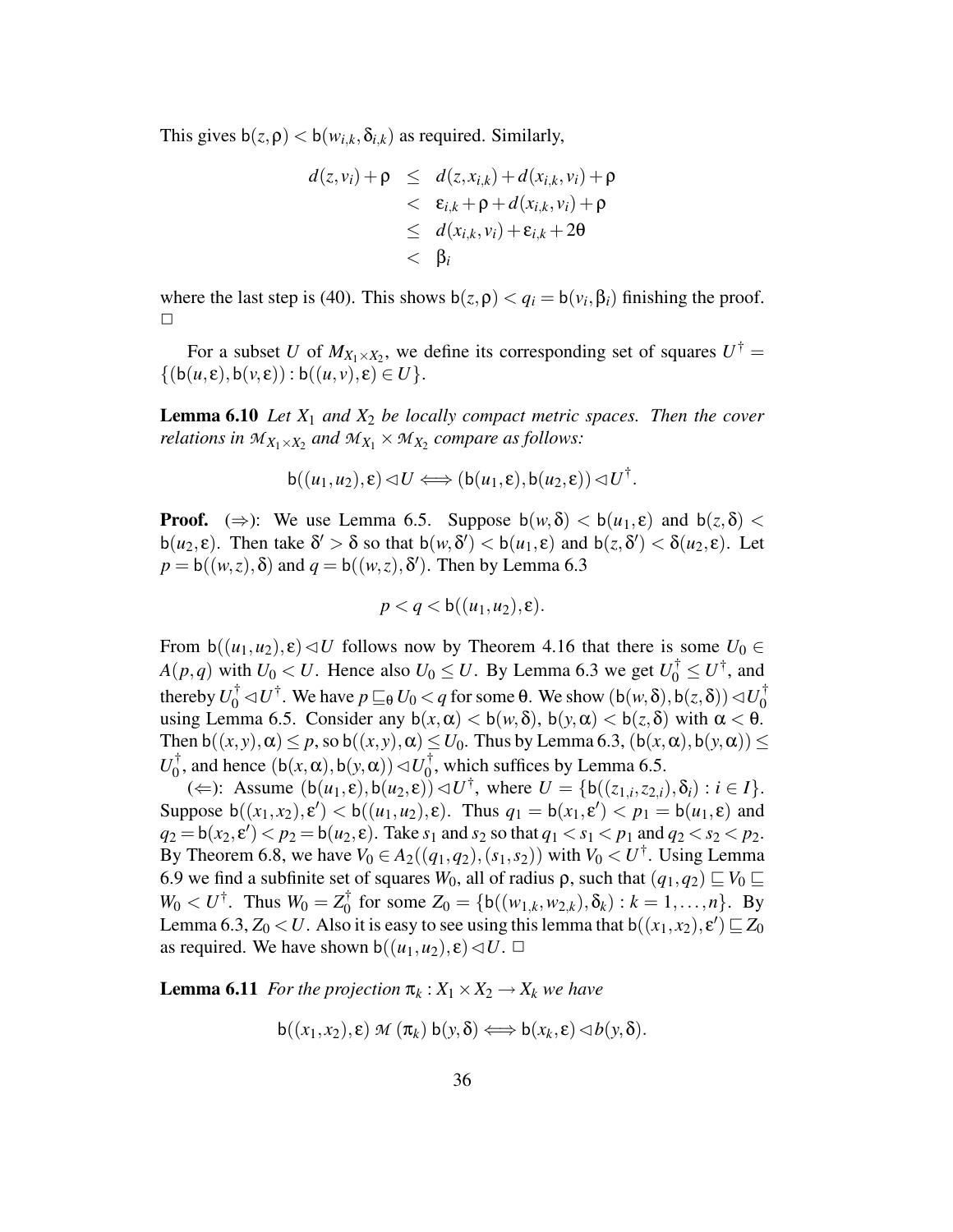This gives  $b(z, \rho) < b(w_{i,k}, \delta_{i,k})$  as required. Similarly,

$$
d(z, v_i) + \rho \leq d(z, x_{i,k}) + d(x_{i,k}, v_i) + \rho
$$
  

$$
< \varepsilon_{i,k} + \rho + d(x_{i,k}, v_i) + \rho
$$
  

$$
\leq d(x_{i,k}, v_i) + \varepsilon_{i,k} + 2\theta
$$
  

$$
< \beta_i
$$

where the last step is (40). This shows  $b(z, \rho) < q_i = b(v_i, \beta_i)$  finishing the proof.  $\Box$ 

For a subset *U* of  $M_{X_1 \times X_2}$ , we define its corresponding set of squares  $U^{\dagger} =$  $\{(b(u,\varepsilon),b(v,\varepsilon)):b((u,v),\varepsilon)\in U\}.$ 

**Lemma 6.10** *Let X*<sup>1</sup> *and X*<sup>2</sup> *be locally compact metric spaces. Then the cover relations in*  $M_{X_1 \times X_2}$  *and*  $M_{X_1} \times M_{X_2}$  *compare as follows:* 

$$
\mathsf{b}((u_1,u_2),\varepsilon) \triangleleft U \Longleftrightarrow (\mathsf{b}(u_1,\varepsilon),\mathsf{b}(u_2,\varepsilon)) \triangleleft U^{\dagger}.
$$

**Proof.** ( $\Rightarrow$ ): We use Lemma 6.5. Suppose  $b(w, \delta) < b(u_1, \epsilon)$  and  $b(z, \delta) <$ b( $u_2, \varepsilon$ ). Then take  $\delta' > \delta$  so that  $b(w, \delta') < b(u_1, \varepsilon)$  and  $b(z, \delta') < \delta(u_2, \varepsilon)$ . Let  $p = b((w, z), \delta)$  and  $q = b((w, z), \delta')$ . Then by Lemma 6.3

$$
p < q < b((u_1, u_2), \varepsilon).
$$

From  $b((u_1, u_2), \varepsilon) \triangleleft U$  follows now by Theorem 4.16 that there is some  $U_0 \in$  $A(p,q)$  with  $U_0 < U$ . Hence also  $U_0 \leq U$ . By Lemma 6.3 we get  $U_0^{\dagger} \leq U^{\dagger}$ , and thereby  $U_0^{\dagger} \lhd U^{\dagger}$ . We have  $p \sqsubseteq_{\theta} U_0 < q$  for some  $\theta$ . We show  $(\mathsf{b}(w, \delta), \mathsf{b}(z, \delta)) \lhd U_0^{\dagger}$ 0 using Lemma 6.5. Consider any  $b(x, \alpha) < b(w, \delta)$ ,  $b(y, \alpha) < b(z, \delta)$  with  $\alpha < \theta$ . Then  $b((x, y), \alpha) \leq p$ , so  $b((x, y), \alpha) \leq U_0$ . Thus by Lemma 6.3,  $(b(x, \alpha), b(y, \alpha)) \leq$  $U_0^\dagger$  $\frac{1}{0}$ , and hence  $(b(x, \alpha), b(y, \alpha)) \triangleleft U_0^{\dagger}$  $\int_0^1$ , which suffices by Lemma 6.5.

 $(\Leftarrow)$ : Assume  $(b(u_1, \varepsilon), b(u_2, \varepsilon)) \triangleleft U^{\dagger}$ , where  $U = \{b((z_{1,i}, z_{2,i}), \delta_i) : i \in I\}$ . Suppose  $b((x_1, x_2), \varepsilon) < b((u_1, u_2), \varepsilon)$ . Thus  $q_1 = b(x_1, \varepsilon') < p_1 = b(u_1, \varepsilon)$  and  $q_2 = \mathsf{b}(x_2, \varepsilon') < p_2 = \mathsf{b}(u_2, \varepsilon)$ . Take  $s_1$  and  $s_2$  so that  $q_1 < s_1 < p_1$  and  $q_2 < s_2 < p_2$ . By Theorem 6.8, we have  $V_0 \in A_2((q_1, q_2), (s_1, s_2))$  with  $V_0 \lt U^{\dagger}$ . Using Lemma 6.9 we find a subfinite set of squares  $W_0$ , all of radius  $\rho$ , such that  $(q_1, q_2) \sqsubseteq V_0 \sqsubseteq$  $W_0 < U^{\dagger}$ . Thus  $W_0 = Z_0^{\dagger}$  $\overline{Z}_0^{\dagger}$  for some  $Z_0 = \{b((w_{1,k}, w_{2,k}), \delta_k) : k = 1, ..., n\}$ . By Lemma 6.3,  $Z_0 < U$ . Also it is easy to see using this lemma that  $b((x_1, x_2), \varepsilon') \sqsubseteq Z_0$ as required. We have shown  $b((u_1, u_2), \varepsilon) \triangleleft U$ .  $\Box$ 

**Lemma 6.11** *For the projection*  $\pi_k : X_1 \times X_2 \rightarrow X_k$  *we have* 

$$
\mathsf{b}((x_1,x_2),\varepsilon) \mathcal{M}(\pi_k) \mathsf{b}(y,\delta) \Longleftrightarrow \mathsf{b}(x_k,\varepsilon) \triangleleft b(y,\delta).
$$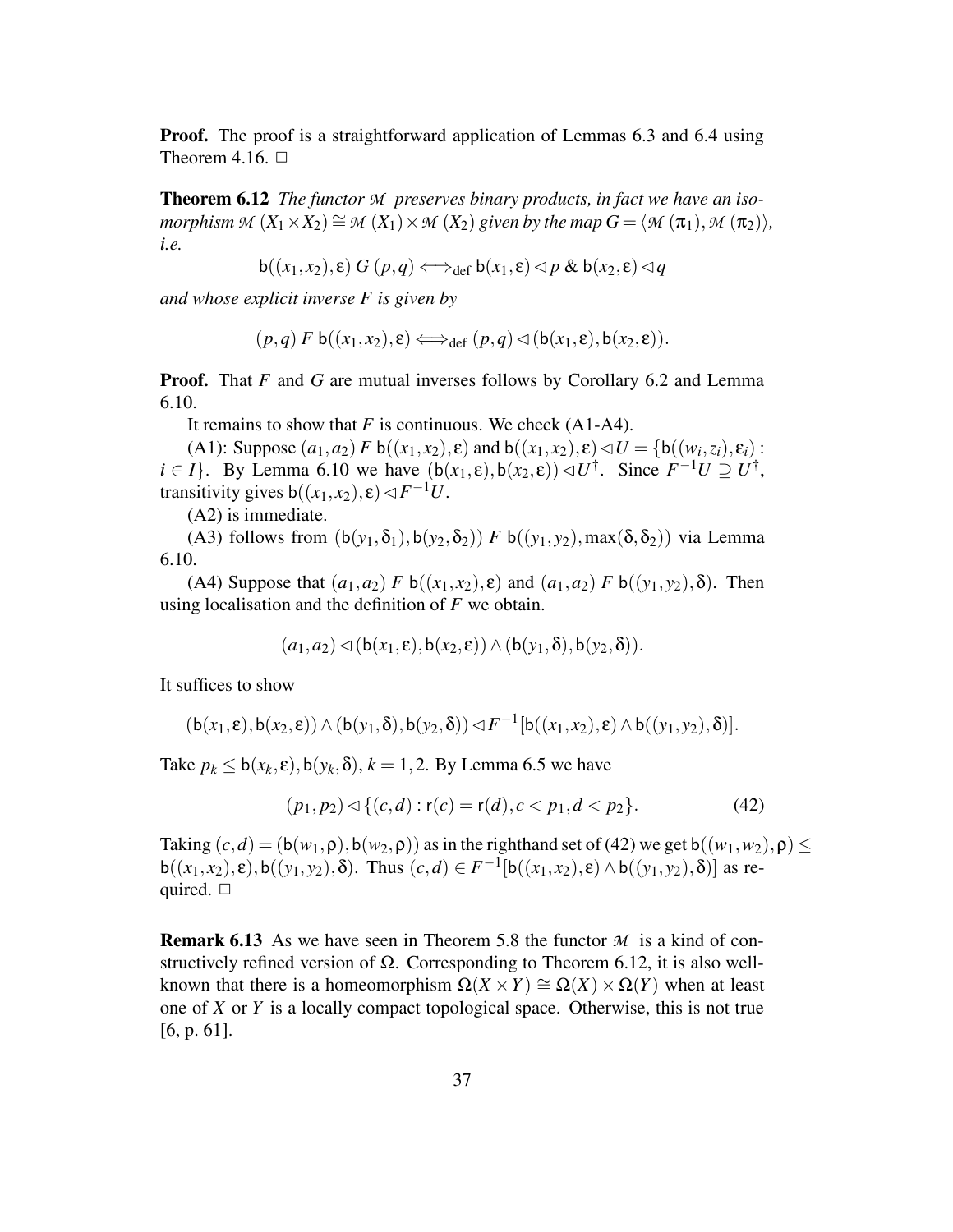**Proof.** The proof is a straightforward application of Lemmas 6.3 and 6.4 using Theorem 4.16.  $\Box$ 

**Theorem 6.12** *The functor M preserves binary products, in fact we have an isomorphism*  $M(X_1 \times X_2) \cong M(X_1) \times M(X_2)$  *given by the map*  $G = \langle M(\pi_1), M(\pi_2) \rangle$ , *i.e.*

$$
\mathsf{b}((x_1,x_2),\varepsilon)\ G\ (p,q) \Longleftrightarrow_{\mathsf{def}} \mathsf{b}(x_1,\varepsilon) \lhd p \ \& \ \mathsf{b}(x_2,\varepsilon) \lhd q
$$

*and whose explicit inverse F is given by*

$$
(p,q) \ F \ b((x_1,x_2),\varepsilon) \Longleftrightarrow_{\text{def}} (p,q) \lhd (b(x_1,\varepsilon),b(x_2,\varepsilon)).
$$

**Proof.** That *F* and *G* are mutual inverses follows by Corollary 6.2 and Lemma 6.10.

It remains to show that *F* is continuous. We check (A1-A4).

(A1): Suppose  $(a_1, a_2) F b((x_1, x_2), \varepsilon)$  and  $b((x_1, x_2), \varepsilon) \lhd U = \{b((w_i, z_i), \varepsilon_i) :$  $i \in I$ . By Lemma 6.10 we have  $(b(x_1, \varepsilon), b(x_2, \varepsilon)) \triangleleft U^{\dagger}$ . Since  $F^{-1}U \supseteq U^{\dagger}$ , transitivity gives  $b((x_1, x_2), \varepsilon) \triangleleft F^{-1}U$ .

(A2) is immediate.

(A3) follows from  $(b(y_1, \delta_1), b(y_2, \delta_2))$  *F*  $b((y_1, y_2), \max(\delta, \delta_2))$  via Lemma 6.10.

(A4) Suppose that  $(a_1, a_2)$  *F* b( $(x_1, x_2)$ ,  $\varepsilon$ ) and  $(a_1, a_2)$  *F* b( $(y_1, y_2)$ ,  $\delta$ ). Then using localisation and the definition of *F* we obtain.

$$
(a_1,a_2) \triangleleft (b(x_1,\varepsilon),b(x_2,\varepsilon)) \wedge (b(y_1,\delta),b(y_2,\delta)).
$$

It suffices to show

$$
(\mathsf{b}(x_1,\varepsilon),\mathsf{b}(x_2,\varepsilon))\wedge(\mathsf{b}(y_1,\delta),\mathsf{b}(y_2,\delta))\lhd F^{-1}[\mathsf{b}((x_1,x_2),\varepsilon)\wedge\mathsf{b}((y_1,y_2),\delta)].
$$

Take  $p_k \leq b(x_k, \varepsilon)$ ,  $b(y_k, \delta)$ ,  $k = 1, 2$ . By Lemma 6.5 we have

$$
(p_1, p_2) \lhd \{(c, d) : r(c) = r(d), c < p_1, d < p_2\}.\tag{42}
$$

Taking  $(c,d) = (b(w_1, \rho), b(w_2, \rho))$  as in the righthand set of (42) we get  $b((w_1, w_2), \rho)$  $b((x_1, x_2), \varepsilon), b((y_1, y_2), \delta)$ . Thus  $(c, d) \in F^{-1}[b((x_1, x_2), \varepsilon) \wedge b((y_1, y_2), \delta)]$  as required.  $\Box$ 

**Remark 6.13** As we have seen in Theorem 5.8 the functor  $M$  is a kind of constructively refined version of  $\Omega$ . Corresponding to Theorem 6.12, it is also wellknown that there is a homeomorphism  $\Omega(X \times Y) \cong \Omega(X) \times \Omega(Y)$  when at least one of *X* or *Y* is a locally compact topological space. Otherwise, this is not true [6, p. 61].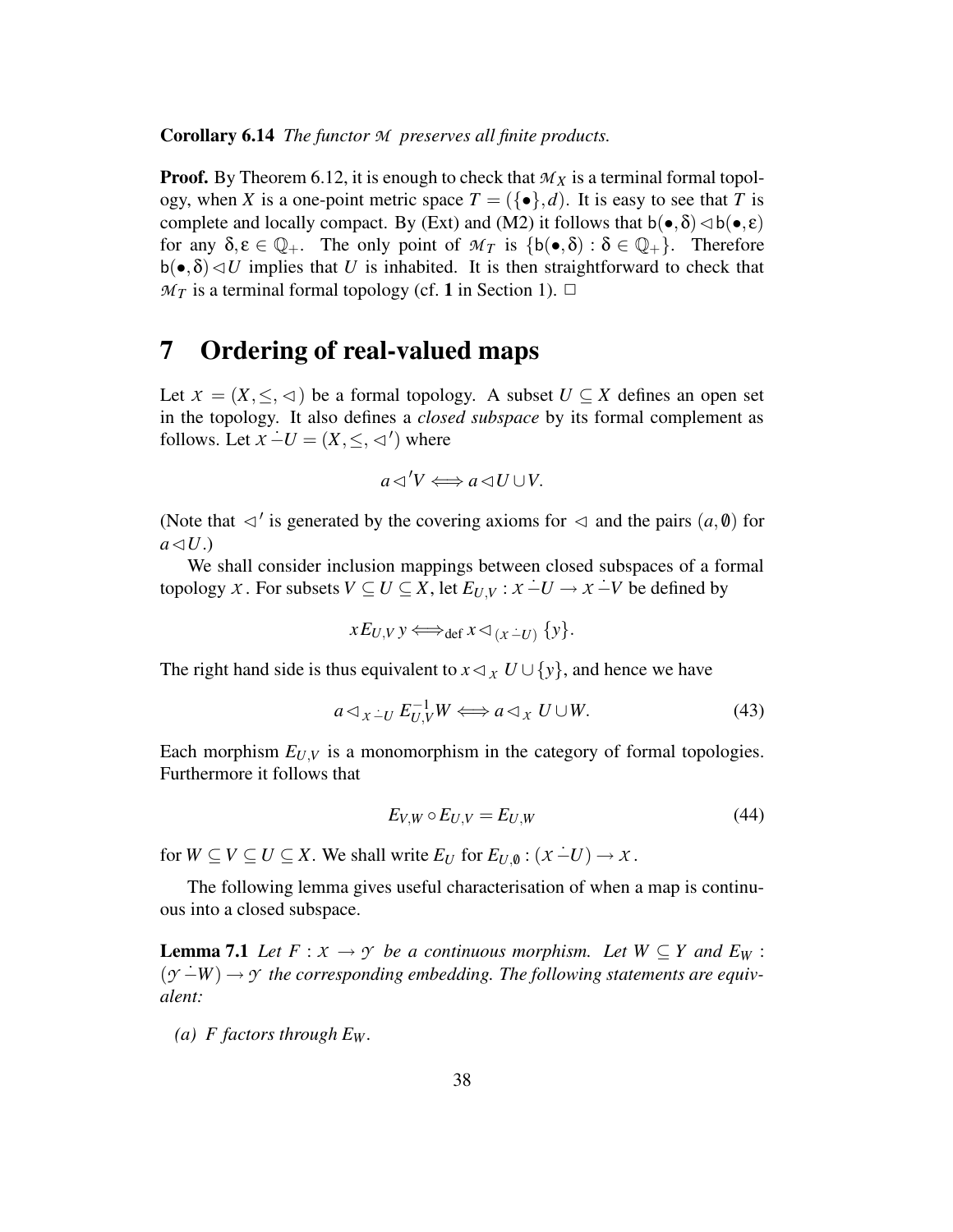**Corollary 6.14** *The functor M preserves all finite products.*

**Proof.** By Theorem 6.12, it is enough to check that  $M_X$  is a terminal formal topology, when *X* is a one-point metric space  $T = (\{\bullet\}, d)$ . It is easy to see that *T* is complete and locally compact. By (Ext) and (M2) it follows that  $b(\bullet, \delta) \triangleleft b(\bullet, \epsilon)$ for any  $\delta, \varepsilon \in \mathbb{Q}_+$ . The only point of  $\mathcal{M}_T$  is  $\{b(\bullet, \delta) : \delta \in \mathbb{Q}_+\}$ . Therefore  $b(\bullet,\delta) \triangleleft U$  implies that *U* is inhabited. It is then straightforward to check that  $M_T$  is a terminal formal topology (cf. 1 in Section 1).  $\Box$ 

### **7 Ordering of real-valued maps**

Let  $X = (X, \leq, \leq)$  be a formal topology. A subset  $U \subseteq X$  defines an open set in the topology. It also defines a *closed subspace* by its formal complement as follows. Let  $X - U = (X, \leq, \triangleleft')$  where

$$
a \triangleleft V \Longleftrightarrow a \triangleleft U \cup V.
$$

(Note that  $\lhd'$  is generated by the covering axioms for  $\lhd$  and the pairs  $(a, \emptyset)$  for  $a \triangleleft U$ .)

We shall consider inclusion mappings between closed subspaces of a formal topology *X*. For subsets  $V \subseteq U \subseteq X$ , let  $E_{U,V} : X - U \rightarrow X - V$  be defined by

$$
xE_{U,V}y \Longleftrightarrow_{\text{def}} x \triangleleft_{(x \dot{-} U)} \{y\}.
$$

The right hand side is thus equivalent to  $x \triangleleft x$  *U* ∪ {*y*}, and hence we have

$$
a \triangleleft_{X \dot{-} U} E_{U,V}^{-1} W \Longleftrightarrow a \triangleleft_{X} U \cup W. \tag{43}
$$

Each morphism  $E_{U,V}$  is a monomorphism in the category of formal topologies. Furthermore it follows that

$$
E_{V,W} \circ E_{U,V} = E_{U,W} \tag{44}
$$

for  $W \subseteq V \subseteq U \subseteq X$ . We shall write  $E_U$  for  $E_{U,0} : (x \dot{-} U) \rightarrow x$ .

The following lemma gives useful characterisation of when a map is continuous into a closed subspace.

**Lemma** 7.1 *Let*  $F: X \to Y$  *be a continuous morphism. Let*  $W \subseteq Y$  *and*  $E_W$ :  $(y - W) \rightarrow y$  *the corresponding embedding. The following statements are equivalent:*

*(a)*  $F$  *factors through*  $E_W$ *.*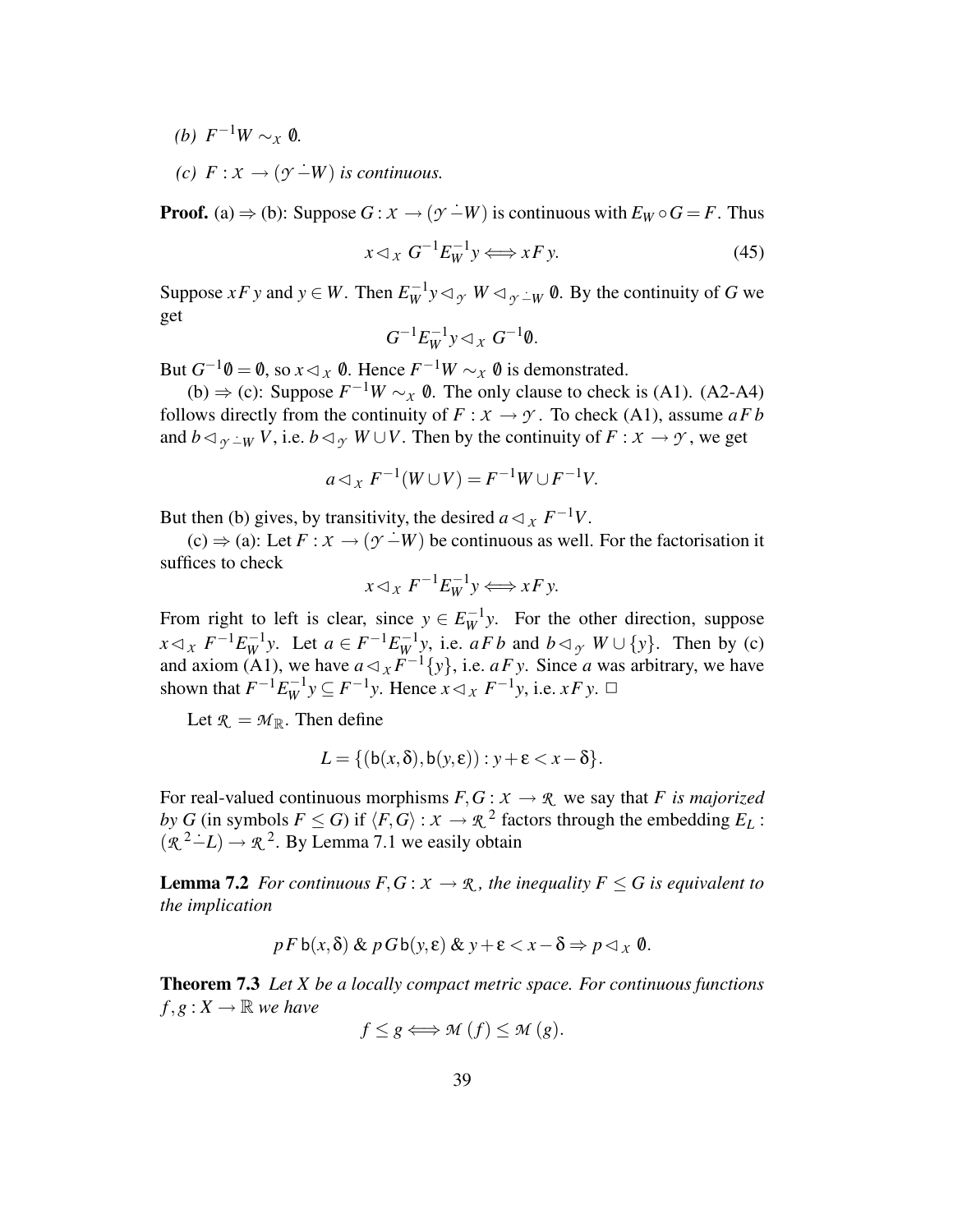*(b)*  $F^{-1}W \sim_{\mathcal{X}} 0$ *.* 

*(c)*  $F: X \rightarrow (γ - W)$  *is continuous.* 

**Proof.** (a)  $\Rightarrow$  (b): Suppose  $G : X \rightarrow (Y - W)$  is continuous with  $E_W \circ G = F$ . Thus

$$
x \triangleleft_X G^{-1} E_W^{-1} y \Longleftrightarrow x F y. \tag{45}
$$

Suppose *xF y* and  $y \in W$ . Then  $E_W^{-1}y \triangleleft_{\mathcal{Y}} W \triangleleft_{\mathcal{Y}} \perp_W \emptyset$ . By the continuity of *G* we get

$$
G^{-1}E_W^{-1}y \triangleleft_x G^{-1}\emptyset.
$$

But  $G^{-1}\emptyset = \emptyset$ , so  $x \triangleleft_{\mathcal{X}} \emptyset$ . Hence  $F^{-1}W \sim_{\mathcal{X}} \emptyset$  is demonstrated.

(b)  $\Rightarrow$  (c): Suppose  $F^{-1}W \sim_{\mathcal{X}} 0$ . The only clause to check is (A1). (A2-A4) follows directly from the continuity of  $F : X \to Y$ . To check (A1), assume  $aFb$ and  $b \triangleleft_{\gamma \perp W} V$ , i.e.  $b \triangleleft_{\gamma} W \cup V$ . Then by the continuity of  $F : X \to Y$ , we get

$$
a \triangleleft_{X} F^{-1}(W \cup V) = F^{-1}W \cup F^{-1}V.
$$

But then (b) gives, by transitivity, the desired  $a \triangleleft x$ ,  $F^{-1}V$ .

 $(c) \Rightarrow (a)$ : Let  $F : X \rightarrow (y - W)$  be continuous as well. For the factorisation it suffices to check

$$
x \triangleleft_X F^{-1} E_W^{-1} y \Longleftrightarrow x F y.
$$

From right to left is clear, since  $y \in E_W^{-1}y$ . For the other direction, suppose  $x \triangleleft_{\mathcal{X}} F^{-1} E_W^{-1} y$ . Let  $a \in F^{-1} E_W^{-1} y$ , i.e.  $a F b$  and  $b \triangleleft_{\mathcal{Y}} W \cup \{y\}$ . Then by (c) and axiom (A1), we have  $a \triangleleft x F^{-1} \{y\}$ , i.e.  $a F y$ . Since *a* was arbitrary, we have shown that  $F^{-1}E_W^{-1}y \subseteq F^{-1}y$ . Hence  $x \triangleleft_x F^{-1}y$ , i.e.  $xFy$ .  $\Box$ 

Let  $\mathcal{R} = \mathcal{M}_{\mathbb{R}}$ . Then define

$$
L = \{ (b(x, \delta), b(y, \varepsilon)) : y + \varepsilon < x - \delta \}.
$$

For real-valued continuous morphisms  $F, G: X \to \mathcal{R}$  we say that *F* is *majorized by G* (in symbols  $F \le G$ ) if  $\langle F, G \rangle : X \to \mathbb{R}^2$  factors through the embedding  $E_L$ :  $(\mathcal{R}^2 - L) \rightarrow \mathcal{R}^2$ . By Lemma 7.1 we easily obtain

**Lemma** 7.2 *For continuous*  $F, G: X \to \mathbb{R}$ *, the inequality*  $F \leq G$  *is equivalent to the implication*

$$
p F \mathsf{b}(x,\delta) \& p G \mathsf{b}(y,\varepsilon) \& y + \varepsilon < x - \delta \Rightarrow p \lhd_x \emptyset.
$$

**Theorem 7.3** *Let X be a locally compact metric space. For continuous functions*  $f, g: X \to \mathbb{R}$  *we have* 

$$
f \le g \Longleftrightarrow \mathcal{M}(f) \le \mathcal{M}(g).
$$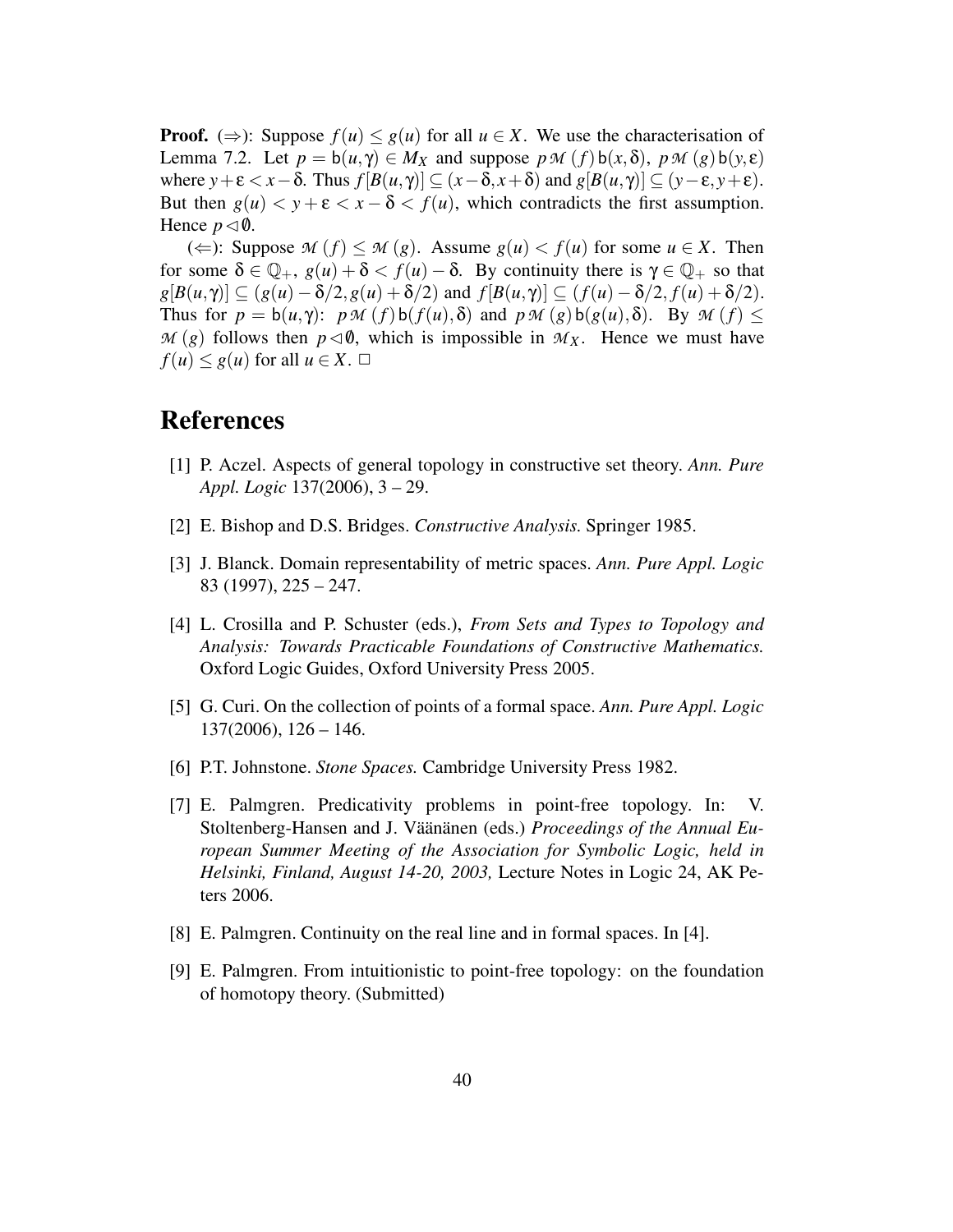**Proof.** ( $\Rightarrow$ ): Suppose  $f(u) \leq g(u)$  for all  $u \in X$ . We use the characterisation of Lemma 7.2. Let  $p = b(u, \gamma) \in M_X$  and suppose  $p \mathcal{M}(f) b(x, \delta)$ ,  $p \mathcal{M}(g) b(y, \epsilon)$ where  $y + \varepsilon < x - \delta$ . Thus  $f[B(u, \gamma)] \subseteq (x - \delta, x + \delta)$  and  $g[B(u, \gamma)] \subseteq (y - \varepsilon, y + \varepsilon)$ . But then  $g(u) < y + \varepsilon < x - \delta < f(u)$ , which contradicts the first assumption. Hence  $p \triangleleft \emptyset$ .

(⇐): Suppose  $M(f)$  ≤  $M(g)$ . Assume  $g(u)$  <  $f(u)$  for some  $u \in X$ . Then for some  $\delta \in \mathbb{Q}_+$ ,  $g(u) + \delta < f(u) - \delta$ . By continuity there is  $\gamma \in \mathbb{Q}_+$  so that  $g[B(u,\gamma)] \subseteq (g(u) - \delta/2, g(u) + \delta/2)$  and  $f[B(u,\gamma)] \subseteq (f(u) - \delta/2, f(u) + \delta/2).$ Thus for  $p = b(u, \gamma)$ :  $p \mathcal{M}(f) b(f(u), \delta)$  and  $p \mathcal{M}(g) b(g(u), \delta)$ . By  $\mathcal{M}(f) \leq$  $M(g)$  follows then  $p \triangleleft \emptyset$ , which is impossible in  $M_X$ . Hence we must have  $f(u) \leq g(u)$  for all  $u \in X$ .  $\Box$ 

### **References**

- [1] P. Aczel. Aspects of general topology in constructive set theory. *Ann. Pure Appl. Logic* 137(2006), 3 – 29.
- [2] E. Bishop and D.S. Bridges. *Constructive Analysis.* Springer 1985.
- [3] J. Blanck. Domain representability of metric spaces. *Ann. Pure Appl. Logic* 83 (1997), 225 – 247.
- [4] L. Crosilla and P. Schuster (eds.), *From Sets and Types to Topology and Analysis: Towards Practicable Foundations of Constructive Mathematics.* Oxford Logic Guides, Oxford University Press 2005.
- [5] G. Curi. On the collection of points of a formal space. *Ann. Pure Appl. Logic* 137(2006), 126 – 146.
- [6] P.T. Johnstone. *Stone Spaces.* Cambridge University Press 1982.
- [7] E. Palmgren. Predicativity problems in point-free topology. In: V. Stoltenberg-Hansen and J. Väänänen (eds.) *Proceedings of the Annual European Summer Meeting of the Association for Symbolic Logic, held in Helsinki, Finland, August 14-20, 2003,* Lecture Notes in Logic 24, AK Peters 2006.
- [8] E. Palmgren. Continuity on the real line and in formal spaces. In [4].
- [9] E. Palmgren. From intuitionistic to point-free topology: on the foundation of homotopy theory. (Submitted)